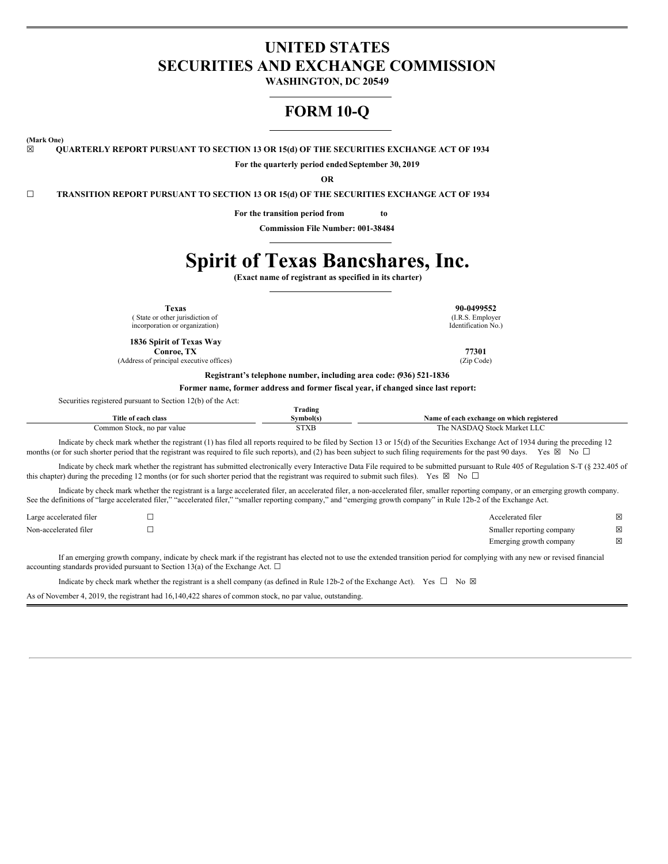## **UNITED STATES SECURITIES AND EXCHANGE COMMISSION**

**WASHINGTON, DC 20549**

# **FORM 10-Q**

**(Mark One)**

**☒ QUARTERLY REPORT PURSUANT TO SECTION 13 OR 15(d) OF THE SECURITIES EXCHANGE ACT OF 1934**

**For the quarterly period endedSeptember 30, 2019**

**OR**

**☐ TRANSITION REPORT PURSUANT TO SECTION 13 OR 15(d) OF THE SECURITIES EXCHANGE ACT OF 1934**

**For the transition period from to**

**Commission File Number: 001-38484**

# **Spirit of Texas Bancshares, Inc.**

**(Exact name of registrant as specified in its charter)**

**Texas 90-0499552**

( State or other jurisdiction of incorporation or organization)

**1836 Spirit of Texas Way Conroe, TX 77301**

(Address of principal executive offices) (Zip Code)

(I.R.S. Employer Identification No.)

**Registrant's telephone number, including area code: (936) 521-1836 Former name, former address and former fiscal year, if changed since last report:**

Securities registered pursuant to Section 12(b) of the Act:

|                            | <b>Trading</b> |                                           |
|----------------------------|----------------|-------------------------------------------|
| Title of each class        | Svmbol(s)      | Name of each exchange on which registered |
| Common Stock, no par value | STXB           | Market LLC<br>The NASDAO Stock            |

Indicate by check mark whether the registrant (1) has filed all reports required to be filed by Section 13 or 15(d) of the Securities Exchange Act of 1934 during the preceding 12 months (or for such shorter period that the registrant was required to file such reports), and (2) has been subject to such filing requirements for the past 90 days. Yes  $\boxtimes$  No  $\Box$ 

Indicate by check mark whether the registrant has submitted electronically every Interactive Data File required to be submitted pursuant to Rule 405 of Regulation S-T (§ 232.405 of this chapter) during the preceding 12 months (or for such shorter period that the registrant was required to submit such files). Yes  $\boxtimes$  No  $\Box$ 

Indicate by check mark whether the registrant is a large accelerated filer, an accelerated filer, a non-accelerated filer, smaller reporting company, or an emerging growth company. See the definitions of "large accelerated filer," "accelerated filer," "smaller reporting company," and "emerging growth company" in Rule 12b-2 of the Exchange Act.

| Large accelerated filer | Accelerated filer         | X |
|-------------------------|---------------------------|---|
| Non-accelerated filer   | Smaller reporting company | X |
|                         | Emerging growth company   | X |

If an emerging growth company, indicate by check mark if the registrant has elected not to use the extended transition period for complying with any new or revised financial accounting standards provided pursuant to Section 13(a) of the Exchange Act.  $\square$ 

Indicate by check mark whether the registrant is a shell company (as defined in Rule 12b-2 of the Exchange Act). Yes  $\Box$  No  $\boxtimes$ 

As of November 4, 2019, the registrant had 16,140,422 shares of common stock, no par value, outstanding.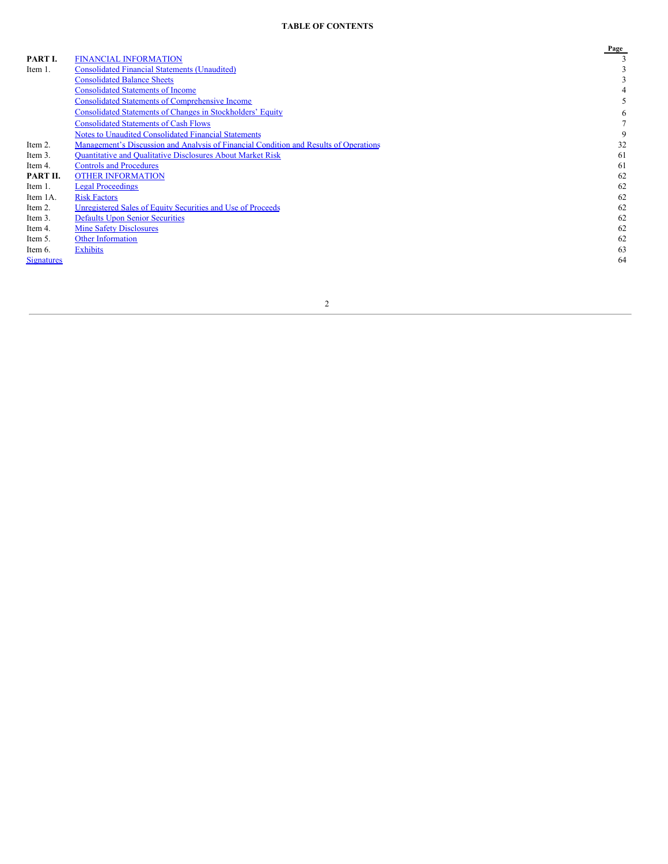## **TABLE OF CONTENTS**

|                   |                                                                                       | Page |
|-------------------|---------------------------------------------------------------------------------------|------|
| PART I.           | <b>FINANCIAL INFORMATION</b>                                                          |      |
| Item 1.           | <b>Consolidated Financial Statements (Unaudited)</b>                                  |      |
|                   | <b>Consolidated Balance Sheets</b>                                                    |      |
|                   | <b>Consolidated Statements of Income</b>                                              |      |
|                   | <b>Consolidated Statements of Comprehensive Income</b>                                |      |
|                   | <b>Consolidated Statements of Changes in Stockholders' Equity</b>                     | 6    |
|                   | <b>Consolidated Statements of Cash Flows</b>                                          |      |
|                   | <b>Notes to Unaudited Consolidated Financial Statements</b>                           | 9    |
| Item 2.           | Management's Discussion and Analysis of Financial Condition and Results of Operations | 32   |
| Item 3.           | <b>Ouantitative and Oualitative Disclosures About Market Risk</b>                     | 61   |
| Item 4.           | <b>Controls and Procedures</b>                                                        | 61   |
| PART II.          | <b>OTHER INFORMATION</b>                                                              | 62   |
| Item 1.           | <b>Legal Proceedings</b>                                                              | 62   |
| Item 1A.          | <b>Risk Factors</b>                                                                   | 62   |
| Item 2.           | Unregistered Sales of Equity Securities and Use of Proceeds                           | 62   |
| Item 3.           | <b>Defaults Upon Senior Securities</b>                                                | 62   |
| Item 4.           | <b>Mine Safety Disclosures</b>                                                        | 62   |
| Item 5.           | <b>Other Information</b>                                                              | 62   |
| Item 6.           | Exhibits                                                                              | 63   |
| <b>Signatures</b> |                                                                                       | 64   |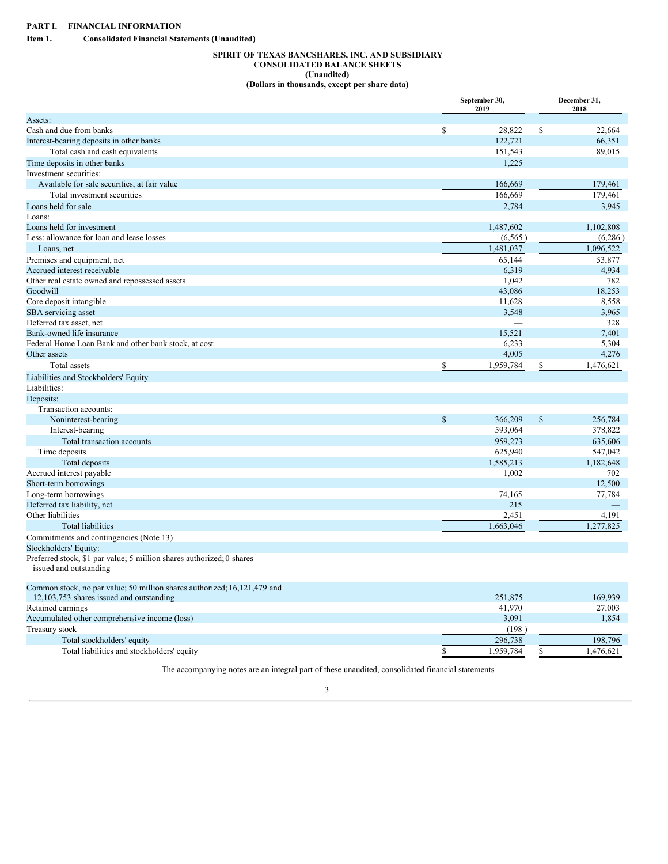<span id="page-2-2"></span><span id="page-2-1"></span><span id="page-2-0"></span>**Item 1. Consolidated Financial Statements (Unaudited)**

## **SPIRIT OF TEXAS BANCSHARES, INC. AND SUBSIDIARY CONSOLIDATED BALANCE SHEETS (Unaudited) (Dollars in thousands, except per share data)**

|                                                                                                                      |              | September 30,<br>2019 |              | December 31,<br>2018 |
|----------------------------------------------------------------------------------------------------------------------|--------------|-----------------------|--------------|----------------------|
| Assets:                                                                                                              |              |                       |              |                      |
| Cash and due from banks                                                                                              | \$           | 28.822                | \$           | 22,664               |
| Interest-bearing deposits in other banks                                                                             |              | 122,721               |              | 66,351               |
| Total cash and cash equivalents                                                                                      |              | 151,543               |              | 89,015               |
| Time deposits in other banks                                                                                         |              | 1,225                 |              |                      |
| Investment securities:                                                                                               |              |                       |              |                      |
| Available for sale securities, at fair value                                                                         |              | 166,669               |              | 179,461              |
| Total investment securities                                                                                          |              | 166,669               |              | 179,461              |
| Loans held for sale                                                                                                  |              | 2,784                 |              | 3,945                |
| Loans:                                                                                                               |              |                       |              |                      |
| Loans held for investment                                                                                            |              | 1,487,602             |              | 1,102,808            |
| Less: allowance for loan and lease losses                                                                            |              | (6, 565)              |              | (6,286)              |
| Loans, net                                                                                                           |              | 1,481,037             |              | 1,096,522            |
| Premises and equipment, net                                                                                          |              | 65,144                |              | 53,877               |
| Accrued interest receivable                                                                                          |              | 6,319                 |              | 4,934                |
| Other real estate owned and repossessed assets                                                                       |              | 1,042                 |              | 782                  |
| Goodwill                                                                                                             |              | 43,086                |              | 18,253               |
| Core deposit intangible                                                                                              |              | 11,628                |              | 8,558                |
| SBA servicing asset                                                                                                  |              | 3,548                 |              | 3,965                |
| Deferred tax asset, net                                                                                              |              |                       |              | 328                  |
| Bank-owned life insurance                                                                                            |              | 15,521                |              | 7,401                |
| Federal Home Loan Bank and other bank stock, at cost                                                                 |              | 6,233                 |              | 5,304                |
| Other assets                                                                                                         |              | 4,005                 |              | 4,276                |
| <b>Total</b> assets                                                                                                  | \$           | 1,959,784             | \$           | 1,476,621            |
| Liabilities and Stockholders' Equity                                                                                 |              |                       |              |                      |
| Liabilities:                                                                                                         |              |                       |              |                      |
| Deposits:                                                                                                            |              |                       |              |                      |
| Transaction accounts:                                                                                                |              |                       |              |                      |
| Noninterest-bearing                                                                                                  | $\mathbb{S}$ | 366,209               | $\mathbb{S}$ | 256,784              |
| Interest-bearing                                                                                                     |              | 593,064               |              | 378,822              |
| Total transaction accounts                                                                                           |              | 959,273               |              | 635,606              |
| Time deposits                                                                                                        |              | 625,940               |              | 547,042              |
| Total deposits                                                                                                       |              | 1.585.213             |              | 1.182.648            |
| Accrued interest payable                                                                                             |              | 1,002                 |              | 702                  |
| Short-term borrowings                                                                                                |              |                       |              | 12,500               |
| Long-term borrowings                                                                                                 |              | 74,165                |              | 77,784               |
| Deferred tax liability, net                                                                                          |              | 215                   |              |                      |
| Other liabilities                                                                                                    |              | 2,451                 |              | 4,191                |
| <b>Total liabilities</b>                                                                                             |              | 1,663,046             |              | 1,277,825            |
| Commitments and contingencies (Note 13)<br>Stockholders' Equity:                                                     |              |                       |              |                      |
| Preferred stock, \$1 par value; 5 million shares authorized; 0 shares<br>issued and outstanding                      |              |                       |              |                      |
| Common stock, no par value; 50 million shares authorized; 16,121,479 and<br>12,103,753 shares issued and outstanding |              | 251,875               |              | 169,939              |
| Retained earnings                                                                                                    |              | 41,970                |              | 27,003               |
| Accumulated other comprehensive income (loss)                                                                        |              | 3,091                 |              | 1,854                |
| Treasury stock                                                                                                       |              | (198)                 |              |                      |
| Total stockholders' equity                                                                                           |              | 296,738               |              | 198,796              |
| Total liabilities and stockholders' equity                                                                           | \$           | 1,959,784             | \$           | 1,476,621            |
|                                                                                                                      |              |                       |              |                      |

The accompanying notes are an integral part of these unaudited, consolidated financial statements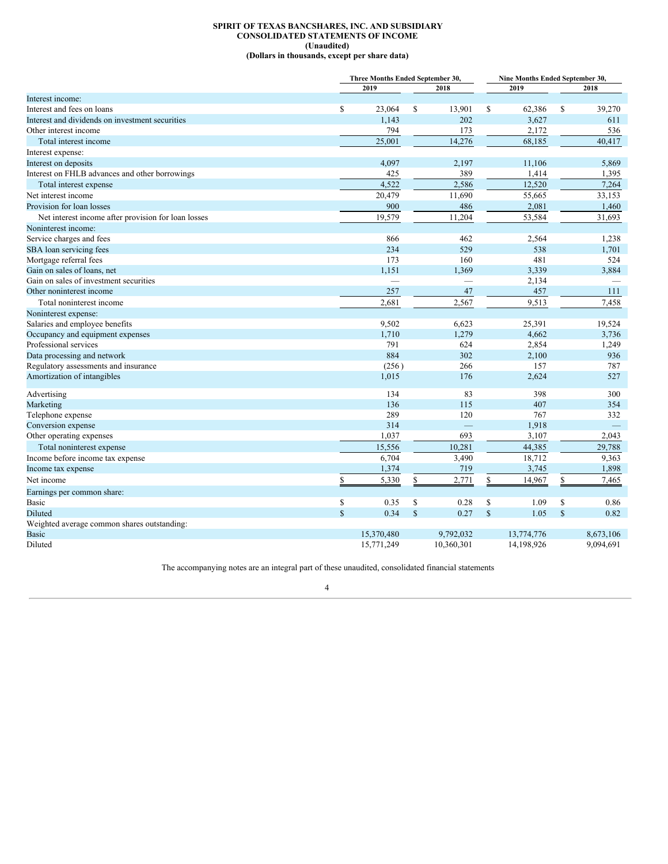## **SPIRIT OF TEXAS BANCSHARES, INC. AND SUBSIDIARY CONSOLIDATED STATEMENTS OF INCOME (Unaudited) (Dollars in thousands, except per share data)**

<span id="page-3-0"></span>

|                                                     |             | Three Months Ended September 30, |    | Nine Months Ended September 30, |               |            |              |           |
|-----------------------------------------------------|-------------|----------------------------------|----|---------------------------------|---------------|------------|--------------|-----------|
|                                                     |             | 2019                             |    | 2018                            |               | 2019       |              | 2018      |
| Interest income:                                    |             |                                  |    |                                 |               |            |              |           |
| Interest and fees on loans                          | \$          | 23,064                           | \$ | 13,901                          | \$            | 62,386     | $\mathbb{S}$ | 39,270    |
| Interest and dividends on investment securities     |             | 1,143                            |    | 202                             |               | 3,627      |              | 611       |
| Other interest income                               |             | 794                              |    | 173                             |               | 2,172      |              | 536       |
| Total interest income                               |             | 25,001                           |    | 14,276                          |               | 68,185     |              | 40,417    |
| Interest expense:                                   |             |                                  |    |                                 |               |            |              |           |
| Interest on deposits                                |             | 4,097                            |    | 2,197                           |               | 11,106     |              | 5,869     |
| Interest on FHLB advances and other borrowings      |             | 425                              |    | 389                             |               | 1,414      |              | 1,395     |
| Total interest expense                              |             | 4,522                            |    | 2,586                           |               | 12,520     |              | 7,264     |
| Net interest income                                 |             | 20,479                           |    | 11,690                          |               | 55,665     |              | 33,153    |
| Provision for loan losses                           |             | 900                              |    | 486                             |               | 2,081      |              | 1,460     |
| Net interest income after provision for loan losses |             | 19,579                           |    | 11,204                          |               | 53,584     |              | 31,693    |
| Noninterest income:                                 |             |                                  |    |                                 |               |            |              |           |
| Service charges and fees                            |             | 866                              |    | 462                             |               | 2,564      |              | 1,238     |
| SBA loan servicing fees                             |             | 234                              |    | 529                             |               | 538        |              | 1,701     |
| Mortgage referral fees                              |             | 173                              |    | 160                             |               | 481        |              | 524       |
| Gain on sales of loans, net                         |             | 1.151                            |    | 1,369                           |               | 3,339      |              | 3,884     |
| Gain on sales of investment securities              |             |                                  |    |                                 |               | 2,134      |              |           |
| Other noninterest income                            |             | 257                              |    | 47                              |               | 457        |              | 111       |
| Total noninterest income                            |             | 2,681                            |    | 2,567                           |               | 9,513      |              | 7,458     |
| Noninterest expense:                                |             |                                  |    |                                 |               |            |              |           |
| Salaries and employee benefits                      |             | 9,502                            |    | 6,623                           |               | 25,391     |              | 19,524    |
| Occupancy and equipment expenses                    |             | 1,710                            |    | 1,279                           |               | 4,662      |              | 3,736     |
| Professional services                               |             | 791                              |    | 624                             |               | 2,854      |              | 1,249     |
| Data processing and network                         |             | 884                              |    | 302                             |               | 2,100      |              | 936       |
| Regulatory assessments and insurance                |             | (256)                            |    | 266                             |               | 157        |              | 787       |
| Amortization of intangibles                         |             | 1,015                            |    | 176                             |               | 2,624      |              | 527       |
|                                                     |             |                                  |    |                                 |               |            |              |           |
| Advertising                                         |             | 134                              |    | 83                              |               | 398        |              | 300       |
| Marketing                                           |             | 136                              |    | 115                             |               | 407        |              | 354       |
| Telephone expense                                   |             | 289                              |    | 120                             |               | 767        |              | 332       |
| Conversion expense                                  |             | 314                              |    |                                 |               | 1,918      |              |           |
| Other operating expenses                            |             | 1,037                            |    | 693                             |               | 3,107      |              | 2,043     |
| Total noninterest expense                           |             | 15,556                           |    | 10,281                          |               | 44,385     |              | 29,788    |
| Income before income tax expense                    |             | 6,704                            |    | 3,490                           |               | 18,712     |              | 9,363     |
| Income tax expense                                  |             | 1,374                            |    | 719                             |               | 3,745      |              | 1,898     |
| Net income                                          | \$          | 5,330                            | \$ | 2,771                           | \$            | 14,967     | \$           | 7,465     |
| Earnings per common share:                          |             |                                  |    |                                 |               |            |              |           |
| <b>Basic</b>                                        | \$          | 0.35                             | \$ | 0.28                            | \$            | 1.09       | \$           | 0.86      |
| Diluted                                             | $\mathbf S$ | 0.34                             | \$ | 0.27                            | $\mathsf{\$}$ | 1.05       | \$           | 0.82      |
| Weighted average common shares outstanding:         |             |                                  |    |                                 |               |            |              |           |
| <b>Basic</b>                                        |             | 15,370,480                       |    | 9.792.032                       |               | 13,774,776 |              | 8,673,106 |
| Diluted                                             |             | 15,771,249                       |    | 10,360,301                      |               | 14,198,926 |              | 9,094,691 |

The accompanying notes are an integral part of these unaudited, consolidated financial statements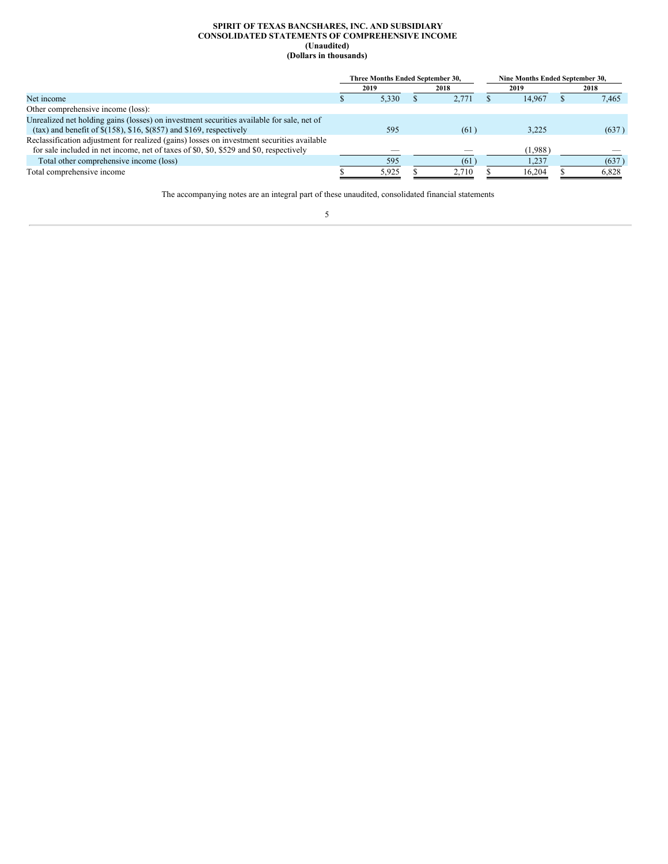#### **SPIRIT OF TEXAS BANCSHARES, INC. AND SUBSIDIARY CONSOLIDATED STATEMENTS OF COMPREHENSIVE INCOME (Unaudited) (Dollars in thousands)**

<span id="page-4-0"></span>

|                                                                                            | Three Months Ended September 30, |              |  |       | Nine Months Ended September 30, |      |       |  |  |
|--------------------------------------------------------------------------------------------|----------------------------------|--------------|--|-------|---------------------------------|------|-------|--|--|
|                                                                                            |                                  | 2019<br>2018 |  | 2019  |                                 | 2018 |       |  |  |
| Net income                                                                                 |                                  | 5.330        |  | 2.771 | 14.967                          |      | 7,465 |  |  |
| Other comprehensive income (loss):                                                         |                                  |              |  |       |                                 |      |       |  |  |
| Unrealized net holding gains (losses) on investment securities available for sale, net of  |                                  |              |  |       |                                 |      |       |  |  |
| (tax) and benefit of $\{(158), \{(857)\}$ and $\{(169), \{(169)\}$                         |                                  | 595          |  | (61)  | 3.225                           |      | (637) |  |  |
| Reclassification adjustment for realized (gains) losses on investment securities available |                                  |              |  |       |                                 |      |       |  |  |
| for sale included in net income, net of taxes of \$0, \$0, \$529 and \$0, respectively     |                                  |              |  |       | (1.988)                         |      |       |  |  |
| Total other comprehensive income (loss)                                                    |                                  | 595          |  | (61)  | 1,237                           |      | (637) |  |  |
| Total comprehensive income                                                                 |                                  | 5.925        |  | 2.710 | 16.204                          |      | 6,828 |  |  |

The accompanying notes are an integral part of these unaudited, consolidated financial statements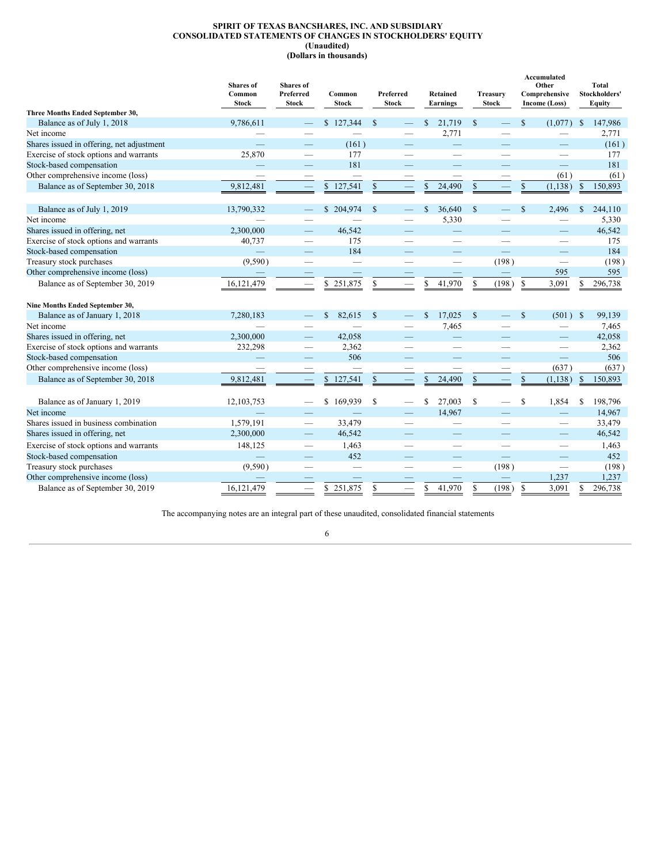## **SPIRIT OF TEXAS BANCSHARES, INC. AND SUBSIDIARY CONSOLIDATED STATEMENTS OF CHANGES IN STOCKHOLDERS' EQUITY (Unaudited) (Dollars in thousands)**

<span id="page-5-0"></span>

|                                                         | <b>Shares</b> of<br>Common<br><b>Stock</b> | <b>Shares</b> of<br>Preferred<br><b>Stock</b> | Common<br><b>Stock</b>  |              | Preferred<br><b>Stock</b>             |     | Retained<br>Earnings |              | <b>Treasury</b><br><b>Stock</b>       |               | <b>Accumulated</b><br>Other<br>Comprehensive<br>Income (Loss) |               | Total<br>Stockholders'<br><b>Equity</b> |
|---------------------------------------------------------|--------------------------------------------|-----------------------------------------------|-------------------------|--------------|---------------------------------------|-----|----------------------|--------------|---------------------------------------|---------------|---------------------------------------------------------------|---------------|-----------------------------------------|
| Three Months Ended September 30,                        | 9,786,611                                  |                                               | \$127,344               | S            |                                       |     | 21,719               | <sup>S</sup> |                                       | <sup>\$</sup> | (1,077)                                                       | <sup>\$</sup> | 147,986                                 |
| Balance as of July 1, 2018                              | $\overline{\phantom{0}}$                   |                                               |                         |              |                                       |     |                      |              |                                       |               |                                                               |               |                                         |
| Net income<br>Shares issued in offering, net adjustment |                                            |                                               | (161)                   |              |                                       |     | 2,771                |              |                                       |               |                                                               |               | 2,771<br>(161)                          |
| Exercise of stock options and warrants                  | 25,870                                     |                                               | 177                     |              |                                       |     |                      |              |                                       |               |                                                               |               | 177                                     |
| Stock-based compensation                                |                                            |                                               | 181                     |              |                                       |     |                      |              |                                       |               |                                                               |               | 181                                     |
| Other comprehensive income (loss)                       |                                            |                                               |                         |              |                                       |     |                      |              |                                       |               | (61)                                                          |               | (61)                                    |
|                                                         |                                            |                                               |                         |              |                                       |     |                      |              |                                       |               |                                                               |               |                                         |
| Balance as of September 30, 2018                        | 9,812,481                                  | $\qquad \qquad -$                             | 127,541<br>\$           | $\mathbb{S}$ | $\hspace{1.0cm} \rule{1.5cm}{0.15cm}$ | \$  | 24,490               | $\mathbb{S}$ | $\hspace{1.0cm} \rule{1.5cm}{0.15cm}$ | $\$$          | (1, 138)                                                      | \$            | 150,893                                 |
| Balance as of July 1, 2019                              | 13,790,332                                 |                                               | $\mathbb{S}$<br>204,974 | S            |                                       |     | 36,640               | $\mathbb{S}$ |                                       | <sup>\$</sup> | 2,496                                                         | \$            | 244,110                                 |
| Net income                                              |                                            |                                               |                         |              |                                       |     | 5,330                |              |                                       |               |                                                               |               | 5,330                                   |
| Shares issued in offering, net                          | 2,300,000                                  |                                               | 46,542                  |              |                                       |     |                      |              |                                       |               |                                                               |               | 46,542                                  |
| Exercise of stock options and warrants                  | 40,737                                     | -                                             | 175                     |              |                                       |     |                      |              |                                       |               | -                                                             |               | 175                                     |
| Stock-based compensation                                |                                            |                                               | 184                     |              |                                       |     |                      |              |                                       |               |                                                               |               | 184                                     |
| Treasury stock purchases                                | (9,590)                                    | $\overline{\phantom{0}}$                      |                         |              |                                       |     |                      |              | (198)                                 |               | $\overline{\phantom{0}}$                                      |               | (198)                                   |
| Other comprehensive income (loss)                       |                                            |                                               |                         |              |                                       |     |                      |              |                                       |               | 595                                                           |               | 595                                     |
| Balance as of September 30, 2019                        | 16, 121, 479                               | $\overbrace{\qquad \qquad }^{}$               | 251,875<br>\$           | \$           |                                       | \$  | 41,970               | \$           | (198)                                 | \$            | 3,091                                                         | \$            | 296,738                                 |
| Nine Months Ended September 30,                         |                                            |                                               |                         |              |                                       |     |                      |              |                                       |               |                                                               |               |                                         |
| Balance as of January 1, 2018                           | 7,280,183                                  |                                               | $\mathbb{S}$<br>82,615  | $\mathbb{S}$ |                                       | \$  | 17,025               | $\mathbf{s}$ |                                       | $\mathcal{S}$ | $(501)$ \$                                                    |               | 99,139                                  |
| Net income                                              |                                            |                                               |                         |              |                                       |     | 7,465                |              |                                       |               |                                                               |               | 7,465                                   |
| Shares issued in offering, net                          | 2,300,000                                  |                                               | 42.058                  |              |                                       |     |                      |              |                                       |               |                                                               |               | 42,058                                  |
| Exercise of stock options and warrants                  | 232,298                                    |                                               | 2,362                   |              |                                       |     |                      |              |                                       |               |                                                               |               | 2,362                                   |
| Stock-based compensation                                |                                            |                                               | 506                     |              |                                       |     |                      |              |                                       |               |                                                               |               | 506                                     |
| Other comprehensive income (loss)                       |                                            |                                               |                         |              |                                       |     |                      |              |                                       |               | (637)                                                         |               | (637)                                   |
| Balance as of September 30, 2018                        | 9,812,481                                  |                                               | 127,541<br>$\mathbb{S}$ | $\mathbb{S}$ |                                       | \$. | 24,490               | \$           |                                       | $\mathbf S$   | (1, 138)                                                      | \$            | 150,893                                 |
| Balance as of January 1, 2019                           | 12, 103, 753                               |                                               | 169,939<br>$\mathbb{S}$ | S            |                                       | \$  | 27,003               | <b>S</b>     |                                       | \$            | 1,854                                                         | \$            | 198,796                                 |
| Net income                                              |                                            |                                               |                         |              |                                       |     | 14,967               |              |                                       |               |                                                               |               | 14,967                                  |
| Shares issued in business combination                   | 1,579,191                                  |                                               | 33,479                  |              |                                       |     |                      |              |                                       |               |                                                               |               | 33,479                                  |
| Shares issued in offering, net                          | 2,300,000                                  |                                               | 46,542                  |              |                                       |     |                      |              |                                       |               |                                                               |               | 46,542                                  |
| Exercise of stock options and warrants                  | 148,125                                    |                                               | 1,463                   |              |                                       |     |                      |              |                                       |               |                                                               |               | 1,463                                   |
| Stock-based compensation                                | $\overline{\phantom{0}}$                   | $\overline{\phantom{m}}$                      | 452                     |              |                                       |     |                      |              | $\overline{\phantom{0}}$              |               |                                                               |               | 452                                     |
| Treasury stock purchases                                | (9,590)                                    | $\overline{\phantom{0}}$                      |                         |              |                                       |     |                      |              | (198)                                 |               |                                                               |               | (198)                                   |
| Other comprehensive income (loss)                       |                                            |                                               |                         |              |                                       |     |                      |              |                                       |               | 1,237                                                         |               | 1.237                                   |
| Balance as of September 30, 2019                        | 16, 121, 479                               | $\overbrace{\qquad \qquad }^{}$               | \$<br>251,875           | \$           |                                       | \$  | 41,970               | S            | (198)                                 | S             | 3,091                                                         | \$            | 296,738                                 |

The accompanying notes are an integral part of these unaudited, consolidated financial statements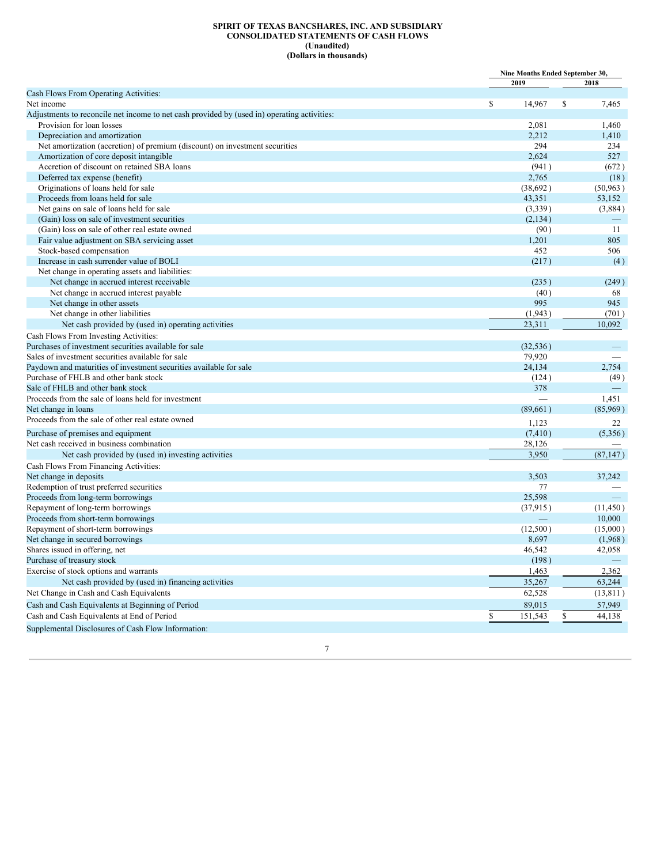#### **SPIRIT OF TEXAS BANCSHARES, INC. AND SUBSIDIARY CONSOLIDATED STATEMENTS OF CASH FLOWS (Unaudited) (Dollars in thousands)**

<span id="page-6-0"></span>

|                                                                                             |                 | Nine Months Ended September 30, |
|---------------------------------------------------------------------------------------------|-----------------|---------------------------------|
|                                                                                             | 2019            | 2018                            |
| Cash Flows From Operating Activities:                                                       |                 |                                 |
| Net income                                                                                  | S<br>14,967     | S<br>7,465                      |
| Adjustments to reconcile net income to net cash provided by (used in) operating activities: |                 |                                 |
| Provision for loan losses                                                                   | 2,081           | 1,460                           |
| Depreciation and amortization                                                               | 2,212           | 1,410                           |
| Net amortization (accretion) of premium (discount) on investment securities                 | 294             | 234                             |
| Amortization of core deposit intangible                                                     | 2.624           | 527                             |
| Accretion of discount on retained SBA loans                                                 | (941)           | (672)                           |
| Deferred tax expense (benefit)                                                              | 2,765           | (18)                            |
| Originations of loans held for sale                                                         | (38, 692)       | (50, 963)                       |
| Proceeds from loans held for sale                                                           | 43,351          | 53,152                          |
| Net gains on sale of loans held for sale                                                    | (3,339)         | (3,884)                         |
| (Gain) loss on sale of investment securities                                                | (2,134)         |                                 |
| (Gain) loss on sale of other real estate owned                                              | (90)            | 11                              |
| Fair value adjustment on SBA servicing asset                                                | 1,201           | 805                             |
| Stock-based compensation                                                                    | 452             | 506                             |
| Increase in cash surrender value of BOLI                                                    | (217)           | (4)                             |
| Net change in operating assets and liabilities:                                             |                 |                                 |
| Net change in accrued interest receivable                                                   | (235)           | (249)                           |
| Net change in accrued interest payable                                                      | (40)            | 68                              |
| Net change in other assets                                                                  | 995             | 945                             |
| Net change in other liabilities                                                             | (1, 943)        | (701)                           |
| Net cash provided by (used in) operating activities                                         | 23,311          | 10,092                          |
| Cash Flows From Investing Activities:                                                       |                 |                                 |
| Purchases of investment securities available for sale                                       | (32, 536)       |                                 |
| Sales of investment securities available for sale                                           | 79.920          |                                 |
| Paydown and maturities of investment securities available for sale                          | 24,134          | 2,754                           |
| Purchase of FHLB and other bank stock                                                       | (124)           | (49)                            |
| Sale of FHLB and other bank stock                                                           | 378             |                                 |
| Proceeds from the sale of loans held for investment                                         |                 | 1,451                           |
| Net change in loans                                                                         | (89, 661)       | (85,969)                        |
| Proceeds from the sale of other real estate owned                                           | 1,123           | 22                              |
| Purchase of premises and equipment                                                          | (7, 410)        | (5,356)                         |
| Net cash received in business combination                                                   | 28,126          |                                 |
| Net cash provided by (used in) investing activities                                         | 3.950           | (87, 147)                       |
| Cash Flows From Financing Activities:                                                       |                 |                                 |
| Net change in deposits                                                                      | 3,503           | 37,242                          |
| Redemption of trust preferred securities                                                    | 77              |                                 |
| Proceeds from long-term borrowings                                                          | 25,598          |                                 |
| Repayment of long-term borrowings                                                           | (37, 915)       | (11, 450)                       |
| Proceeds from short-term borrowings                                                         |                 | 10,000                          |
|                                                                                             | (12,500)        |                                 |
| Repayment of short-term borrowings                                                          | 8,697           | (15,000)                        |
| Net change in secured borrowings                                                            |                 | (1,968)                         |
| Shares issued in offering, net<br>Purchase of treasury stock                                | 46,542<br>(198) | 42,058                          |
|                                                                                             |                 |                                 |
| Exercise of stock options and warrants                                                      | 1,463           | 2,362                           |
| Net cash provided by (used in) financing activities                                         | 35,267          | 63,244                          |
| Net Change in Cash and Cash Equivalents                                                     | 62,528          | (13, 811)                       |
| Cash and Cash Equivalents at Beginning of Period                                            | 89,015          | 57,949                          |
| Cash and Cash Equivalents at End of Period                                                  | 151,543<br>S    | \$<br>44,138                    |
| Supplemental Disclosures of Cash Flow Information:                                          |                 |                                 |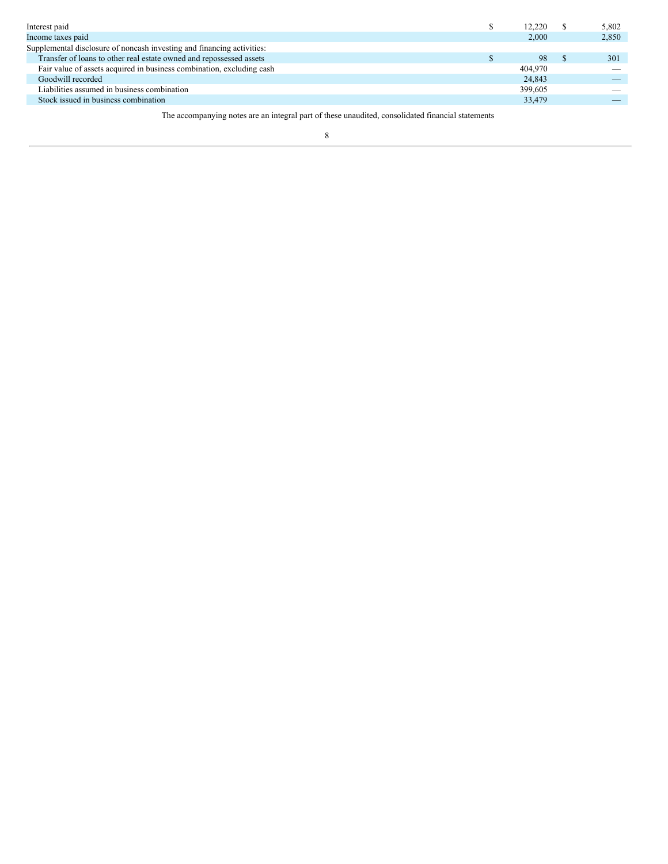| Interest paid                                                          | 12.220  | 5,802 |
|------------------------------------------------------------------------|---------|-------|
| Income taxes paid                                                      | 2.000   | 2,850 |
| Supplemental disclosure of noncash investing and financing activities: |         |       |
| Transfer of loans to other real estate owned and repossessed assets    | 98      | 301   |
| Fair value of assets acquired in business combination, excluding cash  | 404,970 |       |
| Goodwill recorded                                                      | 24,843  |       |
| Liabilities assumed in business combination                            | 399.605 |       |
| Stock issued in business combination                                   | 33,479  |       |
|                                                                        |         |       |

The accompanying notes are an integral part of these unaudited, consolidated financial statements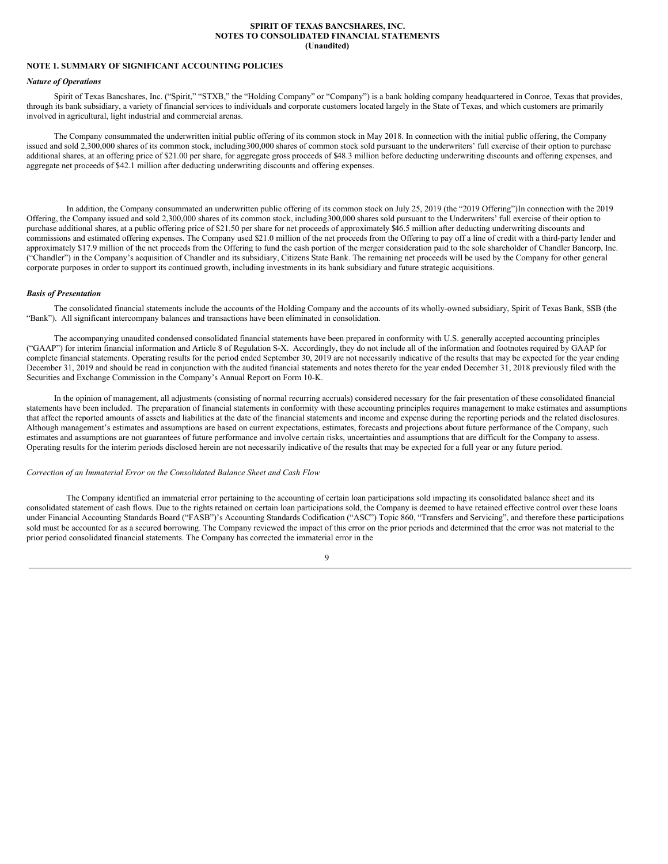#### **SPIRIT OF TEXAS BANCSHARES, INC. NOTES TO CONSOLIDATED FINANCIAL STATEMENTS (Unaudited)**

## <span id="page-8-0"></span>**NOTE 1. SUMMARY OF SIGNIFICANT ACCOUNTING POLICIES**

#### *Nature of Operations*

Spirit of Texas Bancshares, Inc. ("Spirit," "STXB," the "Holding Company" or "Company") is a bank holding company headquartered in Conroe, Texas that provides, through its bank subsidiary, a variety of financial services to individuals and corporate customers located largely in the State of Texas, and which customers are primarily involved in agricultural, light industrial and commercial arenas.

The Company consummated the underwritten initial public offering of its common stock in May 2018. In connection with the initial public offering, the Company issued and sold 2,300,000 shares of its common stock, including 300,000 shares of common stock sold pursuant to the underwriters' full exercise of their option to purchase additional shares, at an offering price of \$21.00 per share, for aggregate gross proceeds of \$48.3 million before deducting underwriting discounts and offering expenses, and aggregate net proceeds of \$42.1 million after deducting underwriting discounts and offering expenses.

In addition, the Company consummated an underwritten public offering of its common stock on July 25, 2019 (the "2019 Offering")In connection with the 2019 Offering, the Company issued and sold 2,300,000 shares of its common stock, including300,000 shares sold pursuant to the Underwriters' full exercise of their option to purchase additional shares, at a public offering price of \$21.50 per share for net proceeds of approximately \$46.5 million after deducting underwriting discounts and commissions and estimated offering expenses. The Company used \$21.0 million of the net proceeds from the Offering to pay off a line of credit with a third-party lender and approximately \$17.9 million of the net proceeds from the Offering to fund the cash portion of the merger consideration paid to the sole shareholder of Chandler Bancorp, Inc. ("Chandler") in the Company's acquisition of Chandler and its subsidiary, Citizens State Bank. The remaining net proceeds will be used by the Company for other general corporate purposes in order to support its continued growth, including investments in its bank subsidiary and future strategic acquisitions.

#### *Basis of Presentation*

The consolidated financial statements include the accounts of the Holding Company and the accounts of its wholly-owned subsidiary, Spirit of Texas Bank, SSB (the "Bank"). All significant intercompany balances and transactions have been eliminated in consolidation.

The accompanying unaudited condensed consolidated financial statements have been prepared in conformity with U.S. generally accepted accounting principles ("GAAP") for interim financial information and Article 8 of Regulation S-X. Accordingly, they do not include all of the information and footnotes required by GAAP for complete financial statements. Operating results for the period ended September 30, 2019 are not necessarily indicative of the results that may be expected for the year ending December 31, 2019 and should be read in conjunction with the audited financial statements and notes thereto for the year ended December 31, 2018 previously filed with the Securities and Exchange Commission in the Company's Annual Report on Form 10-K.

In the opinion of management, all adjustments (consisting of normal recurring accruals) considered necessary for the fair presentation of these consolidated financial statements have been included. The preparation of financial statements in conformity with these accounting principles requires management to make estimates and assumptions that affect the reported amounts of assets and liabilities at the date of the financial statements and income and expense during the reporting periods and the related disclosures. Although management's estimates and assumptions are based on current expectations, estimates, forecasts and projections about future performance of the Company, such estimates and assumptions are not guarantees of future performance and involve certain risks, uncertainties and assumptions that are difficult for the Company to assess. Operating results for the interim periods disclosed herein are not necessarily indicative of the results that may be expected for a full year or any future period.

## *Correction of an Immaterial Error on the Consolidated Balance Sheet and Cash Flow*

The Company identified an immaterial error pertaining to the accounting of certain loan participations sold impacting its consolidated balance sheet and its consolidated statement of cash flows. Due to the rights retained on certain loan participations sold, the Company is deemed to have retained effective control over these loans under Financial Accounting Standards Board ("FASB")'s Accounting Standards Codification ("ASC") Topic 860, "Transfers and Servicing", and therefore these participations sold must be accounted for as a secured borrowing. The Company reviewed the impact of this error on the prior periods and determined that the error was not material to the prior period consolidated financial statements. The Company has corrected the immaterial error in the

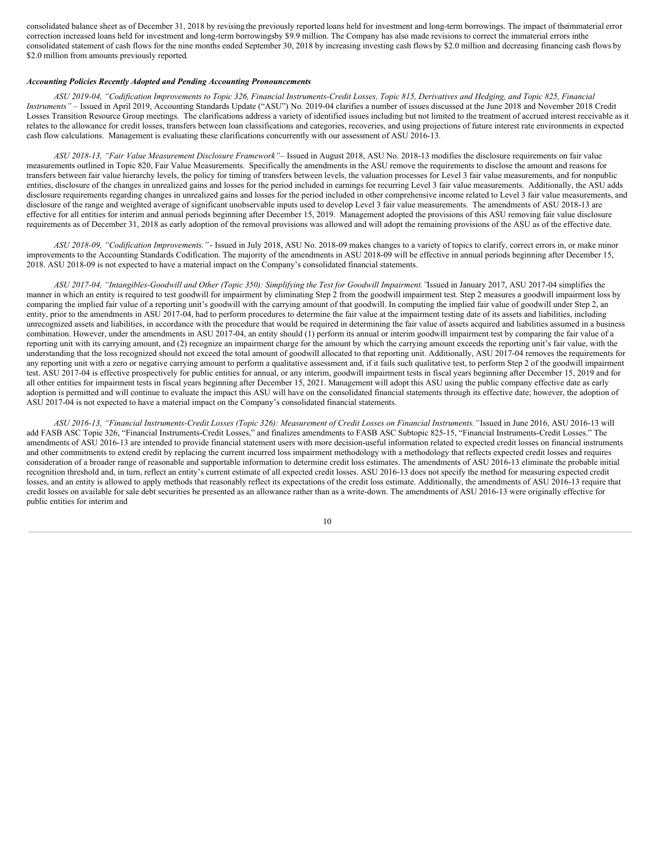consolidated balance sheet as of December 31, 2018 by revising the previously reported loans held for investment and long-term borrowings. The impact of theimmaterial error correction increased loans held for investment and long-term borrowingsby \$9.9 million. The Company has also made revisions to correct the immaterial errors inthe consolidated statement of cash flows for the nine months ended September 30, 2018 by increasing investing cash flows by \$2.0 million and decreasing financing cash flows by \$2.0 million from amounts previously reported.

#### *Accounting Policies Recently Adopted and Pending Accounting Pronouncements*

ASU 2019-04, "Codification Improvements to Topic 326, Financial Instruments-Credit Losses, Topic 815, Derivatives and Hedging, and Topic 825, Financial *Instruments" –* Issued in April 2019, Accounting Standards Update ("ASU") No. 2019-04 clarifies a number of issues discussed at the June 2018 and November 2018 Credit Losses Transition Resource Group meetings. The clarifications address a variety of identified issues including but not limited to the treatment of accrued interest receivable as it relates to the allowance for credit losses, transfers between loan classifications and categories, recoveries, and using projections of future interest rate environments in expected cash flow calculations. Management is evaluating these clarifications concurrently with our assessment of ASU 2016-13.

*ASU 2018-13, "Fair Value Measurement Disclosure Framework"*– Issued in August 2018, ASU No. 2018-13 modifies the disclosure requirements on fair value measurements outlined in Topic 820, Fair Value Measurements. Specifically the amendments in the ASU remove the requirements to disclose the amount and reasons for transfers between fair value hierarchy levels, the policy for timing of transfers between levels, the valuation processes for Level 3 fair value measurements, and for nonpublic entities, disclosure of the changes in unrealized gains and losses for the period included in earnings for recurring Level 3 fair value measurements. Additionally, the ASU adds disclosure requirements regarding changes in unrealized gains and losses for the period included in other comprehensive income related to Level 3 fair value measurements, and disclosure of the range and weighted average of significant unobservable inputs used to develop Level 3 fair value measurements. The amendments of ASU 2018-13 are effective for all entities for interim and annual periods beginning after December 15, 2019. Management adopted the provisions of this ASU removing fair value disclosure requirements as of December 31, 2018 as early adoption of the removal provisions was allowed and will adopt the remaining provisions of the ASU as of the effective date.

*ASU 2018-09, "Codification Improvements."* - Issued in July 2018, ASU No. 2018-09 makes changes to a variety of topics to clarify, correct errors in, or make minor improvements to the Accounting Standards Codification. The majority of the amendments in ASU 2018-09 will be effective in annual periods beginning after December 15, 2018. ASU 2018-09 is not expected to have a material impact on the Company's consolidated financial statements.

ASU 2017-04, "Intangibles-Goodwill and Other (Topic 350): Simplifying the Test for Goodwill Impairment. "Issued in January 2017, ASU 2017-04 simplifies the manner in which an entity is required to test goodwill for impairment by eliminating Step 2 from the goodwill impairment test. Step 2 measures a goodwill impairment loss by comparing the implied fair value of a reporting unit's goodwill with the carrying amount of that goodwill. In computing the implied fair value of goodwill under Step 2, an entity, prior to the amendments in ASU 2017-04, had to perform procedures to determine the fair value at the impairment testing date of its assets and liabilities, including unrecognized assets and liabilities, in accordance with the procedure that would be required in determining the fair value of assets acquired and liabilities assumed in a business combination. However, under the amendments in ASU 2017-04, an entity should (1) perform its annual or interim goodwill impairment test by comparing the fair value of a reporting unit with its carrying amount, and (2) recognize an impairment charge for the amount by which the carrying amount exceeds the reporting unit's fair value, with the understanding that the loss recognized should not exceed the total amount of goodwill allocated to that reporting unit. Additionally, ASU 2017-04 removes the requirements for any reporting unit with a zero or negative carrying amount to perform a qualitative assessment and, if it fails such qualitative test, to perform Step 2 of the goodwill impairment test. ASU 2017-04 is effective prospectively for public entities for annual, or any interim, goodwill impairment tests in fiscal years beginning after December 15, 2019 and for all other entities for impairment tests in fiscal years beginning after December 15, 2021. Management will adopt this ASU using the public company effective date as early adoption is permitted and will continue to evaluate the impact this ASU will have on the consolidated financial statements through its effective date; however, the adoption of ASU 2017-04 is not expected to have a material impact on the Company's consolidated financial statements.

ASU 2016-13, "Financial Instruments-Credit Losses (Topic 326): Measurement of Credit Losses on Financial Instruments."Issued in June 2016, ASU 2016-13 will add FASB ASC Topic 326, "Financial Instruments-Credit Losses," and finalizes amendments to FASB ASC Subtopic 825-15, "Financial Instruments-Credit Losses." The amendments of ASU 2016-13 are intended to provide financial statement users with more decision-useful information related to expected credit losses on financial instruments and other commitments to extend credit by replacing the current incurred loss impairment methodology with a methodology that reflects expected credit losses and requires consideration of a broader range of reasonable and supportable information to determine credit loss estimates. The amendments of ASU 2016-13 eliminate the probable initial recognition threshold and, in turn, reflect an entity's current estimate of all expected credit losses. ASU 2016-13 does not specify the method for measuring expected credit losses, and an entity is allowed to apply methods that reasonably reflect its expectations of the credit loss estimate. Additionally, the amendments of ASU 2016-13 require that credit losses on available for sale debt securities be presented as an allowance rather than as a write-down. The amendments of ASU 2016-13 were originally effective for public entities for interim and

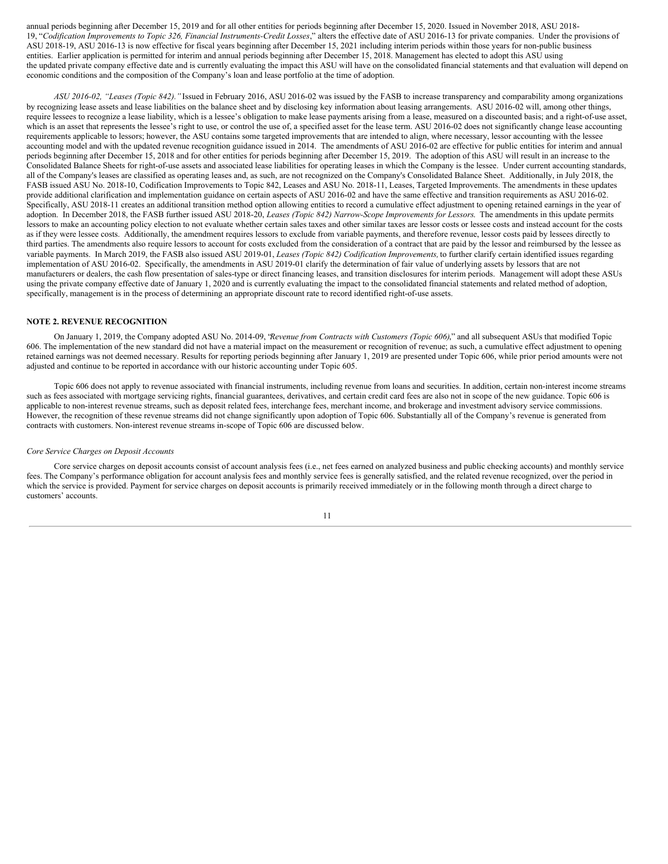annual periods beginning after December 15, 2019 and for all other entities for periods beginning after December 15, 2020. Issued in November 2018, ASU 2018- 19, "Codification Improvements to Topic 326, Financial Instruments-Credit Losses," alters the effective date of ASU 2016-13 for private companies. Under the provisions of ASU 2018-19, ASU 2016-13 is now effective for fiscal years beginning after December 15, 2021 including interim periods within those years for non-public business entities. Earlier application is permitted for interim and annual periods beginning after December 15, 2018. Management has elected to adopt this ASU using the updated private company effective date and is currently evaluating the impact this ASU will have on the consolidated financial statements and that evaluation will depend on economic conditions and the composition of the Company's loan and lease portfolio at the time of adoption.

*ASU 2016-02, "Leases (Topic 842)."* Issued in February 2016, ASU 2016-02 was issued by the FASB to increase transparency and comparability among organizations by recognizing lease assets and lease liabilities on the balance sheet and by disclosing key information about leasing arrangements. ASU 2016-02 will, among other things, require lessees to recognize a lease liability, which is a lessee's obligation to make lease payments arising from a lease, measured on a discounted basis; and a right-of-use asset, which is an asset that represents the lessee's right to use, or control the use of, a specified asset for the lease term. ASU 2016-02 does not significantly change lease accounting requirements applicable to lessors; however, the ASU contains some targeted improvements that are intended to align, where necessary, lessor accounting with the lessee accounting model and with the updated revenue recognition guidance issued in 2014. The amendments of ASU 2016-02 are effective for public entities for interim and annual periods beginning after December 15, 2018 and for other entities for periods beginning after December 15, 2019. The adoption of this ASU will result in an increase to the Consolidated Balance Sheets for right-of-use assets and associated lease liabilities for operating leases in which the Company is the lessee. Under current accounting standards, all of the Company's leases are classified as operating leases and, as such, are not recognized on the Company's Consolidated Balance Sheet. Additionally, in July 2018, the FASB issued ASU No. 2018-10, Codification Improvements to Topic 842, Leases and ASU No. 2018-11, Leases, Targeted Improvements. The amendments in these updates provide additional clarification and implementation guidance on certain aspects of ASU 2016-02 and have the same effective and transition requirements as ASU 2016-02. Specifically, ASU 2018-11 creates an additional transition method option allowing entities to record a cumulative effect adjustment to opening retained earnings in the year of adoption. In December 2018, the FASB further issued ASU 2018-20, *Leases (Topic 842) Narrow-Scope Improvements for Lessors*. The amendments in this update permits lessors to make an accounting policy election to not evaluate whether certain sales taxes and other similar taxes are lessor costs or lessee costs and instead account for the costs as if they were lessee costs. Additionally, the amendment requires lessors to exclude from variable payments, and therefore revenue, lessor costs paid by lessees directly to third parties. The amendments also require lessors to account for costs excluded from the consideration of a contract that are paid by the lessor and reimbursed by the lessee as variable payments. In March 2019, the FASB also issued ASU 2019-01, *Leases (Topic 842) Codification Improvements,* to further clarify certain identified issues regarding implementation of ASU 2016-02. Specifically, the amendments in ASU 2019-01 clarify the determination of fair value of underlying assets by lessors that are not manufacturers or dealers, the cash flow presentation of sales-type or direct financing leases, and transition disclosures for interim periods. Management will adopt these ASUs using the private company effective date of January 1, 2020 and is currently evaluating the impact to the consolidated financial statements and related method of adoption, specifically, management is in the process of determining an appropriate discount rate to record identified right-of-use assets.

#### **NOTE 2. REVENUE RECOGNITION**

On January 1, 2019, the Company adopted ASU No. 2014-09, "*Revenue from Contracts with Customers (Topic 606)*," and all subsequent ASUs that modified Topic 606. The implementation of the new standard did not have a material impact on the measurement or recognition of revenue; as such, a cumulative effect adjustment to opening retained earnings was not deemed necessary. Results for reporting periods beginning after January 1, 2019 are presented under Topic 606, while prior period amounts were not adjusted and continue to be reported in accordance with our historic accounting under Topic 605.

Topic 606 does not apply to revenue associated with financial instruments, including revenue from loans and securities. In addition, certain non-interest income streams such as fees associated with mortgage servicing rights, financial guarantees, derivatives, and certain credit card fees are also not in scope of the new guidance. Topic 606 is applicable to non-interest revenue streams, such as deposit related fees, interchange fees, merchant income, and brokerage and investment advisory service commissions. However, the recognition of these revenue streams did not change significantly upon adoption of Topic 606. Substantially all of the Company's revenue is generated from contracts with customers. Non-interest revenue streams in-scope of Topic 606 are discussed below.

#### *Core Service Charges on Deposit Accounts*

Core service charges on deposit accounts consist of account analysis fees (i.e., net fees earned on analyzed business and public checking accounts) and monthly service fees. The Company's performance obligation for account analysis fees and monthly service fees is generally satisfied, and the related revenue recognized, over the period in which the service is provided. Payment for service charges on deposit accounts is primarily received immediately or in the following month through a direct charge to customers' accounts.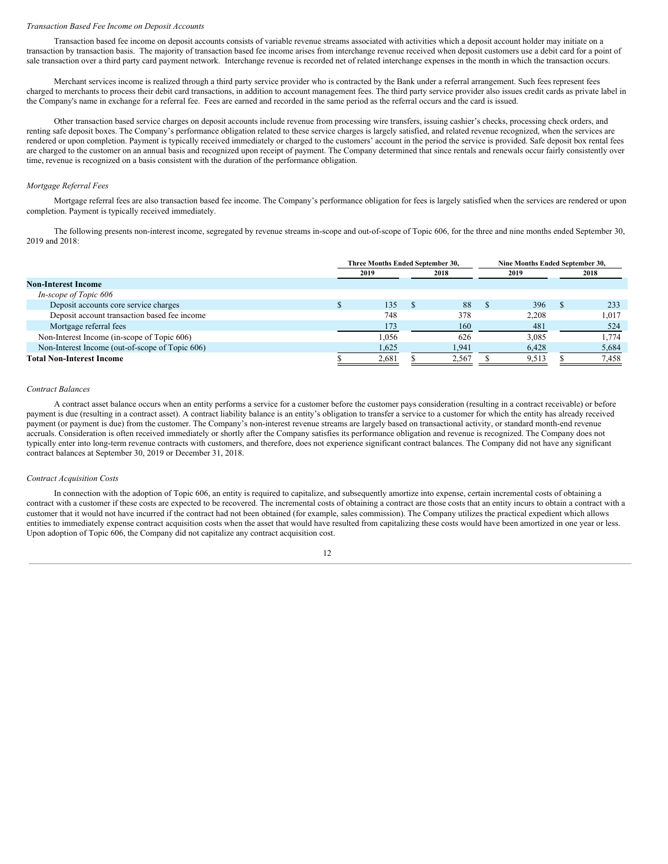#### *Transaction Based Fee Income on Deposit Accounts*

Transaction based fee income on deposit accounts consists of variable revenue streams associated with activities which a deposit account holder may initiate on a transaction by transaction basis. The majority of transaction based fee income arises from interchange revenue received when deposit customers use a debit card for a point of sale transaction over a third party card payment network. Interchange revenue is recorded net of related interchange expenses in the month in which the transaction occurs.

Merchant services income is realized through a third party service provider who is contracted by the Bank under a referral arrangement. Such fees represent fees charged to merchants to process their debit card transactions, in addition to account management fees. The third party service provider also issues credit cards as private label in the Company's name in exchange for a referral fee. Fees are earned and recorded in the same period as the referral occurs and the card is issued.

Other transaction based service charges on deposit accounts include revenue from processing wire transfers, issuing cashier's checks, processing check orders, and renting safe deposit boxes. The Company's performance obligation related to these service charges is largely satisfied, and related revenue recognized, when the services are rendered or upon completion. Payment is typically received immediately or charged to the customers' account in the period the service is provided. Safe deposit box rental fees are charged to the customer on an annual basis and recognized upon receipt of payment. The Company determined that since rentals and renewals occur fairly consistently over time, revenue is recognized on a basis consistent with the duration of the performance obligation.

#### *Mortgage Referral Fees*

Mortgage referral fees are also transaction based fee income. The Company's performance obligation for fees is largely satisfied when the services are rendered or upon completion. Payment is typically received immediately.

The following presents non-interest income, segregated by revenue streams in-scope and out-of-scope of Topic 606, for the three and nine months ended September 30, 2019 and 2018:

|                                                 | Three Months Ended September 30, |       |      |       |          | Nine Months Ended September 30, |  |       |  |
|-------------------------------------------------|----------------------------------|-------|------|-------|----------|---------------------------------|--|-------|--|
|                                                 | 2019<br>2018                     |       | 2019 |       |          | 2018                            |  |       |  |
| <b>Non-Interest Income</b>                      |                                  |       |      |       |          |                                 |  |       |  |
| In-scope of Topic 606                           |                                  |       |      |       |          |                                 |  |       |  |
| Deposit accounts core service charges           |                                  | 135   |      | 88    | <b>S</b> | 396                             |  | 233   |  |
| Deposit account transaction based fee income    |                                  | 748   |      | 378   |          | 2.208                           |  | 1.017 |  |
| Mortgage referral fees                          |                                  | 173   |      | 160   |          | 481                             |  | 524   |  |
| Non-Interest Income (in-scope of Topic 606)     |                                  | 1.056 |      | 626   |          | 3,085                           |  | 1.774 |  |
| Non-Interest Income (out-of-scope of Topic 606) |                                  | 1,625 |      | 1,941 |          | 6,428                           |  | 5,684 |  |
| <b>Total Non-Interest Income</b>                |                                  | 2,681 |      | 2,567 |          | 9,513                           |  | 7,458 |  |

## *Contract Balances*

A contract asset balance occurs when an entity performs a service for a customer before the customer pays consideration (resulting in a contract receivable) or before payment is due (resulting in a contract asset). A contract liability balance is an entity's obligation to transfer a service to a customer for which the entity has already received payment (or payment is due) from the customer. The Company's non-interest revenue streams are largely based on transactional activity, or standard month-end revenue accruals. Consideration is often received immediately or shortly after the Company satisfies its performance obligation and revenue is recognized. The Company does not typically enter into long-term revenue contracts with customers, and therefore, does not experience significant contract balances. The Company did not have any significant contract balances at September 30, 2019 or December 31, 2018.

## *Contract Acquisition Costs*

In connection with the adoption of Topic 606, an entity is required to capitalize, and subsequently amortize into expense, certain incremental costs of obtaining a contract with a customer if these costs are expected to be recovered. The incremental costs of obtaining a contract are those costs that an entity incurs to obtain a contract with a customer that it would not have incurred if the contract had not been obtained (for example, sales commission). The Company utilizes the practical expedient which allows entities to immediately expense contract acquisition costs when the asset that would have resulted from capitalizing these costs would have been amortized in one year or less. Upon adoption of Topic 606, the Company did not capitalize any contract acquisition cost.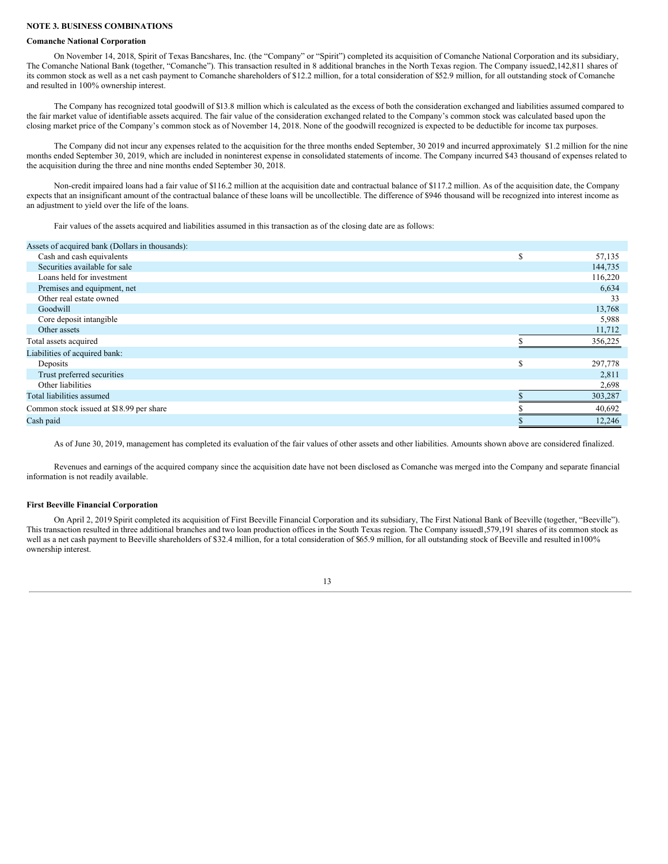## **NOTE 3. BUSINESS COMBINATIONS**

## **Comanche National Corporation**

On November 14, 2018, Spirit of Texas Bancshares, Inc. (the "Company" or "Spirit") completed its acquisition of Comanche National Corporation and its subsidiary, The Comanche National Bank (together, "Comanche"). This transaction resulted in 8 additional branches in the North Texas region. The Company issued2,142,811 shares of its common stock as well as a net cash payment to Comanche shareholders of \$12.2 million, for a total consideration of \$52.9 million, for all outstanding stock of Comanche and resulted in 100% ownership interest.

The Company has recognized total goodwill of \$13.8 million which is calculated as the excess of both the consideration exchanged and liabilities assumed compared to the fair market value of identifiable assets acquired. The fair value of the consideration exchanged related to the Company's common stock was calculated based upon the closing market price of the Company's common stock as of November 14, 2018. None of the goodwill recognized is expected to be deductible for income tax purposes.

The Company did not incur any expenses related to the acquisition for the three months ended September, 30 2019 and incurred approximately \$1.2 million for the nine months ended September 30, 2019, which are included in noninterest expense in consolidated statements of income. The Company incurred \$43 thousand of expenses related to the acquisition during the three and nine months ended September 30, 2018.

Non-credit impaired loans had a fair value of \$116.2 million at the acquisition date and contractual balance of \$117.2 million. As of the acquisition date, the Company expects that an insignificant amount of the contractual balance of these loans will be uncollectible. The difference of \$946 thousand will be recognized into interest income as an adjustment to yield over the life of the loans.

Fair values of the assets acquired and liabilities assumed in this transaction as of the closing date are as follows:

| Assets of acquired bank (Dollars in thousands): |   |         |
|-------------------------------------------------|---|---------|
| Cash and cash equivalents                       | S | 57,135  |
| Securities available for sale                   |   | 144,735 |
| Loans held for investment                       |   | 116,220 |
| Premises and equipment, net                     |   | 6,634   |
| Other real estate owned                         |   | 33      |
| Goodwill                                        |   | 13,768  |
| Core deposit intangible                         |   | 5,988   |
| Other assets                                    |   | 11,712  |
| Total assets acquired                           |   | 356,225 |
| Liabilities of acquired bank:                   |   |         |
| Deposits                                        | S | 297,778 |
| Trust preferred securities                      |   | 2,811   |
| Other liabilities                               |   | 2,698   |
| Total liabilities assumed                       |   | 303,287 |
| Common stock issued at \$18.99 per share        |   | 40,692  |
| Cash paid                                       |   | 12,246  |

As of June 30, 2019, management has completed its evaluation of the fair values of other assets and other liabilities. Amounts shown above are considered finalized.

Revenues and earnings of the acquired company since the acquisition date have not been disclosed as Comanche was merged into the Company and separate financial information is not readily available.

## **First Beeville Financial Corporation**

On April 2, 2019 Spirit completed its acquisition of First Beeville Financial Corporation and its subsidiary, The First National Bank of Beeville (together, "Beeville"). This transaction resulted in three additional branches and two loan production offices in the South Texas region. The Company issued1,579,191 shares of its common stock as well as a net cash payment to Beeville shareholders of \$32.4 million, for a total consideration of \$65.9 million, for all outstanding stock of Beeville and resulted in100% ownership interest.

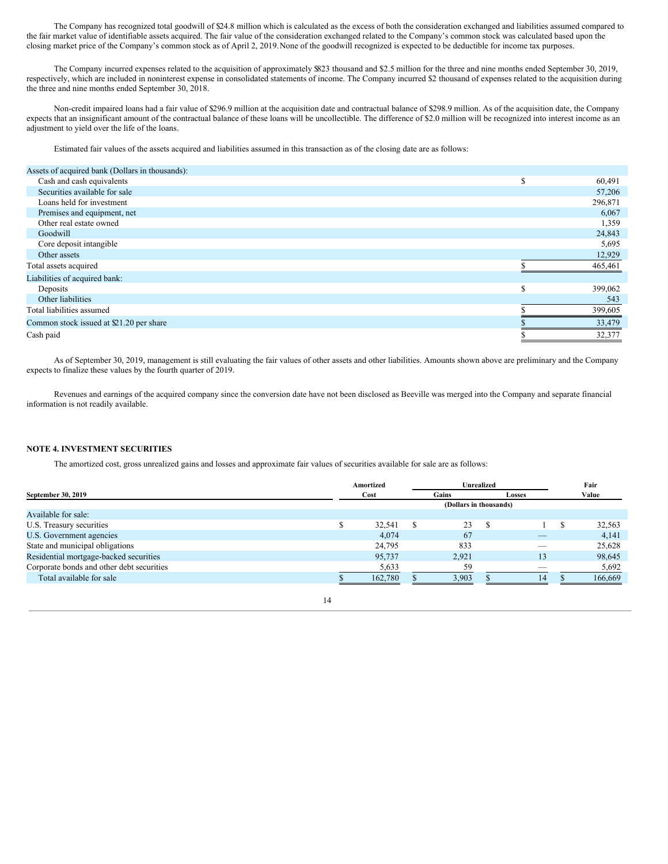The Company has recognized total goodwill of \$24.8 million which is calculated as the excess of both the consideration exchanged and liabilities assumed compared to the fair market value of identifiable assets acquired. The fair value of the consideration exchanged related to the Company's common stock was calculated based upon the closing market price of the Company's common stock as of April 2, 2019.None of the goodwill recognized is expected to be deductible for income tax purposes.

The Company incurred expenses related to the acquisition of approximately \$823 thousand and \$2.5 million for the three and nine months ended September 30, 2019, respectively, which are included in noninterest expense in consolidated statements of income. The Company incurred \$2 thousand of expenses related to the acquisition during the three and nine months ended September 30, 2018.

Non-credit impaired loans had a fair value of \$296.9 million at the acquisition date and contractual balance of \$298.9 million. As of the acquisition date, the Company expects that an insignificant amount of the contractual balance of these loans will be uncollectible. The difference of \$2.0 million will be recognized into interest income as an adjustment to yield over the life of the loans.

Estimated fair values of the assets acquired and liabilities assumed in this transaction as of the closing date are as follows:

| Assets of acquired bank (Dollars in thousands): |    |         |
|-------------------------------------------------|----|---------|
| Cash and cash equivalents                       | S  | 60,491  |
| Securities available for sale                   |    | 57,206  |
| Loans held for investment                       |    | 296,871 |
| Premises and equipment, net                     |    | 6,067   |
| Other real estate owned                         |    | 1,359   |
| Goodwill                                        |    | 24,843  |
| Core deposit intangible                         |    | 5,695   |
| Other assets                                    |    | 12,929  |
| Total assets acquired                           |    | 465,461 |
| Liabilities of acquired bank:                   |    |         |
| Deposits                                        | \$ | 399,062 |
| Other liabilities                               |    | 543     |
| Total liabilities assumed                       |    | 399,605 |
| Common stock issued at \$21.20 per share        |    | 33,479  |
| Cash paid                                       |    | 32,377  |

As of September 30, 2019, management is still evaluating the fair values of other assets and other liabilities. Amounts shown above are preliminary and the Company expects to finalize these values by the fourth quarter of 2019.

Revenues and earnings of the acquired company since the conversion date have not been disclosed as Beeville was merged into the Company and separate financial information is not readily available.

## **NOTE 4. INVESTMENT SECURITIES**

The amortized cost, gross unrealized gains and losses and approximate fair values of securities available for sale are as follows:

|                                           | Amortized |                        | <b>Unrealized</b> |               | Fair    |
|-------------------------------------------|-----------|------------------------|-------------------|---------------|---------|
| September 30, 2019                        | Cost      | Gains                  |                   | <b>Losses</b> | Value   |
|                                           |           | (Dollars in thousands) |                   |               |         |
| Available for sale:                       |           |                        |                   |               |         |
| U.S. Treasury securities                  | 32,541    | 23                     | -S                |               | 32,563  |
| U.S. Government agencies                  | 4,074     | 67                     |                   |               | 4.141   |
| State and municipal obligations           | 24,795    | 833                    |                   |               | 25,628  |
| Residential mortgage-backed securities    | 95,737    | 2,921                  |                   | 13            | 98,645  |
| Corporate bonds and other debt securities | 5,633     | 59                     |                   |               | 5,692   |
| Total available for sale                  | 162,780   | 3.903                  |                   | 14            | 166,669 |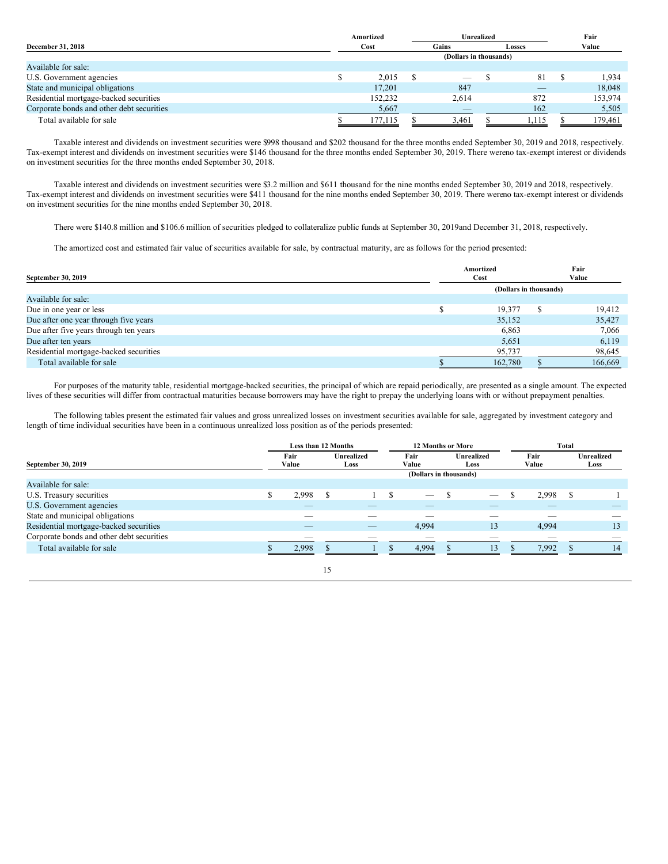|                                           | Amortized | Unrealized               |  | Fair                     |         |
|-------------------------------------------|-----------|--------------------------|--|--------------------------|---------|
| <b>December 31, 2018</b>                  | Cost      | Gains                    |  | <b>Losses</b>            | Value   |
|                                           |           | (Dollars in thousands)   |  |                          |         |
| Available for sale:                       |           |                          |  |                          |         |
| U.S. Government agencies                  | 2.015     | $\overline{\phantom{a}}$ |  | 81                       | 1.934   |
| State and municipal obligations           | 17.201    | 847                      |  | $\overline{\phantom{a}}$ | 18.048  |
| Residential mortgage-backed securities    | 152,232   | 2,614                    |  | 872                      | 153,974 |
| Corporate bonds and other debt securities | 5,667     | $\overline{\phantom{a}}$ |  | 162                      | 5,505   |
| Total available for sale                  | 177,115   | 3,461                    |  | 1,115                    | 179,461 |

Taxable interest and dividends on investment securities were \$998 thousand and \$202 thousand for the three months ended September 30, 2019 and 2018, respectively. Tax-exempt interest and dividends on investment securities were \$146 thousand for the three months ended September 30, 2019. There wereno tax-exempt interest or dividends on investment securities for the three months ended September 30, 2018.

Taxable interest and dividends on investment securities were \$3.2 million and \$611 thousand for the nine months ended September 30, 2019 and 2018, respectively. Tax-exempt interest and dividends on investment securities were \$411 thousand for the nine months ended September 30, 2019. There wereno tax-exempt interest or dividends on investment securities for the nine months ended September 30, 2018.

There were \$140.8 million and \$106.6 million of securities pledged to collateralize public funds at September 30, 2019and December 31, 2018, respectively.

The amortized cost and estimated fair value of securities available for sale, by contractual maturity, are as follows for the period presented:

| September 30, 2019                     | Amortized<br>Cost |                        |     | Fair<br>Value |
|----------------------------------------|-------------------|------------------------|-----|---------------|
|                                        |                   | (Dollars in thousands) |     |               |
| Available for sale:                    |                   |                        |     |               |
| Due in one year or less                |                   | 19.377                 | \$. | 19,412        |
| Due after one year through five years  |                   | 35,152                 |     | 35,427        |
| Due after five years through ten years |                   | 6,863                  |     | 7,066         |
| Due after ten years                    |                   | 5,651                  |     | 6,119         |
| Residential mortgage-backed securities |                   | 95,737                 |     | 98,645        |
| Total available for sale               |                   | 162,780                |     | 166,669       |

For purposes of the maturity table, residential mortgage-backed securities, the principal of which are repaid periodically, are presented as a single amount. The expected lives of these securities will differ from contractual maturities because borrowers may have the right to prepay the underlying loans with or without prepayment penalties.

The following tables present the estimated fair values and gross unrealized losses on investment securities available for sale, aggregated by investment category and length of time individual securities have been in a continuous unrealized loss position as of the periods presented:

|                                           |   | <b>Less than 12 Months</b> |    | 12 Months or More  |                        |                          |      |                          | Total             |       |   |                           |
|-------------------------------------------|---|----------------------------|----|--------------------|------------------------|--------------------------|------|--------------------------|-------------------|-------|---|---------------------------|
| September 30, 2019                        |   | Fair<br>Value              |    | Unrealized<br>Loss | Fair<br>Value          |                          | Loss |                          | <b>Unrealized</b> |       |   | <b>Unrealized</b><br>Loss |
|                                           |   |                            |    |                    | (Dollars in thousands) |                          |      |                          |                   |       |   |                           |
| Available for sale:                       |   |                            |    |                    |                        |                          |      |                          |                   |       |   |                           |
| U.S. Treasury securities                  | S | 2,998                      | S  |                    |                        |                          |      |                          | S                 | 2,998 | S |                           |
| U.S. Government agencies                  |   | $\overline{\phantom{a}}$   |    | _                  |                        | $\overline{\phantom{a}}$ |      | _                        |                   |       |   |                           |
| State and municipal obligations           |   | $\sim$                     |    |                    |                        | $\sim$                   |      | $\overline{\phantom{a}}$ |                   |       |   | $-$                       |
| Residential mortgage-backed securities    |   | _                          |    | _                  |                        | 4,994                    |      | 13                       |                   | 4.994 |   | 13                        |
| Corporate bonds and other debt securities |   |                            |    |                    |                        |                          |      |                          |                   |       |   |                           |
| Total available for sale                  |   | 2,998                      |    |                    |                        | 4.994                    |      | 13                       |                   | 7.992 |   | 14                        |
|                                           |   |                            |    |                    |                        |                          |      |                          |                   |       |   |                           |
|                                           |   |                            | 15 |                    |                        |                          |      |                          |                   |       |   |                           |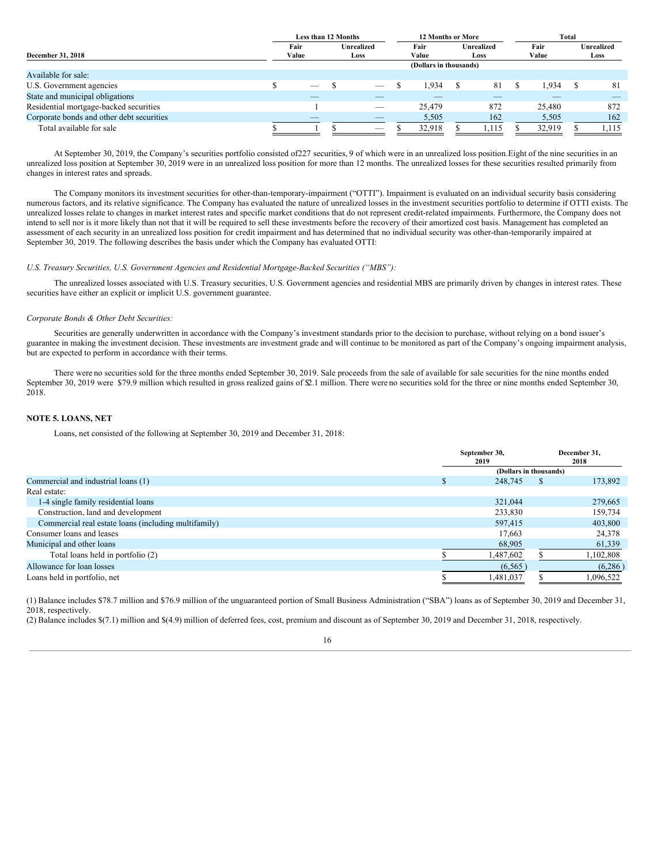|                                           |  | Less than 12 Months             |  |                          |               | <b>12 Months or More</b> |  |            |  | Total  |      |                   |  |
|-------------------------------------------|--|---------------------------------|--|--------------------------|---------------|--------------------------|--|------------|--|--------|------|-------------------|--|
|                                           |  | Fair                            |  | Unrealized               |               | Fair                     |  | Unrealized |  | Fair   |      | <b>Unrealized</b> |  |
| <b>December 31, 2018</b>                  |  | Value<br>Loss                   |  |                          | Value<br>Loss |                          |  | Value      |  |        | Loss |                   |  |
|                                           |  | (Dollars in thousands)          |  |                          |               |                          |  |            |  |        |      |                   |  |
| Available for sale:                       |  |                                 |  |                          |               |                          |  |            |  |        |      |                   |  |
| U.S. Government agencies                  |  | $\hspace{0.1mm}-\hspace{0.1mm}$ |  | _                        |               | 1.934                    |  | 81         |  | .934   |      | 81                |  |
| State and municipal obligations           |  | _                               |  |                          |               |                          |  |            |  |        |      |                   |  |
| Residential mortgage-backed securities    |  |                                 |  | $\overline{\phantom{a}}$ |               | 25.479                   |  | 872        |  | 25,480 |      | 872               |  |
| Corporate bonds and other debt securities |  | $-$                             |  | _                        |               | 5,505                    |  | 162        |  | 5,505  |      | 162               |  |
| Total available for sale                  |  |                                 |  | $-$                      |               | 32,918                   |  | l,115      |  | 32,919 |      | 1,115             |  |

At September 30, 2019, the Company's securities portfolio consisted of 227 securities, 9 of which were in an unrealized loss position. Eight of the nine securities in an unrealized loss position at September 30, 2019 were in an unrealized loss position for more than 12 months. The unrealized losses for these securities resulted primarily from changes in interest rates and spreads.

The Company monitors its investment securities for other-than-temporary-impairment ("OTTI"). Impairment is evaluated on an individual security basis considering numerous factors, and its relative significance. The Company has evaluated the nature of unrealized losses in the investment securities portfolio to determine if OTTI exists. The unrealized losses relate to changes in market interest rates and specific market conditions that do not represent credit-related impairments. Furthermore, the Company does not intend to sell nor is it more likely than not that it will be required to sell these investments before the recovery of their amortized cost basis. Management has completed an assessment of each security in an unrealized loss position for credit impairment and has determined that no individual security was other-than-temporarily impaired at September 30, 2019. The following describes the basis under which the Company has evaluated OTTI:

## *U.S. Treasury Securities, U.S. Government Agencies and Residential Mortgage-Backed Securities ("MBS"):*

The unrealized losses associated with U.S. Treasury securities, U.S. Government agencies and residential MBS are primarily driven by changes in interest rates. These securities have either an explicit or implicit U.S. government guarantee.

## *Corporate Bonds & Other Debt Securities:*

Securities are generally underwritten in accordance with the Company's investment standards prior to the decision to purchase, without relying on a bond issuer's guarantee in making the investment decision. These investments are investment grade and will continue to be monitored as part of the Company's ongoing impairment analysis, but are expected to perform in accordance with their terms.

There were no securities sold for the three months ended September 30, 2019. Sale proceeds from the sale of available for sale securities for the nine months ended September 30, 2019 were \$79.9 million which resulted in gross realized gains of \$2.1 million. There were no securities sold for the three or nine months ended September 30, 2018.

## **NOTE 5. LOANS, NET**

Loans, net consisted of the following at September 30, 2019 and December 31, 2018:

|                                                      | September 30,<br>2019  |              | December 31,<br>2018 |
|------------------------------------------------------|------------------------|--------------|----------------------|
|                                                      | (Dollars in thousands) |              |                      |
| Commercial and industrial loans (1)                  | 248,745                | <sup>8</sup> | 173,892              |
| Real estate:                                         |                        |              |                      |
| 1-4 single family residential loans                  | 321,044                |              | 279,665              |
| Construction, land and development                   | 233,830                |              | 159,734              |
| Commercial real estate loans (including multifamily) | 597,415                |              | 403,800              |
| Consumer loans and leases                            | 17,663                 |              | 24,378               |
| Municipal and other loans                            | 68,905                 |              | 61,339               |
| Total loans held in portfolio (2)                    | 1,487,602              |              | 1,102,808            |
| Allowance for loan losses                            | (6, 565)               |              | (6,286)              |
| Loans held in portfolio, net                         | 1,481,037              |              | 1,096,522            |

(1) Balance includes \$78.7 million and \$76.9 million of the unguaranteed portion of Small Business Administration ("SBA") loans as of September 30, 2019 and December 31, 2018, respectively.

(2) Balance includes \$(7.1) million and \$(4.9) million of deferred fees, cost, premium and discount as of September 30, 2019 and December 31, 2018, respectively.

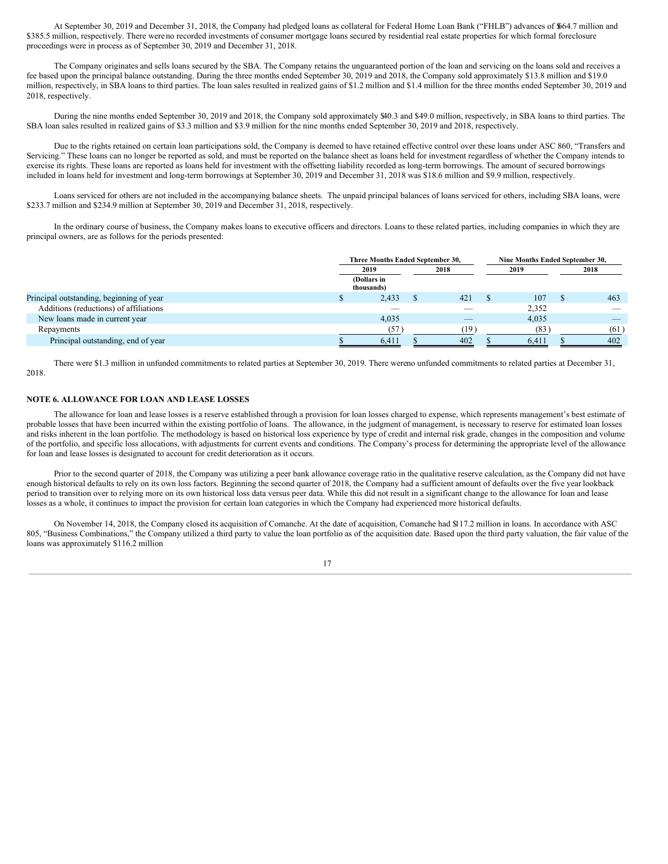At September 30, 2019 and December 31, 2018, the Company had pledged loans as collateral for Federal Home Loan Bank ("FHLB") advances of \$664.7 million and \$385.5 million, respectively. There were no recorded investments of consumer mortgage loans secured by residential real estate properties for which formal foreclosure proceedings were in process as of September 30, 2019 and December 31, 2018.

The Company originates and sells loans secured by the SBA. The Company retains the unguaranteed portion of the loan and servicing on the loans sold and receives a fee based upon the principal balance outstanding. During the three months ended September 30, 2019 and 2018, the Company sold approximately \$13.8 million and \$19.0 million, respectively, in SBA loans to third parties. The loan sales resulted in realized gains of \$1.2 million and \$1.4 million for the three months ended September 30, 2019 and 2018, respectively.

During the nine months ended September 30, 2019 and 2018, the Company sold approximately \$40.3 and \$49.0 million, respectively, in SBA loans to third parties. The SBA loan sales resulted in realized gains of \$3.3 million and \$3.9 million for the nine months ended September 30, 2019 and 2018, respectively.

Due to the rights retained on certain loan participations sold, the Company is deemed to have retained effective control over these loans under ASC 860, "Transfers and Servicing." These loans can no longer be reported as sold, and must be reported on the balance sheet as loans held for investment regardless of whether the Company intends to exercise its rights. These loans are reported as loans held for investment with the offsetting liability recorded as long-term borrowings. The amount of secured borrowings included in loans held for investment and long-term borrowings at September 30, 2019 and December 31, 2018 was \$18.6 million and \$9.9 million, respectively.

Loans serviced for others are not included in the accompanying balance sheets. The unpaid principal balances of loans serviced for others, including SBA loans, were \$233.7 million and \$234.9 million at September 30, 2019 and December 31, 2018, respectively.

In the ordinary course of business, the Company makes loans to executive officers and directors. Loans to these related parties, including companies in which they are principal owners, are as follows for the periods presented:

|                                          | Three Months Ended September 30, |                          | Nine Months Ended September 30. |      |
|------------------------------------------|----------------------------------|--------------------------|---------------------------------|------|
|                                          | 2019                             | 2018                     | 2019                            | 2018 |
|                                          | (Dollars in<br>thousands)        |                          |                                 |      |
| Principal outstanding, beginning of year | 2,433                            | 421                      | 107                             | 463  |
| Additions (reductions) of affiliations   |                                  |                          | 2,352                           |      |
| New loans made in current year           | 4,035                            | $\overline{\phantom{a}}$ | 4,035                           | $-$  |
| Repayments                               | (57)                             | (19)                     | (83)                            | (61) |
| Principal outstanding, end of year       | 6,411                            | 402                      | 6.411                           | 402  |

There were \$1.3 million in unfunded commitments to related parties at September 30, 2019. There wereno unfunded commitments to related parties at December 31, 2018.

## **NOTE 6. ALLOWANCE FOR LOAN AND LEASE LOSSES**

The allowance for loan and lease losses is a reserve established through a provision for loan losses charged to expense, which represents management's best estimate of probable losses that have been incurred within the existing portfolio of loans. The allowance, in the judgment of management, is necessary to reserve for estimated loan losses and risks inherent in the loan portfolio. The methodology is based on historical loss experience by type of credit and internal risk grade, changes in the composition and volume of the portfolio, and specific loss allocations, with adjustments for current events and conditions. The Company's process for determining the appropriate level of the allowance for loan and lease losses is designated to account for credit deterioration as it occurs.

Prior to the second quarter of 2018, the Company was utilizing a peer bank allowance coverage ratio in the qualitative reserve calculation, as the Company did not have enough historical defaults to rely on its own loss factors. Beginning the second quarter of 2018, the Company had a sufficient amount of defaults over the five year lookback period to transition over to relying more on its own historical loss data versus peer data. While this did not result in a significant change to the allowance for loan and lease losses as a whole, it continues to impact the provision for certain loan categories in which the Company had experienced more historical defaults.

On November 14, 2018, the Company closed its acquisition of Comanche. At the date of acquisition, Comanche had \$117.2 million in loans. In accordance with ASC 805, "Business Combinations," the Company utilized a third party to value the loan portfolio as of the acquisition date. Based upon the third party valuation, the fair value of the loans was approximately \$116.2 million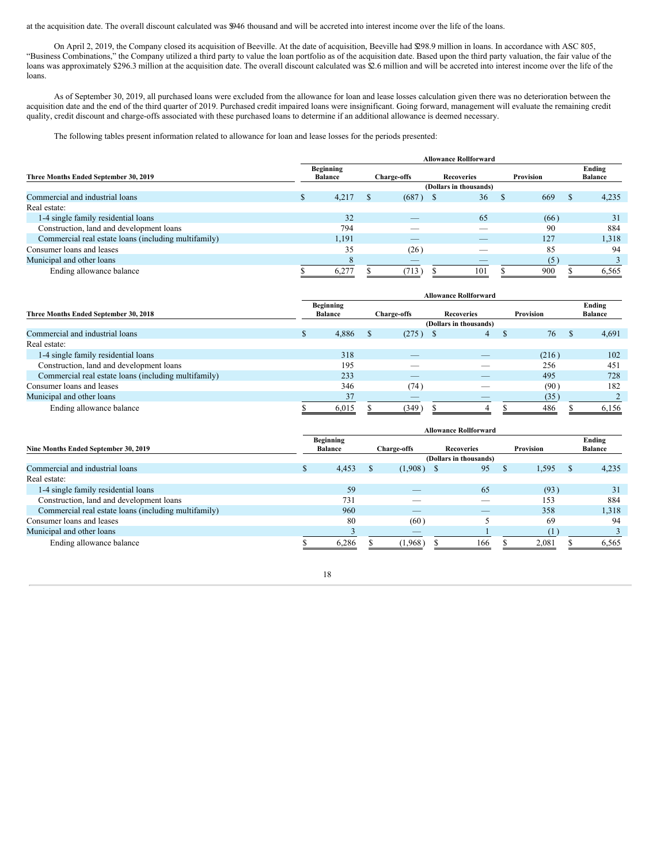at the acquisition date. The overall discount calculated was \$946 thousand and will be accreted into interest income over the life of the loans.

On April 2, 2019, the Company closed its acquisition of Beeville. At the date of acquisition, Beeville had \$298.9 million in loans. In accordance with ASC 805, "Business Combinations," the Company utilized a third party to value the loan portfolio as of the acquisition date. Based upon the third party valuation, the fair value of the loans was approximately \$296.3 million at the acquisition date. The overall discount calculated was \$2.6 million and will be accreted into interest income over the life of the loans.

As of September 30, 2019, all purchased loans were excluded from the allowance for loan and lease losses calculation given there was no deterioration between the acquisition date and the end of the third quarter of 2019. Purchased credit impaired loans were insignificant. Going forward, management will evaluate the remaining credit quality, credit discount and charge-offs associated with these purchased loans to determine if an additional allowance is deemed necessary.

The following tables present information related to allowance for loan and lease losses for the periods presented:

|                                                      |   | <b>Allowance Rollforward</b>       |  |                          |                        |   |           |     |                          |  |  |
|------------------------------------------------------|---|------------------------------------|--|--------------------------|------------------------|---|-----------|-----|--------------------------|--|--|
| Three Months Ended September 30, 2019                |   | <b>Beginning</b><br><b>Balance</b> |  | <b>Charge-offs</b>       | <b>Recoveries</b>      |   | Provision |     | Ending<br><b>Balance</b> |  |  |
|                                                      |   |                                    |  |                          | (Dollars in thousands) |   |           |     |                          |  |  |
| Commercial and industrial loans                      | S | 4,217                              |  | (687)                    | 36                     | Ж | 669       | -85 | 4,235                    |  |  |
| Real estate:                                         |   |                                    |  |                          |                        |   |           |     |                          |  |  |
| 1-4 single family residential loans                  |   | 32                                 |  |                          | 65                     |   | (66)      |     | 31                       |  |  |
| Construction, land and development loans             |   | 794                                |  |                          |                        |   | 90        |     | 884                      |  |  |
| Commercial real estate loans (including multifamily) |   | 1,191                              |  | $\overline{\phantom{a}}$ | $-$                    |   | 127       |     | 1,318                    |  |  |
| Consumer loans and leases                            |   | 35                                 |  | (26)                     | $-$                    |   | 85        |     | 94                       |  |  |
| Municipal and other loans                            |   |                                    |  | $\overline{\phantom{a}}$ |                        |   | (5)       |     |                          |  |  |
| Ending allowance balance                             |   | 6,277                              |  | (713)                    | 101                    |   | 900       |     | 6,565                    |  |  |

| Three Months Ended September 30, 2018                |    | <b>Beginning</b><br><b>Balance</b> | Charge-offs              | <b>Recoveries</b>      |    | Provision |    | Ending<br><b>Balance</b> |
|------------------------------------------------------|----|------------------------------------|--------------------------|------------------------|----|-----------|----|--------------------------|
|                                                      |    |                                    |                          | (Dollars in thousands) |    |           |    |                          |
| Commercial and industrial loans                      | \$ | 4,886                              | $(275)$ \$               | 4                      | .S | 76        | -S | 4,691                    |
| Real estate:                                         |    |                                    |                          |                        |    |           |    |                          |
| 1-4 single family residential loans                  |    | 318                                |                          |                        |    | (216)     |    | 102                      |
| Construction, land and development loans             |    | 195                                |                          |                        |    | 256       |    | 451                      |
| Commercial real estate loans (including multifamily) |    | 233                                |                          |                        |    | 495       |    | 728                      |
| Consumer loans and leases                            |    | 346                                | (74)                     | __                     |    | (90)      |    | 182                      |
| Municipal and other loans                            |    | 37                                 | $\overline{\phantom{a}}$ |                        |    | (35)      |    |                          |
| Ending allowance balance                             |    | 6,015                              | (349)                    |                        |    | 486       |    | 6,156                    |

| Nine Months Ended September 30, 2019                 | <b>Beginning</b><br><b>Balance</b> |                        | Charge-offs              | <b>Recoveries</b> |  | Provision |    | Ending<br><b>Balance</b> |  |
|------------------------------------------------------|------------------------------------|------------------------|--------------------------|-------------------|--|-----------|----|--------------------------|--|
|                                                      |                                    | (Dollars in thousands) |                          |                   |  |           |    |                          |  |
| Commercial and industrial loans                      | 4.453                              |                        | (1,908)                  | 95<br>- 8         |  | 1,595     | -S | 4,235                    |  |
| Real estate:                                         |                                    |                        |                          |                   |  |           |    |                          |  |
| 1-4 single family residential loans                  | 59                                 |                        |                          | 65                |  | (93)      |    | 31                       |  |
| Construction, land and development loans             | 731                                |                        |                          |                   |  | 153       |    | 884                      |  |
| Commercial real estate loans (including multifamily) | 960                                |                        | _                        |                   |  | 358       |    | 1,318                    |  |
| Consumer loans and leases                            | 80                                 |                        | (60)                     |                   |  | 69        |    | 94                       |  |
| Municipal and other loans                            |                                    |                        | $\overline{\phantom{a}}$ |                   |  |           |    |                          |  |
| Ending allowance balance                             | 6,286                              |                        | (1,968)                  | 166               |  | 2,081     |    | 6,565                    |  |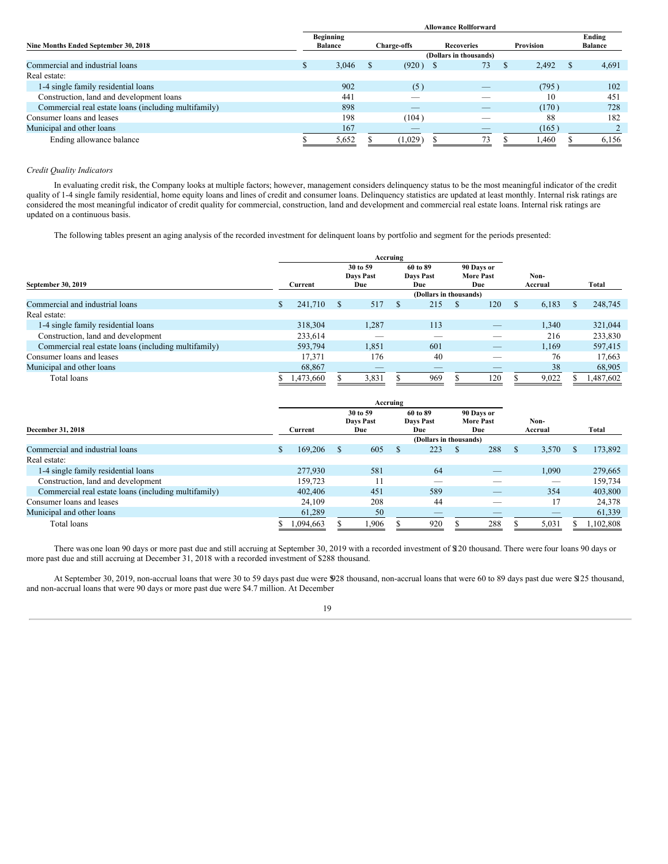|                                                      | <b>Allowance Rollforward</b>       |       |  |                          |  |                   |           |       |  |                          |
|------------------------------------------------------|------------------------------------|-------|--|--------------------------|--|-------------------|-----------|-------|--|--------------------------|
| Nine Months Ended September 30, 2018                 | <b>Beginning</b><br><b>Balance</b> |       |  | <b>Charge-offs</b>       |  | <b>Recoveries</b> | Provision |       |  | Ending<br><b>Balance</b> |
|                                                      |                                    |       |  |                          |  |                   |           |       |  |                          |
| Commercial and industrial loans                      |                                    | 3,046 |  | (920)                    |  | 73                |           | 2,492 |  | 4,691                    |
| Real estate:                                         |                                    |       |  |                          |  |                   |           |       |  |                          |
| 1-4 single family residential loans                  |                                    | 902   |  | (5)                      |  |                   |           | (795) |  | 102                      |
| Construction, land and development loans             |                                    | 441   |  | __                       |  |                   |           | 10    |  | 451                      |
| Commercial real estate loans (including multifamily) |                                    | 898   |  | $\overline{\phantom{a}}$ |  | _                 |           | (170) |  | 728                      |
| Consumer loans and leases                            |                                    | 198   |  | (104)                    |  |                   |           | 88    |  | 182                      |
| Municipal and other loans                            |                                    | 167   |  | $-$                      |  | _                 |           | (165) |  |                          |
| Ending allowance balance                             |                                    | 5,652 |  | (1,029)                  |  | 73                |           | 1.460 |  | 6,156                    |

## *Credit Quality Indicators*

In evaluating credit risk, the Company looks at multiple factors; however, management considers delinquency status to be the most meaningful indicator of the credit quality of 1-4 single family residential, home equity loans and lines of credit and consumer loans. Delinquency statistics are updated at least monthly. Internal risk ratings are considered the most meaningful indicator of credit quality for commercial, construction, land and development and commercial real estate loans. Internal risk ratings are updated on a continuous basis.

The following tables present an aging analysis of the recorded investment for delinquent loans by portfolio and segment for the periods presented:

|                                                      |         |           |                              | Accruing               |                              |     |  |                                       |  |                 |    |           |
|------------------------------------------------------|---------|-----------|------------------------------|------------------------|------------------------------|-----|--|---------------------------------------|--|-----------------|----|-----------|
| September 30, 2019                                   | Current |           | 30 to 59<br>Days Past<br>Due |                        | 60 to 89<br>Davs Past<br>Due |     |  | 90 Days or<br><b>More Past</b><br>Due |  | Non-<br>Accrual |    | Total     |
|                                                      |         |           |                              | (Dollars in thousands) |                              |     |  |                                       |  |                 |    |           |
| Commercial and industrial loans                      |         | 241,710   | <sup>S</sup>                 | 517                    | S                            | 215 |  | 120                                   |  | 6,183           | S. | 248,745   |
| Real estate:                                         |         |           |                              |                        |                              |     |  |                                       |  |                 |    |           |
| 1-4 single family residential loans                  |         | 318,304   |                              | 1,287                  |                              | 113 |  |                                       |  | 1,340           |    | 321,044   |
| Construction, land and development                   |         | 233,614   |                              |                        |                              |     |  |                                       |  | 216             |    | 233,830   |
| Commercial real estate loans (including multifamily) |         | 593,794   |                              | 1,851                  |                              | 601 |  |                                       |  | 1,169           |    | 597,415   |
| Consumer loans and leases                            |         | 17,371    |                              | 176                    |                              | 40  |  | $\overline{\phantom{a}}$              |  | 76              |    | 17,663    |
| Municipal and other loans                            |         | 68,867    |                              | $-$                    |                              |     |  |                                       |  | 38              |    | 68,905    |
| Total loans                                          |         | 1,473,660 |                              | 3,831                  |                              | 969 |  | 120                                   |  | 9,022           |    | 1,487,602 |

|                                                      |         |           |                              | Accruing |                                     |     |                                       |                          |     |                                           |          |          |
|------------------------------------------------------|---------|-----------|------------------------------|----------|-------------------------------------|-----|---------------------------------------|--------------------------|-----|-------------------------------------------|----------|----------|
| December 31, 2018                                    | Current |           | 30 to 59<br>Davs Past<br>Due |          | 60 to 89<br><b>Davs Past</b><br>Due |     | 90 Days or<br><b>More Past</b><br>Due |                          |     | Non-<br>Accrual                           |          | Total    |
|                                                      |         |           |                              |          | (Dollars in thousands)              |     |                                       |                          |     |                                           |          |          |
| Commercial and industrial loans                      | \$.     | 169,206   | S                            | 605      | <b>S</b>                            | 223 | \$.                                   | 288                      | \$. | 3,570                                     | <b>S</b> | 173,892  |
| Real estate:                                         |         |           |                              |          |                                     |     |                                       |                          |     |                                           |          |          |
| 1-4 single family residential loans                  |         | 277,930   |                              | 581      |                                     | 64  |                                       |                          |     | 1.090                                     |          | 279,665  |
| Construction, land and development                   |         | 159,723   |                              | 11       |                                     | _   |                                       |                          |     | _                                         |          | 159,734  |
| Commercial real estate loans (including multifamily) |         | 402,406   |                              | 451      |                                     | 589 |                                       | $\overline{\phantom{a}}$ |     | 354                                       |          | 403,800  |
| Consumer loans and leases                            |         | 24,109    |                              | 208      |                                     | 44  |                                       | $\overline{\phantom{a}}$ |     | 17                                        |          | 24,378   |
| Municipal and other loans                            |         | 61,289    |                              | 50       |                                     |     |                                       |                          |     | $\qquad \qquad \overline{\qquad \qquad }$ |          | 61,339   |
| Total loans                                          |         | 1,094,663 |                              | 1,906    |                                     | 920 |                                       | 288                      |     | 5,031                                     |          | ,102,808 |

There was one loan 90 days or more past due and still accruing at September 30, 2019 with a recorded investment of \$120 thousand. There were four loans 90 days or more past due and still accruing at December 31, 2018 with a recorded investment of \$288 thousand.

At September 30, 2019, non-accrual loans that were 30 to 59 days past due were \$928 thousand, non-accrual loans that were 60 to 89 days past due were \$125 thousand, and non-accrual loans that were 90 days or more past due were \$4.7 million. At December

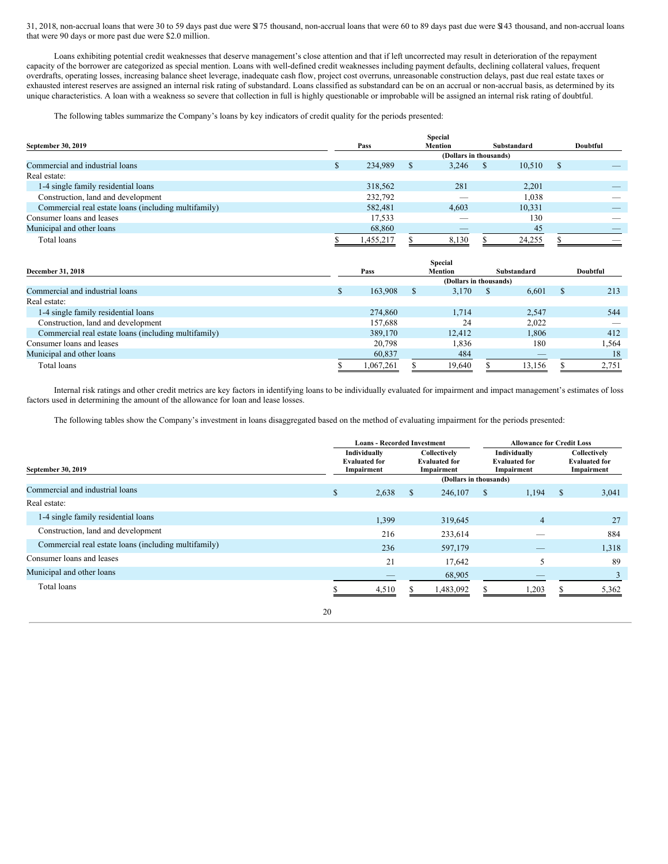31, 2018, non-accrual loans that were 30 to 59 days past due were \$175 thousand, non-accrual loans that were 60 to 89 days past due were \$143 thousand, and non-accrual loans that were 90 days or more past due were \$2.0 million.

Loans exhibiting potential credit weaknesses that deserve management's close attention and that if left uncorrected may result in deterioration of the repayment capacity of the borrower are categorized as special mention. Loans with well-defined credit weaknesses including payment defaults, declining collateral values, frequent overdrafts, operating losses, increasing balance sheet leverage, inadequate cash flow, project cost overruns, unreasonable construction delays, past due real estate taxes or exhausted interest reserves are assigned an internal risk rating of substandard. Loans classified as substandard can be on an accrual or non-accrual basis, as determined by its unique characteristics. A loan with a weakness so severe that collection in full is highly questionable or improbable will be assigned an internal risk rating of doubtful.

The following tables summarize the Company's loans by key indicators of credit quality for the periods presented:

| September 30, 2019                                   | Pass      |   | <b>Special</b><br><b>Mention</b> | Substandard |               | Doubtful |
|------------------------------------------------------|-----------|---|----------------------------------|-------------|---------------|----------|
|                                                      |           |   | (Dollars in thousands)           |             |               |          |
| Commercial and industrial loans                      | 234,989   | S | 3.246                            | 10,510      | <sup>\$</sup> |          |
| Real estate:                                         |           |   |                                  |             |               |          |
| 1-4 single family residential loans                  | 318,562   |   | 281                              | 2,201       |               |          |
| Construction, land and development                   | 232,792   |   | $\overline{\phantom{a}}$         | 1,038       |               |          |
| Commercial real estate loans (including multifamily) | 582,481   |   | 4.603                            | 10.331      |               |          |
| Consumer loans and leases                            | 17,533    |   | $\overline{\phantom{a}}$         | 130         |               |          |
| Municipal and other loans                            | 68,860    |   | $\overline{\phantom{a}}$         | 45          |               |          |
| Total loans                                          | 1,455,217 |   | 8,130                            | 24,255      |               | _        |

| December 31, 2018                                    | Pass      |   | Mention                |  | Substandard | Doubtful |       |
|------------------------------------------------------|-----------|---|------------------------|--|-------------|----------|-------|
|                                                      |           |   | (Dollars in thousands) |  |             |          |       |
| Commercial and industrial loans                      | 163,908   | S | 3.170                  |  | 6,601       |          | 213   |
| Real estate:                                         |           |   |                        |  |             |          |       |
| 1-4 single family residential loans                  | 274,860   |   | 1.714                  |  | 2.547       |          | 544   |
| Construction, land and development                   | 157,688   |   | 24                     |  | 2,022       |          | _     |
| Commercial real estate loans (including multifamily) | 389,170   |   | 12.412                 |  | 1.806       |          | 412   |
| Consumer loans and leases                            | 20,798    |   | 1,836                  |  | 180         |          | 1,564 |
| Municipal and other loans                            | 60,837    |   | 484                    |  | $-$         |          | 18    |
| Total loans                                          | 1,067,261 |   | 19,640                 |  | 13,156      |          | 2,751 |

Internal risk ratings and other credit metrics are key factors in identifying loans to be individually evaluated for impairment and impact management's estimates of loss factors used in determining the amount of the allowance for loan and lease losses.

The following tables show the Company's investment in loans disaggregated based on the method of evaluating impairment for the periods presented:

|                                                      |    | <b>Loans - Recorded Investment</b>                 |              |                                                    |                                                    |                | <b>Allowance for Credit Loss</b> |                                                    |  |
|------------------------------------------------------|----|----------------------------------------------------|--------------|----------------------------------------------------|----------------------------------------------------|----------------|----------------------------------|----------------------------------------------------|--|
| September 30, 2019                                   |    | Individually<br><b>Evaluated for</b><br>Impairment |              | Collectively<br><b>Evaluated for</b><br>Impairment | Individually<br><b>Evaluated for</b><br>Impairment |                |                                  | Collectively<br><b>Evaluated for</b><br>Impairment |  |
|                                                      |    |                                                    |              | (Dollars in thousands)                             |                                                    |                |                                  |                                                    |  |
| Commercial and industrial loans                      | \$ | 2,638                                              | $\mathbb{S}$ | 246,107                                            | <sup>S</sup>                                       | 1,194          | -S                               | 3,041                                              |  |
| Real estate:                                         |    |                                                    |              |                                                    |                                                    |                |                                  |                                                    |  |
| 1-4 single family residential loans                  |    | 1,399                                              |              | 319,645                                            |                                                    | $\overline{4}$ |                                  | 27                                                 |  |
| Construction, land and development                   |    | 216                                                |              | 233,614                                            |                                                    |                |                                  | 884                                                |  |
| Commercial real estate loans (including multifamily) |    | 236                                                |              | 597,179                                            |                                                    |                |                                  | 1,318                                              |  |
| Consumer loans and leases                            |    | 21                                                 |              | 17,642                                             |                                                    | 5              |                                  | 89                                                 |  |
| Municipal and other loans                            |    |                                                    |              | 68,905                                             |                                                    |                |                                  |                                                    |  |
| Total loans                                          |    | 4,510                                              |              | 1,483,092                                          |                                                    | 1,203          | 5,362                            |                                                    |  |
|                                                      | 20 |                                                    |              |                                                    |                                                    |                |                                  |                                                    |  |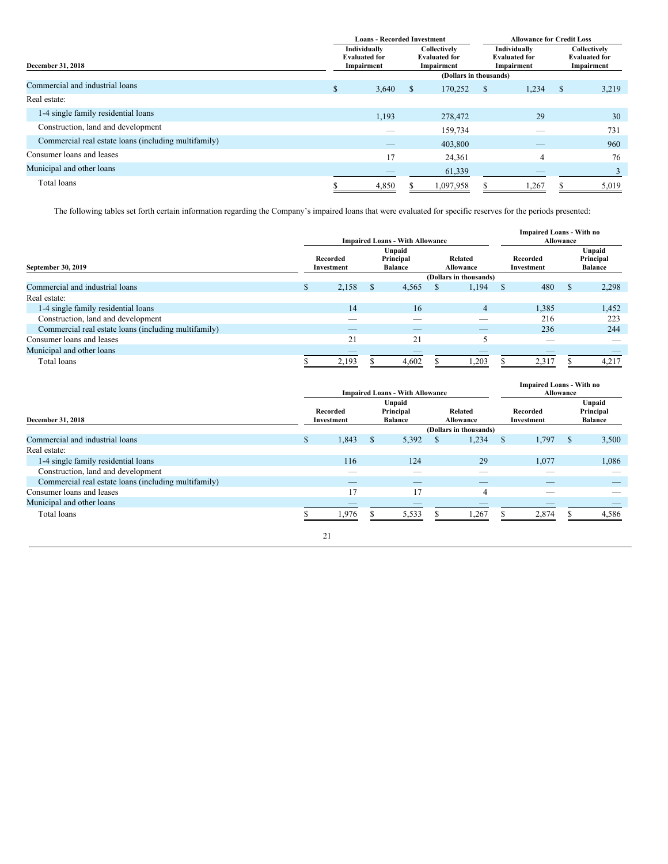|                                                      |   | <b>Loans - Recorded Investment</b>                 |               |                                                    | <b>Allowance for Credit Loss</b> |                                                    |              |                                                    |  |
|------------------------------------------------------|---|----------------------------------------------------|---------------|----------------------------------------------------|----------------------------------|----------------------------------------------------|--------------|----------------------------------------------------|--|
| December 31, 2018                                    |   | Individually<br><b>Evaluated for</b><br>Impairment |               | Collectively<br><b>Evaluated for</b><br>Impairment |                                  | Individually<br><b>Evaluated for</b><br>Impairment |              | Collectively<br><b>Evaluated for</b><br>Impairment |  |
|                                                      |   |                                                    |               | (Dollars in thousands)                             |                                  |                                                    |              |                                                    |  |
| Commercial and industrial loans                      | S | 3,640                                              | <sup>\$</sup> | 170,252                                            | S                                | 1,234                                              | <sup>S</sup> | 3,219                                              |  |
| Real estate:                                         |   |                                                    |               |                                                    |                                  |                                                    |              |                                                    |  |
| 1-4 single family residential loans                  |   | 1,193                                              |               | 278,472                                            |                                  | 29                                                 |              | 30                                                 |  |
| Construction, land and development                   |   | _                                                  |               | 159,734                                            |                                  | __                                                 |              | 731                                                |  |
| Commercial real estate loans (including multifamily) |   | _                                                  |               | 403,800                                            |                                  | _                                                  |              | 960                                                |  |
| Consumer loans and leases                            |   | 17                                                 |               | 24,361                                             |                                  | 4                                                  |              | 76                                                 |  |
| Municipal and other loans                            |   |                                                    |               | 61,339                                             |                                  |                                                    |              |                                                    |  |
| Total loans                                          |   | 4,850                                              |               | 1,097,958                                          |                                  | 1,267                                              |              | 5,019                                              |  |

The following tables set forth certain information regarding the Company's impaired loans that were evaluated for specific reserves for the periods presented:

|                                                      |    |                          |          | <b>Impaired Loans - With Allowance</b> | <b>Impaired Loans - With no</b><br>Allowance |               |                        |    |                                       |
|------------------------------------------------------|----|--------------------------|----------|----------------------------------------|----------------------------------------------|---------------|------------------------|----|---------------------------------------|
| September 30, 2019                                   |    | Recorded<br>Investment   |          | Unpaid<br>Principal<br><b>Balance</b>  | Related<br>Allowance                         |               | Recorded<br>Investment |    | Unpaid<br>Principal<br><b>Balance</b> |
|                                                      |    |                          |          |                                        | (Dollars in thousands)                       |               |                        |    |                                       |
| Commercial and industrial loans                      | Ъ. | 2,158                    | <b>S</b> | 4,565                                  | 1,194                                        | <sup>\$</sup> | 480                    | S. | 2,298                                 |
| Real estate:                                         |    |                          |          |                                        |                                              |               |                        |    |                                       |
| 1-4 single family residential loans                  |    | 14                       |          | 16                                     | 4                                            |               | 1,385                  |    | 1,452                                 |
| Construction, land and development                   |    |                          |          |                                        | __                                           |               | 216                    |    | 223                                   |
| Commercial real estate loans (including multifamily) |    |                          |          |                                        | _                                            |               | 236                    |    | 244                                   |
| Consumer loans and leases                            |    | 21                       |          | 21                                     |                                              |               |                        |    |                                       |
| Municipal and other loans                            |    | $\overline{\phantom{a}}$ |          | $-$                                    | _                                            |               |                        |    |                                       |
| Total loans                                          |    | 2,193                    |          | 4,602                                  | .203                                         |               | 2,317                  |    | 4,217                                 |

|                                                      |               |                          |   | <b>Impaired Loans - With Allowance</b> |   | <b>Impaired Loans - With no</b> | Allowance            |       |                        |       |  |                                       |
|------------------------------------------------------|---------------|--------------------------|---|----------------------------------------|---|---------------------------------|----------------------|-------|------------------------|-------|--|---------------------------------------|
| December 31, 2018                                    |               | Recorded<br>Investment   |   | Unpaid<br>Principal<br><b>Balance</b>  |   |                                 | Related<br>Allowance |       | Recorded<br>Investment |       |  | Unpaid<br>Principal<br><b>Balance</b> |
|                                                      |               |                          |   |                                        |   | (Dollars in thousands)          |                      |       |                        |       |  |                                       |
| Commercial and industrial loans                      | <sup>\$</sup> | 1,843                    | S | 5,392                                  | S | 1,234                           | <sup>\$</sup>        | 1,797 | S                      | 3,500 |  |                                       |
| Real estate:                                         |               |                          |   |                                        |   |                                 |                      |       |                        |       |  |                                       |
| 1-4 single family residential loans                  |               | 116                      |   | 124                                    |   | 29                              |                      | 1,077 |                        | 1,086 |  |                                       |
| Construction, land and development                   |               | $\overline{\phantom{a}}$ |   |                                        |   |                                 |                      | --    |                        |       |  |                                       |
| Commercial real estate loans (including multifamily) |               | $\overline{\phantom{a}}$ |   | $\overline{\phantom{a}}$               |   |                                 |                      | _     |                        | _     |  |                                       |
| Consumer loans and leases                            |               | 17                       |   | 17                                     |   | 4                               |                      |       |                        |       |  |                                       |
| Municipal and other loans                            |               |                          |   |                                        |   |                                 |                      |       |                        |       |  |                                       |
| Total loans                                          |               | 1,976                    |   | 5,533                                  |   | 1,267                           |                      | 2,874 |                        | 4,586 |  |                                       |
|                                                      |               | 21                       |   |                                        |   |                                 |                      |       |                        |       |  |                                       |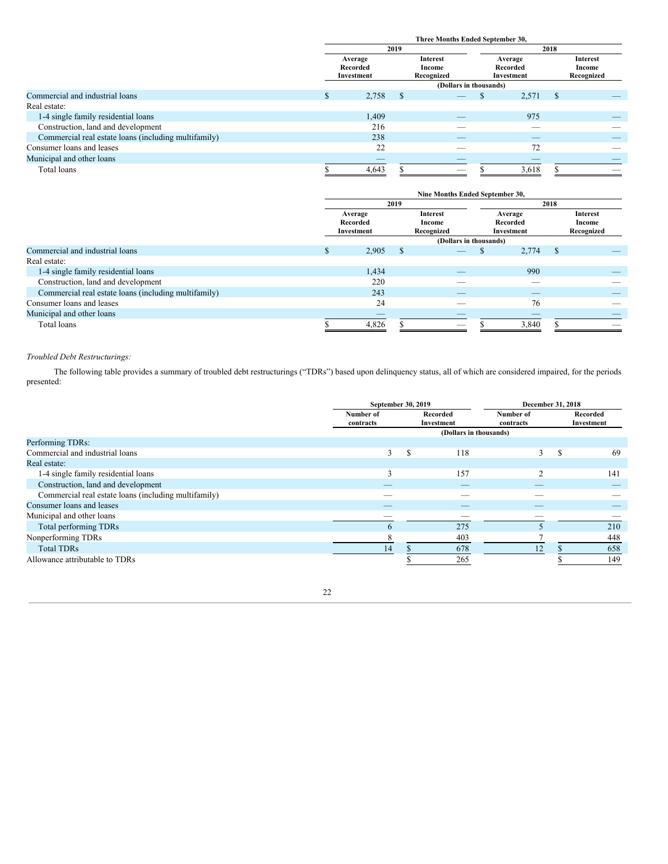|                                                      | Three Months Ended September 30, |                                                                              |      |                        |                                   |                          |      |                                         |  |  |  |  |  |
|------------------------------------------------------|----------------------------------|------------------------------------------------------------------------------|------|------------------------|-----------------------------------|--------------------------|------|-----------------------------------------|--|--|--|--|--|
|                                                      |                                  |                                                                              | 2019 |                        |                                   |                          | 2018 |                                         |  |  |  |  |  |
|                                                      |                                  | <b>Interest</b><br>Average<br>Recorded<br>Income<br>Recognized<br>Investment |      |                        | Average<br>Recorded<br>Investment |                          |      | <b>Interest</b><br>Income<br>Recognized |  |  |  |  |  |
|                                                      |                                  |                                                                              |      | (Dollars in thousands) |                                   |                          |      |                                         |  |  |  |  |  |
| Commercial and industrial loans                      |                                  | 2,758                                                                        | -8   |                        |                                   | 2,571                    | S    |                                         |  |  |  |  |  |
| Real estate:                                         |                                  |                                                                              |      |                        |                                   |                          |      |                                         |  |  |  |  |  |
| 1-4 single family residential loans                  |                                  | 1,409                                                                        |      |                        |                                   | 975                      |      |                                         |  |  |  |  |  |
| Construction, land and development                   |                                  | 216                                                                          |      | __                     |                                   | $\overline{\phantom{a}}$ |      |                                         |  |  |  |  |  |
| Commercial real estate loans (including multifamily) |                                  | 238                                                                          |      | _                      |                                   | _                        |      |                                         |  |  |  |  |  |
| Consumer loans and leases                            |                                  | 22                                                                           |      |                        |                                   | 72                       |      |                                         |  |  |  |  |  |
| Municipal and other loans                            |                                  |                                                                              |      |                        |                                   | __                       |      | _                                       |  |  |  |  |  |
| Total loans                                          |                                  | 4,643                                                                        |      | _                      | 3,618                             |                          |      |                                         |  |  |  |  |  |

|                                                      | Nine Months Ended September 30, |                                   |      |                                         |       |                                   |              |                                         |  |  |  |  |  |
|------------------------------------------------------|---------------------------------|-----------------------------------|------|-----------------------------------------|-------|-----------------------------------|--------------|-----------------------------------------|--|--|--|--|--|
|                                                      |                                 |                                   | 2019 |                                         |       |                                   | 2018         |                                         |  |  |  |  |  |
|                                                      |                                 | Average<br>Recorded<br>Investment |      | <b>Interest</b><br>Income<br>Recognized |       | Average<br>Recorded<br>Investment |              | <b>Interest</b><br>Income<br>Recognized |  |  |  |  |  |
|                                                      |                                 |                                   |      | (Dollars in thousands)                  |       |                                   |              |                                         |  |  |  |  |  |
| Commercial and industrial loans                      | аħ.                             | 2,905                             | - \$ | $-$                                     | ъ     | 2,774                             | <sup>S</sup> |                                         |  |  |  |  |  |
| Real estate:                                         |                                 |                                   |      |                                         |       |                                   |              |                                         |  |  |  |  |  |
| 1-4 single family residential loans                  |                                 | 1,434                             |      |                                         |       | 990                               |              |                                         |  |  |  |  |  |
| Construction, land and development                   |                                 | 220                               |      |                                         |       |                                   |              |                                         |  |  |  |  |  |
| Commercial real estate loans (including multifamily) |                                 | 243                               |      | $\overline{\phantom{a}}$                |       | $\hspace{0.1mm}-\hspace{0.1mm}$   |              | $\overline{\phantom{a}}$                |  |  |  |  |  |
| Consumer loans and leases                            |                                 | 24                                |      | _                                       |       | 76                                |              | _                                       |  |  |  |  |  |
| Municipal and other loans                            |                                 | _                                 |      | $-$                                     |       | $-$                               |              |                                         |  |  |  |  |  |
| Total loans                                          |                                 | 4,826                             |      |                                         | 3,840 |                                   |              |                                         |  |  |  |  |  |

## *Troubled Debt Restructurings:*

The following table provides a summary of troubled debt restructurings ("TDRs") based upon delinquency status, all of which are considered impaired, for the periods presented:

|                                                      | September 30, 2019     |               |                          | December 31, 2018      |   |                          |  |  |
|------------------------------------------------------|------------------------|---------------|--------------------------|------------------------|---|--------------------------|--|--|
|                                                      | Number of<br>contracts |               | Recorded<br>Investment   | Number of<br>contracts |   | Recorded<br>Investment   |  |  |
|                                                      |                        |               | (Dollars in thousands)   |                        |   |                          |  |  |
| Performing TDRs:                                     |                        |               |                          |                        |   |                          |  |  |
| Commercial and industrial loans                      | 3                      | <sup>\$</sup> | 118                      | 3                      | S | 69                       |  |  |
| Real estate:                                         |                        |               |                          |                        |   |                          |  |  |
| 1-4 single family residential loans                  | 3                      |               | 157                      | ◠                      |   | 141                      |  |  |
| Construction, land and development                   | _                      |               | $\qquad \qquad - \qquad$ | $-$                    |   | $\overline{\phantom{a}}$ |  |  |
| Commercial real estate loans (including multifamily) |                        |               |                          |                        |   |                          |  |  |
| Consumer loans and leases                            |                        |               |                          |                        |   |                          |  |  |
| Municipal and other loans                            |                        |               |                          |                        |   |                          |  |  |
| Total performing TDRs                                | 6                      |               | 275                      |                        |   | 210                      |  |  |
| Nonperforming TDRs                                   |                        |               | 403                      |                        |   | 448                      |  |  |
| <b>Total TDRs</b>                                    | 14                     |               | 678                      | 12                     |   | 658                      |  |  |
| Allowance attributable to TDRs                       |                        |               | 265                      |                        |   | 149                      |  |  |

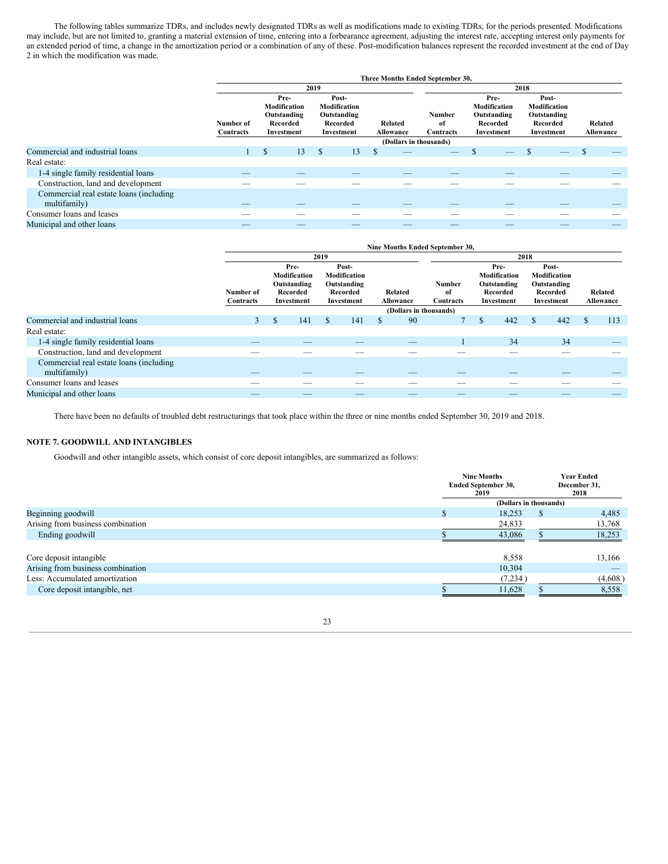The following tables summarize TDRs, and includes newly designated TDRs as well as modifications made to existing TDRs, for the periods presented. Modifications may include, but are not limited to, granting a material extension of time, entering into a forbearance agreement, adjusting the interest rate, accepting interest only payments for an extended period of time, a change in the amortization period or a combination of any of these. Post-modification balances represent the recorded investment at the end of Day 2 in which the modification was made.

|                                                          | Three Months Ended September 30, |                                                               |    |                                                  |    |     |         |                           |                                                               |  |                                                                |  |                      |  |
|----------------------------------------------------------|----------------------------------|---------------------------------------------------------------|----|--------------------------------------------------|----|-----|---------|---------------------------|---------------------------------------------------------------|--|----------------------------------------------------------------|--|----------------------|--|
|                                                          |                                  |                                                               |    | 2019                                             |    |     |         |                           |                                                               |  | 2018                                                           |  |                      |  |
|                                                          | Number of<br>Contracts           | Pre-<br>Modification<br>Outstanding<br>Recorded<br>Investment |    | Post-<br>Modification<br>Outstanding<br>Recorded |    |     | Related | Number<br>of<br>Contracts | Pre-<br>Modification<br>Outstanding<br>Recorded<br>Investment |  | Post-<br>Modification<br>Outstanding<br>Recorded<br>Investment |  | Related<br>Allowance |  |
|                                                          |                                  | Allowance<br>Investment<br>(Dollars in thousands)             |    |                                                  |    |     |         |                           |                                                               |  |                                                                |  |                      |  |
| Commercial and industrial loans                          |                                  | \$.                                                           | 13 | \$                                               | 13 | \$. |         |                           | \$.                                                           |  | \$                                                             |  | S                    |  |
| Real estate:                                             |                                  |                                                               |    |                                                  |    |     |         |                           |                                                               |  |                                                                |  |                      |  |
| 1-4 single family residential loans                      | _                                |                                                               |    |                                                  |    |     |         |                           |                                                               |  |                                                                |  |                      |  |
| Construction, land and development                       |                                  |                                                               |    |                                                  |    |     |         |                           |                                                               |  |                                                                |  |                      |  |
| Commercial real estate loans (including)<br>multifamily) |                                  |                                                               |    |                                                  |    |     |         |                           |                                                               |  |                                                                |  |                      |  |
| Consumer loans and leases                                |                                  |                                                               |    |                                                  |    |     |         |                           |                                                               |  |                                                                |  |                      |  |
| Municipal and other loans                                | __                               |                                                               |    |                                                  |    |     |         |                           |                                                               |  |                                                                |  |                      |  |

|                                                          | Nine Months Ended September 30,                                                                                                                           |   |     |          |                      |                                  |                                                               |      |                                                                |     |                      |     |   |     |  |  |  |
|----------------------------------------------------------|-----------------------------------------------------------------------------------------------------------------------------------------------------------|---|-----|----------|----------------------|----------------------------------|---------------------------------------------------------------|------|----------------------------------------------------------------|-----|----------------------|-----|---|-----|--|--|--|
|                                                          |                                                                                                                                                           |   |     | 2019     |                      |                                  |                                                               | 2018 |                                                                |     |                      |     |   |     |  |  |  |
|                                                          | Post-<br>Pre-<br>Modification<br>Modification<br>Outstanding<br>Outstanding<br>Recorded<br>Number of<br>Recorded<br>Investment<br>Contracts<br>Investment |   |     |          | Related<br>Allowance | <b>Number</b><br>of<br>Contracts | Pre-<br>Modification<br>Outstanding<br>Recorded<br>Investment |      | Post-<br>Modification<br>Outstanding<br>Recorded<br>Investment |     | Related<br>Allowance |     |   |     |  |  |  |
|                                                          |                                                                                                                                                           |   |     |          |                      |                                  | (Dollars in thousands)                                        |      |                                                                |     |                      |     |   |     |  |  |  |
| Commercial and industrial loans                          | 3 <sup>1</sup>                                                                                                                                            | S | 141 | <b>S</b> | 141                  | <b>S</b>                         | 90                                                            |      | <b>S</b>                                                       | 442 | S                    | 442 | S | 113 |  |  |  |
| Real estate:                                             |                                                                                                                                                           |   |     |          |                      |                                  |                                                               |      |                                                                |     |                      |     |   |     |  |  |  |
| 1-4 single family residential loans                      |                                                                                                                                                           |   |     |          |                      |                                  |                                                               |      |                                                                | 34  |                      | 34  |   |     |  |  |  |
| Construction, land and development                       |                                                                                                                                                           |   |     |          |                      |                                  |                                                               |      |                                                                |     |                      |     |   |     |  |  |  |
| Commercial real estate loans (including)<br>multifamily) |                                                                                                                                                           |   |     |          |                      |                                  |                                                               |      |                                                                |     |                      |     |   |     |  |  |  |
| Consumer loans and leases                                |                                                                                                                                                           |   |     |          |                      |                                  |                                                               |      |                                                                |     |                      |     |   |     |  |  |  |
| Municipal and other loans                                |                                                                                                                                                           |   |     |          |                      |                                  |                                                               |      |                                                                |     |                      |     |   |     |  |  |  |

There have been no defaults of troubled debt restructurings that took place within the three or nine months ended September 30, 2019 and 2018.

## **NOTE 7. GOODWILL AND INTANGIBLES**

Goodwill and other intangible assets, which consist of core deposit intangibles, are summarized as follows:

|                                   |  | <b>Nine Months</b><br>Ended September 30,<br>2019 | <b>Year Ended</b><br>December 31,<br>2018 |                          |  |  |  |  |
|-----------------------------------|--|---------------------------------------------------|-------------------------------------------|--------------------------|--|--|--|--|
|                                   |  | (Dollars in thousands)                            |                                           |                          |  |  |  |  |
| Beginning goodwill                |  | 18.253                                            | Ж                                         | 4,485                    |  |  |  |  |
| Arising from business combination |  | 24,833                                            |                                           | 13,768                   |  |  |  |  |
| Ending goodwill                   |  | 43,086                                            |                                           | 18,253                   |  |  |  |  |
| Core deposit intangible           |  | 8,558                                             |                                           | 13,166                   |  |  |  |  |
| Arising from business combination |  | 10,304                                            |                                           | $\overline{\phantom{a}}$ |  |  |  |  |
| Less: Accumulated amortization    |  | (7, 234)                                          |                                           | (4,608)                  |  |  |  |  |
| Core deposit intangible, net      |  | 11,628                                            |                                           | 8,558                    |  |  |  |  |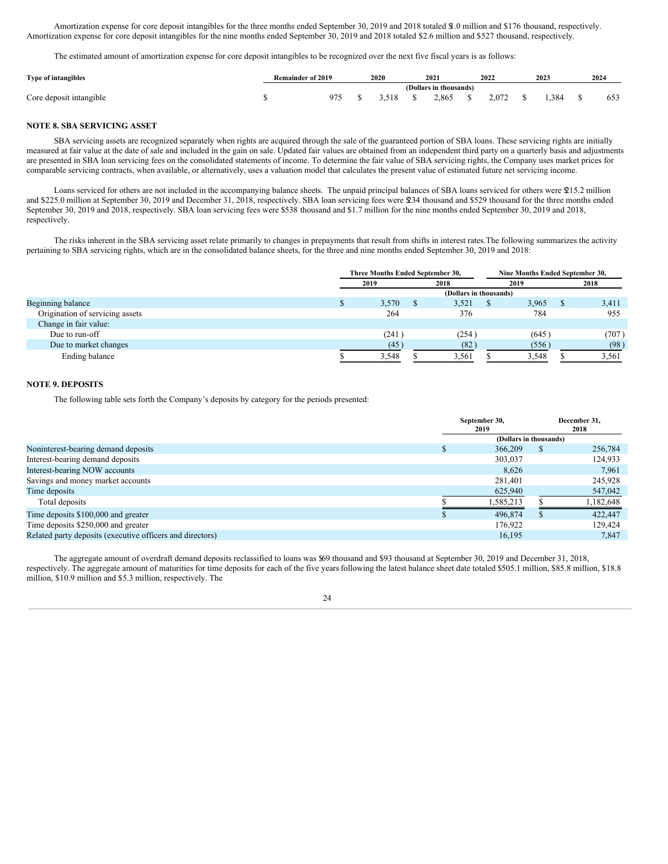Amortization expense for core deposit intangibles for the three months ended September 30, 2019 and 2018 totaled \$1.0 million and \$176 thousand, respectively. Amortization expense for core deposit intangibles for the nine months ended September 30, 2019 and 2018 totaled \$2.6 million and \$527 thousand, respectively.

The estimated amount of amortization expense for core deposit intangibles to be recognized over the next five fiscal years is as follows:

| Type of intangibles     | <b>Remainder of 2019</b> |     |  | 2020  |  | 202      |  | 2022  |  | 2023 |  | 2024 |
|-------------------------|--------------------------|-----|--|-------|--|----------|--|-------|--|------|--|------|
|                         | (Dollars in thousands)   |     |  |       |  |          |  |       |  |      |  |      |
| Core deposit intangible |                          | 975 |  | 3.518 |  | 2.865 \$ |  | 2.072 |  | 384  |  | 653  |

## **NOTE 8. SBA SERVICING ASSET**

SBA servicing assets are recognized separately when rights are acquired through the sale of the guaranteed portion of SBA loans. These servicing rights are initially measured at fair value at the date of sale and included in the gain on sale. Updated fair values are obtained from an independent third party on a quarterly basis and adjustments are presented in SBA loan servicing fees on the consolidated statements of income. To determine the fair value of SBA servicing rights, the Company uses market prices for comparable servicing contracts, when available, or alternatively, uses a valuation model that calculates the present value of estimated future net servicing income.

Loans serviced for others are not included in the accompanying balance sheets. The unpaid principal balances of SBA loans serviced for others were \$15.2 million and \$225.0 million at September 30, 2019 and December 31, 2018, respectively. SBA loan servicing fees were \$234 thousand and \$529 thousand for the three months ended September 30, 2019 and 2018, respectively. SBA loan servicing fees were \$538 thousand and \$1.7 million for the nine months ended September 30, 2019 and 2018, respectively.

The risks inherent in the SBA servicing asset relate primarily to changes in prepayments that result from shifts in interest rates. The following summarizes the activity pertaining to SBA servicing rights, which are in the consolidated balance sheets, for the three and nine months ended September 30, 2019 and 2018:

|                                 | Three Months Ended September 30, |       |   |                        | Nine Months Ended September 30, |       |  |       |
|---------------------------------|----------------------------------|-------|---|------------------------|---------------------------------|-------|--|-------|
|                                 | 2019                             |       |   | 2018                   | 2019                            |       |  | 2018  |
|                                 |                                  |       |   | (Dollars in thousands) |                                 |       |  |       |
| Beginning balance               |                                  | 3,570 | ъ | 3,521                  |                                 | 3.965 |  | 3,411 |
| Origination of servicing assets |                                  | 264   |   | 376                    |                                 | 784   |  | 955   |
| Change in fair value:           |                                  |       |   |                        |                                 |       |  |       |
| Due to run-off                  |                                  | (241) |   | (254)                  |                                 | (645) |  | (707) |
| Due to market changes           |                                  | (45)  |   | (82)                   |                                 | (556) |  | (98)  |
| Ending balance                  |                                  | 3.548 |   | 3.561                  |                                 | 3,548 |  | 3,561 |

## **NOTE 9. DEPOSITS**

The following table sets forth the Company's deposits by category for the periods presented:

|                                                           | September 30,<br>2019  |   | December 31.<br>2018 |
|-----------------------------------------------------------|------------------------|---|----------------------|
|                                                           | (Dollars in thousands) |   |                      |
| Noninterest-bearing demand deposits                       | 366,209                | ж | 256,784              |
| Interest-bearing demand deposits                          | 303,037                |   | 124,933              |
| Interest-bearing NOW accounts                             | 8.626                  |   | 7,961                |
| Savings and money market accounts                         | 281,401                |   | 245,928              |
| Time deposits                                             | 625,940                |   | 547,042              |
| Total deposits                                            | 1,585,213              |   | 1,182,648            |
| Time deposits \$100,000 and greater                       | 496,874                |   | 422,447              |
| Time deposits \$250,000 and greater                       | 176,922                |   | 129,424              |
| Related party deposits (executive officers and directors) | 16.195                 |   | 7.847                |

The aggregate amount of overdraft demand deposits reclassified to loans was \$69 thousand and \$93 thousand at September 30, 2019 and December 31, 2018, respectively. The aggregate amount of maturities for time deposits for each of the five years following the latest balance sheet date totaled \$505.1 million, \$85.8 million, \$18.8 million, \$10.9 million and \$5.3 million, respectively. The

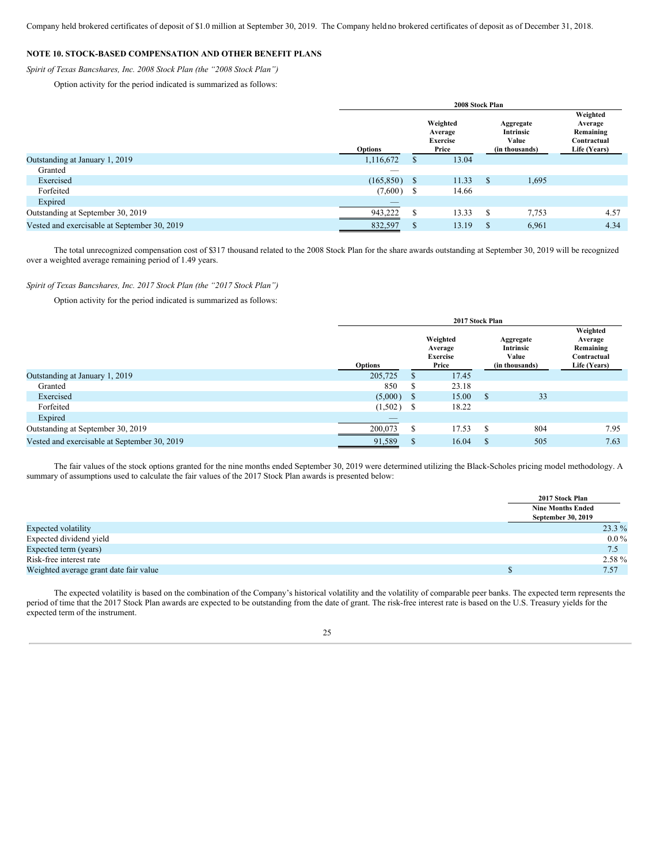Company held brokered certificates of deposit of \$1.0 million at September 30, 2019. The Company held no brokered certificates of deposit as of December 31, 2018.

## **NOTE 10. STOCK-BASED COMPENSATION AND OTHER BENEFIT PLANS**

*Spirit of Texas Bancshares, Inc. 2008 Stock Plan (the "2008 Stock Plan")*

Option activity for the period indicated is summarized as follows:

|                                              |                | 2008 Stock Plan |                                                 |   |                                                   |                                                                 |  |  |  |  |
|----------------------------------------------|----------------|-----------------|-------------------------------------------------|---|---------------------------------------------------|-----------------------------------------------------------------|--|--|--|--|
|                                              | <b>Options</b> |                 | Weighted<br>Average<br><b>Exercise</b><br>Price |   | Aggregate<br>Intrinsic<br>Value<br>(in thousands) | Weighted<br>Average<br>Remaining<br>Contractual<br>Life (Years) |  |  |  |  |
| Outstanding at January 1, 2019               | 1,116,672      | S               | 13.04                                           |   |                                                   |                                                                 |  |  |  |  |
| Granted                                      |                |                 |                                                 |   |                                                   |                                                                 |  |  |  |  |
| Exercised                                    | (165, 850)     | -S              | 11.33                                           | S | 1,695                                             |                                                                 |  |  |  |  |
| Forfeited                                    | (7,600)        | -S              | 14.66                                           |   |                                                   |                                                                 |  |  |  |  |
| Expired                                      | _              |                 |                                                 |   |                                                   |                                                                 |  |  |  |  |
| Outstanding at September 30, 2019            | 943,222        | S               | 13.33                                           | S | 7,753                                             | 4.57                                                            |  |  |  |  |
| Vested and exercisable at September 30, 2019 | 832,597        | <sup>\$</sup>   | 13.19                                           | S | 6,961                                             | 4.34                                                            |  |  |  |  |

The total unrecognized compensation cost of \$317 thousand related to the 2008 Stock Plan for the share awards outstanding at September 30, 2019 will be recognized over a weighted average remaining period of 1.49 years.

## *Spirit of Texas Bancshares, Inc. 2017 Stock Plan (the "2017 Stock Plan")*

Option activity for the period indicated is summarized as follows:

|                                              |                |               | 2017 Stock Plan                                 |               |                                                   |                                                                 |
|----------------------------------------------|----------------|---------------|-------------------------------------------------|---------------|---------------------------------------------------|-----------------------------------------------------------------|
|                                              | <b>Options</b> |               | Weighted<br>Average<br><b>Exercise</b><br>Price |               | Aggregate<br>Intrinsic<br>Value<br>(in thousands) | Weighted<br>Average<br>Remaining<br>Contractual<br>Life (Years) |
| Outstanding at January 1, 2019               | 205,725        | <sup>S</sup>  | 17.45                                           |               |                                                   |                                                                 |
| Granted                                      | 850            | <sup>\$</sup> | 23.18                                           |               |                                                   |                                                                 |
| Exercised                                    | (5,000)        | - \$          | 15.00                                           | <sup>\$</sup> | 33                                                |                                                                 |
| Forfeited                                    | (1,502)        | \$.           | 18.22                                           |               |                                                   |                                                                 |
| Expired                                      | _              |               |                                                 |               |                                                   |                                                                 |
| Outstanding at September 30, 2019            | 200,073        | S             | 17.53                                           | <sup>\$</sup> | 804                                               | 7.95                                                            |
| Vested and exercisable at September 30, 2019 | 91,589         | <sup>\$</sup> | 16.04                                           | S             | 505                                               | 7.63                                                            |

The fair values of the stock options granted for the nine months ended September 30, 2019 were determined utilizing the Black-Scholes pricing model methodology. A summary of assumptions used to calculate the fair values of the 2017 Stock Plan awards is presented below:

|                                        | 2017 Stock Plan          |          |
|----------------------------------------|--------------------------|----------|
|                                        | <b>Nine Months Ended</b> |          |
|                                        | September 30, 2019       |          |
| <b>Expected volatility</b>             |                          | $23.3\%$ |
| Expected dividend yield                |                          | $0.0\%$  |
| Expected term (years)                  |                          | 7.5      |
| Risk-free interest rate                |                          | 2.58 %   |
| Weighted average grant date fair value |                          | 7.57     |

The expected volatility is based on the combination of the Company's historical volatility and the volatility of comparable peer banks. The expected term represents the period of time that the 2017 Stock Plan awards are expected to be outstanding from the date of grant. The risk-free interest rate is based on the U.S. Treasury yields for the expected term of the instrument.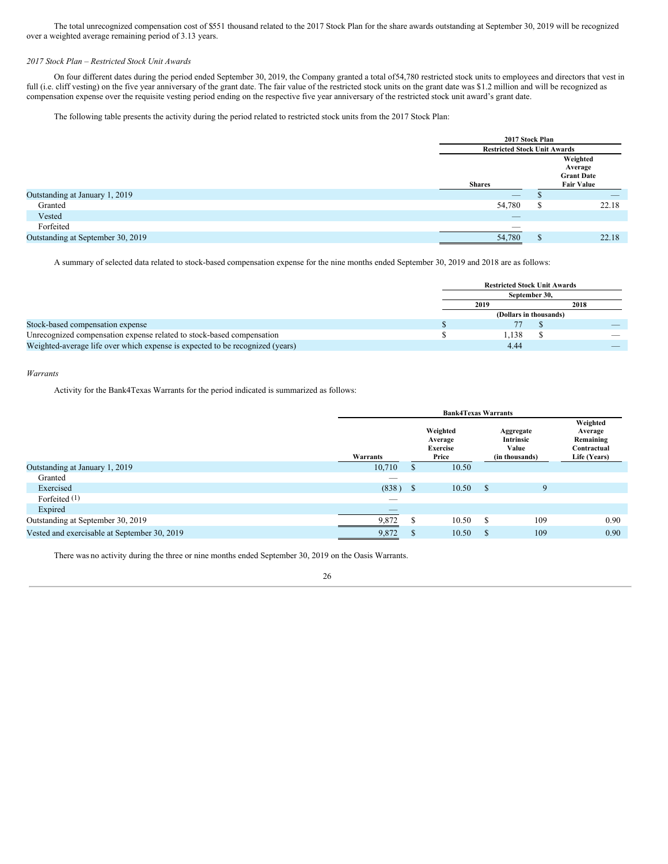The total unrecognized compensation cost of \$551 thousand related to the 2017 Stock Plan for the share awards outstanding at September 30, 2019 will be recognized over a weighted average remaining period of 3.13 years.

## *2017 Stock Plan – Restricted Stock Unit Awards*

On four different dates during the period ended September 30, 2019, the Company granted a total of54,780 restricted stock units to employees and directors that vest in full (i.e. cliff vesting) on the five year anniversary of the grant date. The fair value of the restricted stock units on the grant date was \$1.2 million and will be recognized as compensation expense over the requisite vesting period ending on the respective five year anniversary of the restricted stock unit award's grant date.

The following table presents the activity during the period related to restricted stock units from the 2017 Stock Plan:

|                                   | 2017 Stock Plan                     |   |                                                               |  |  |
|-----------------------------------|-------------------------------------|---|---------------------------------------------------------------|--|--|
|                                   | <b>Restricted Stock Unit Awards</b> |   |                                                               |  |  |
|                                   | <b>Shares</b>                       |   | Weighted<br>Average<br><b>Grant Date</b><br><b>Fair Value</b> |  |  |
| Outstanding at January 1, 2019    |                                     |   | _                                                             |  |  |
| Granted                           | 54,780                              | S | 22.18                                                         |  |  |
| Vested                            | $\overline{\phantom{a}}$            |   |                                                               |  |  |
| Forfeited                         |                                     |   |                                                               |  |  |
| Outstanding at September 30, 2019 | 54,780                              | S | 22.18                                                         |  |  |

A summary of selected data related to stock-based compensation expense for the nine months ended September 30, 2019 and 2018 are as follows:

|                                                                               | <b>Restricted Stock Unit Awards</b> |                        |      |  |  |  |
|-------------------------------------------------------------------------------|-------------------------------------|------------------------|------|--|--|--|
|                                                                               | September 30,                       |                        |      |  |  |  |
|                                                                               | 2019                                |                        | 2018 |  |  |  |
|                                                                               |                                     | (Dollars in thousands) |      |  |  |  |
| Stock-based compensation expense                                              |                                     |                        |      |  |  |  |
| Unrecognized compensation expense related to stock-based compensation         | 1.138                               |                        |      |  |  |  |
| Weighted-average life over which expense is expected to be recognized (years) | 4.44                                |                        |      |  |  |  |

## *Warrants*

Activity for the Bank4Texas Warrants for the period indicated is summarized as follows:

|                                              | <b>Bank4Texas Warrants</b> |                                                 |       |                                                   |     |                                                                 |  |  |  |  |
|----------------------------------------------|----------------------------|-------------------------------------------------|-------|---------------------------------------------------|-----|-----------------------------------------------------------------|--|--|--|--|
|                                              | Warrants                   | Weighted<br>Average<br><b>Exercise</b><br>Price |       | Aggregate<br>Intrinsic<br>Value<br>(in thousands) |     | Weighted<br>Average<br>Remaining<br>Contractual<br>Life (Years) |  |  |  |  |
| Outstanding at January 1, 2019               | 10,710                     | <sup>S</sup>                                    | 10.50 |                                                   |     |                                                                 |  |  |  |  |
| Granted                                      | $\overline{\phantom{a}}$   |                                                 |       |                                                   |     |                                                                 |  |  |  |  |
| Exercised                                    | $(838)$ \$                 |                                                 | 10.50 | <sup>S</sup>                                      | q   |                                                                 |  |  |  |  |
| Forfeited (1)                                | $\overline{\phantom{a}}$   |                                                 |       |                                                   |     |                                                                 |  |  |  |  |
| Expired                                      | $-$                        |                                                 |       |                                                   |     |                                                                 |  |  |  |  |
| Outstanding at September 30, 2019            | 9,872                      | S                                               | 10.50 | S                                                 | 109 | 0.90                                                            |  |  |  |  |
| Vested and exercisable at September 30, 2019 | 9,872                      | ъ                                               | 10.50 | S                                                 | 109 | 0.90                                                            |  |  |  |  |

There was no activity during the three or nine months ended September 30, 2019 on the Oasis Warrants.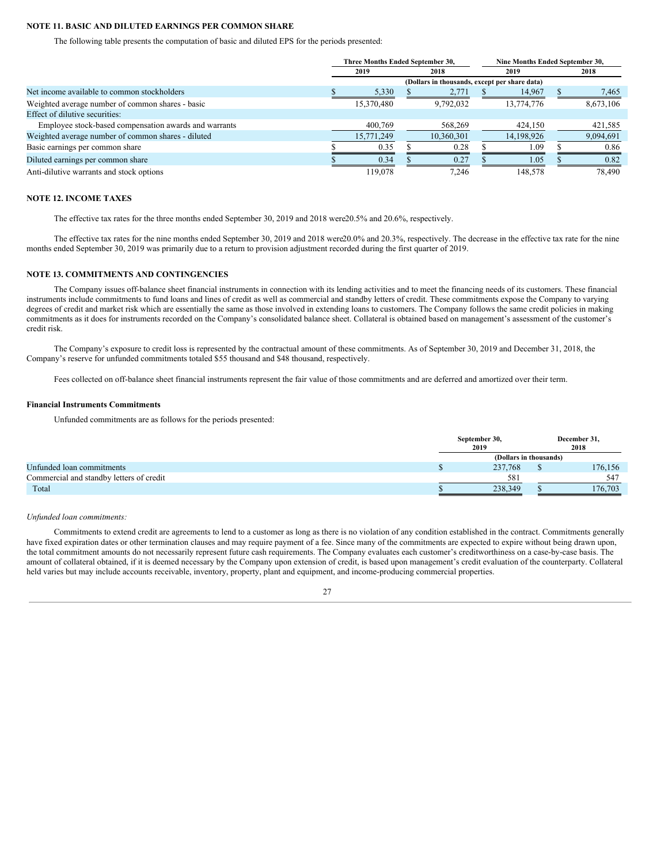## **NOTE 11. BASIC AND DILUTED EARNINGS PER COMMON SHARE**

The following table presents the computation of basic and diluted EPS for the periods presented:

|                                                       | Three Months Ended September 30, |            |                                               |            |      | Nine Months Ended September 30, |  |           |  |
|-------------------------------------------------------|----------------------------------|------------|-----------------------------------------------|------------|------|---------------------------------|--|-----------|--|
|                                                       |                                  | 2019       |                                               | 2018       | 2019 |                                 |  | 2018      |  |
|                                                       |                                  |            | (Dollars in thousands, except per share data) |            |      |                                 |  |           |  |
| Net income available to common stockholders           |                                  | 5,330      |                                               | 2,771      |      | 14,967                          |  | 7,465     |  |
| Weighted average number of common shares - basic      |                                  | 15,370,480 |                                               | 9,792,032  |      | 13,774,776                      |  | 8,673,106 |  |
| Effect of dilutive securities:                        |                                  |            |                                               |            |      |                                 |  |           |  |
| Employee stock-based compensation awards and warrants |                                  | 400,769    |                                               | 568,269    |      | 424,150                         |  | 421,585   |  |
| Weighted average number of common shares - diluted    |                                  | 15,771,249 |                                               | 10,360,301 |      | 14,198,926                      |  | 9,094,691 |  |
| Basic earnings per common share                       |                                  | 0.35       |                                               | 0.28       |      | 1.09                            |  | 0.86      |  |
| Diluted earnings per common share                     |                                  | 0.34       |                                               | 0.27       |      | 1.05                            |  | 0.82      |  |
| Anti-dilutive warrants and stock options              |                                  | 119.078    |                                               | 7,246      |      | 148,578                         |  | 78,490    |  |

## **NOTE 12. INCOME TAXES**

The effective tax rates for the three months ended September 30, 2019 and 2018 were20.5% and 20.6%, respectively.

The effective tax rates for the nine months ended September 30, 2019 and 2018 were20.0% and 20.3%, respectively. The decrease in the effective tax rate for the nine months ended September 30, 2019 was primarily due to a return to provision adjustment recorded during the first quarter of 2019.

## **NOTE 13. COMMITMENTS AND CONTINGENCIES**

The Company issues off-balance sheet financial instruments in connection with its lending activities and to meet the financing needs of its customers. These financial instruments include commitments to fund loans and lines of credit as well as commercial and standby letters of credit. These commitments expose the Company to varying degrees of credit and market risk which are essentially the same as those involved in extending loans to customers. The Company follows the same credit policies in making commitments as it does for instruments recorded on the Company's consolidated balance sheet. Collateral is obtained based on management's assessment of the customer's credit risk.

The Company's exposure to credit loss is represented by the contractual amount of these commitments. As of September 30, 2019 and December 31, 2018, the Company's reserve for unfunded commitments totaled \$55 thousand and \$48 thousand, respectively.

Fees collected on off-balance sheet financial instruments represent the fair value of those commitments and are deferred and amortized over their term.

## **Financial Instruments Commitments**

Unfunded commitments are as follows for the periods presented:

|                                          | September 30,          | December 31, |
|------------------------------------------|------------------------|--------------|
|                                          | 2019                   | 2018         |
|                                          | (Dollars in thousands) |              |
| Unfunded loan commitments                | 237,768                | 176.156      |
| Commercial and standby letters of credit | 581                    | 547          |
| Total                                    | 238,349                | 176,703      |

#### *Unfunded loan commitments:*

Commitments to extend credit are agreements to lend to a customer as long as there is no violation of any condition established in the contract. Commitments generally have fixed expiration dates or other termination clauses and may require payment of a fee. Since many of the commitments are expected to expire without being drawn upon, the total commitment amounts do not necessarily represent future cash requirements. The Company evaluates each customer's creditworthiness on a case-by-case basis. The amount of collateral obtained, if it is deemed necessary by the Company upon extension of credit, is based upon management's credit evaluation of the counterparty. Collateral held varies but may include accounts receivable, inventory, property, plant and equipment, and income-producing commercial properties.

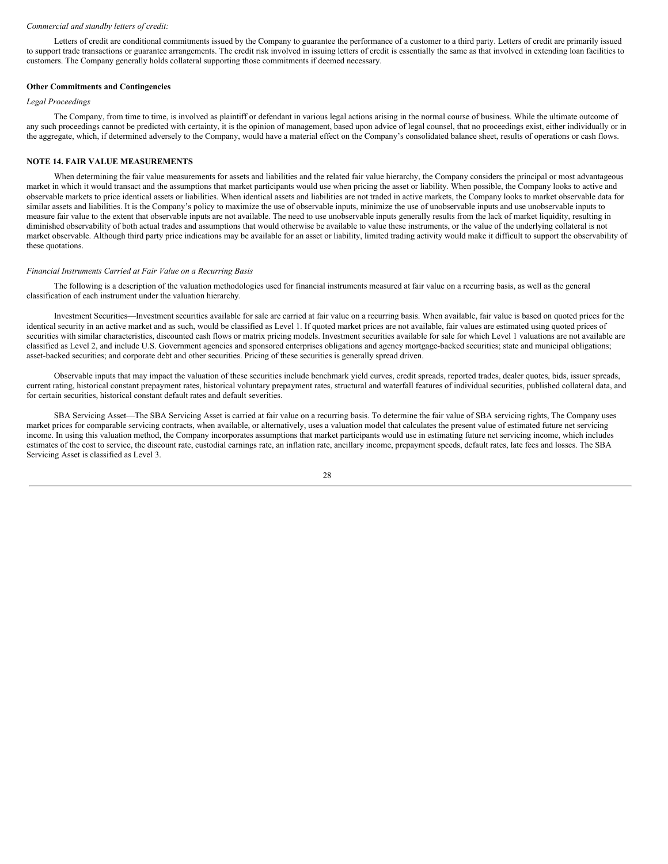#### *Commercial and standby letters of credit:*

Letters of credit are conditional commitments issued by the Company to guarantee the performance of a customer to a third party. Letters of credit are primarily issued to support trade transactions or guarantee arrangements. The credit risk involved in issuing letters of credit is essentially the same as that involved in extending loan facilities to customers. The Company generally holds collateral supporting those commitments if deemed necessary.

#### **Other Commitments and Contingencies**

## *Legal Proceedings*

The Company, from time to time, is involved as plaintiff or defendant in various legal actions arising in the normal course of business. While the ultimate outcome of any such proceedings cannot be predicted with certainty, it is the opinion of management, based upon advice of legal counsel, that no proceedings exist, either individually or in the aggregate, which, if determined adversely to the Company, would have a material effect on the Company's consolidated balance sheet, results of operations or cash flows.

#### **NOTE 14. FAIR VALUE MEASUREMENTS**

When determining the fair value measurements for assets and liabilities and the related fair value hierarchy, the Company considers the principal or most advantageous market in which it would transact and the assumptions that market participants would use when pricing the asset or liability. When possible, the Company looks to active and observable markets to price identical assets or liabilities. When identical assets and liabilities are not traded in active markets, the Company looks to market observable data for similar assets and liabilities. It is the Company's policy to maximize the use of observable inputs, minimize the use of unobservable inputs and use unobservable inputs to measure fair value to the extent that observable inputs are not available. The need to use unobservable inputs generally results from the lack of market liquidity, resulting in diminished observability of both actual trades and assumptions that would otherwise be available to value these instruments, or the value of the underlying collateral is not market observable. Although third party price indications may be available for an asset or liability, limited trading activity would make it difficult to support the observability of these quotations.

## *Financial Instruments Carried at Fair Value on a Recurring Basis*

The following is a description of the valuation methodologies used for financial instruments measured at fair value on a recurring basis, as well as the general classification of each instrument under the valuation hierarchy.

Investment Securities—Investment securities available for sale are carried at fair value on a recurring basis. When available, fair value is based on quoted prices for the identical security in an active market and as such, would be classified as Level 1. If quoted market prices are not available, fair values are estimated using quoted prices of securities with similar characteristics, discounted cash flows or matrix pricing models. Investment securities available for sale for which Level 1 valuations are not available are classified as Level 2, and include U.S. Government agencies and sponsored enterprises obligations and agency mortgage-backed securities; state and municipal obligations; asset-backed securities; and corporate debt and other securities. Pricing of these securities is generally spread driven.

Observable inputs that may impact the valuation of these securities include benchmark yield curves, credit spreads, reported trades, dealer quotes, bids, issuer spreads, current rating, historical constant prepayment rates, historical voluntary prepayment rates, structural and waterfall features of individual securities, published collateral data, and for certain securities, historical constant default rates and default severities.

SBA Servicing Asset—The SBA Servicing Asset is carried at fair value on a recurring basis. To determine the fair value of SBA servicing rights, The Company uses market prices for comparable servicing contracts, when available, or alternatively, uses a valuation model that calculates the present value of estimated future net servicing income. In using this valuation method, the Company incorporates assumptions that market participants would use in estimating future net servicing income, which includes estimates of the cost to service, the discount rate, custodial earnings rate, an inflation rate, ancillary income, prepayment speeds, default rates, late fees and losses. The SBA Servicing Asset is classified as Level 3.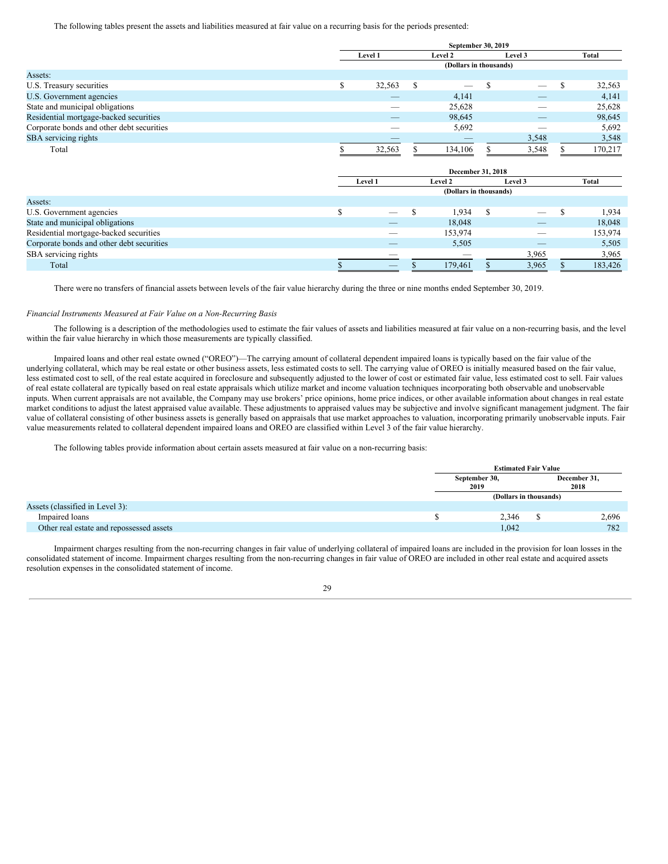The following tables present the assets and liabilities measured at fair value on a recurring basis for the periods presented:

|                                           |    | Level 1 |               | Level 2                |    | Level 3 | <b>Total</b> |
|-------------------------------------------|----|---------|---------------|------------------------|----|---------|--------------|
|                                           |    |         |               | (Dollars in thousands) |    |         |              |
| Assets:                                   |    |         |               |                        |    |         |              |
| U.S. Treasury securities                  | \$ | 32,563  | <sup>\$</sup> |                        | S  |         | \$<br>32,563 |
| U.S. Government agencies                  |    |         |               | 4,141                  |    |         | 4,141        |
| State and municipal obligations           |    |         |               | 25,628                 |    |         | 25,628       |
| Residential mortgage-backed securities    |    |         |               | 98,645                 |    |         | 98,645       |
| Corporate bonds and other debt securities |    |         |               | 5,692                  |    |         | 5,692        |
| SBA servicing rights                      |    |         |               |                        |    | 3,548   | 3,548        |
| Total                                     |    | 32,563  |               | 134,106                |    | 3,548   | 170,217      |
|                                           |    |         |               | December 31, 2018      |    |         |              |
|                                           |    | Level 1 |               | Level 2                |    | Level 3 | <b>Total</b> |
|                                           |    |         |               | (Dollars in thousands) |    |         |              |
| Assets:                                   |    |         |               |                        |    |         |              |
| U.S. Government agencies                  | S  |         | S             | 1,934                  | \$ |         | \$<br>1,934  |
| State and municipal obligations           |    |         |               | 18,048                 |    |         | 18,048       |
| Residential mortgage-backed securities    |    |         |               | 153,974                |    |         | 153,974      |
| Corporate bonds and other debt securities |    |         |               | 5,505                  |    |         | 5,505        |
| SBA servicing rights                      |    |         |               |                        |    | 3,965   | 3,965        |
| Total                                     |    |         |               | 179,461                |    | 3,965   | 183,426      |

There were no transfers of financial assets between levels of the fair value hierarchy during the three or nine months ended September 30, 2019.

## *Financial Instruments Measured at Fair Value on a Non-Recurring Basis*

The following is a description of the methodologies used to estimate the fair values of assets and liabilities measured at fair value on a non-recurring basis, and the level within the fair value hierarchy in which those measurements are typically classified.

Impaired loans and other real estate owned ("OREO")—The carrying amount of collateral dependent impaired loans is typically based on the fair value of the underlying collateral, which may be real estate or other business assets, less estimated costs to sell. The carrying value of OREO is initially measured based on the fair value, less estimated cost to sell, of the real estate acquired in foreclosure and subsequently adjusted to the lower of cost or estimated fair value, less estimated cost to sell. Fair values of real estate collateral are typically based on real estate appraisals which utilize market and income valuation techniques incorporating both observable and unobservable inputs. When current appraisals are not available, the Company may use brokers' price opinions, home price indices, or other available information about changes in real estate market conditions to adjust the latest appraised value available. These adjustments to appraised values may be subjective and involve significant management judgment. The fair value of collateral consisting of other business assets is generally based on appraisals that use market approaches to valuation, incorporating primarily unobservable inputs. Fair value measurements related to collateral dependent impaired loans and OREO are classified within Level 3 of the fair value hierarchy.

The following tables provide information about certain assets measured at fair value on a non-recurring basis:

|                                          | <b>Estimated Fair Value</b> |                      |
|------------------------------------------|-----------------------------|----------------------|
|                                          | September 30,<br>2019       | December 31,<br>2018 |
|                                          | (Dollars in thousands)      |                      |
| Assets (classified in Level 3):          |                             |                      |
| Impaired loans                           | 2,346                       | 2,696                |
| Other real estate and repossessed assets | 1,042                       | 782                  |

Impairment charges resulting from the non-recurring changes in fair value of underlying collateral of impaired loans are included in the provision for loan losses in the consolidated statement of income. Impairment charges resulting from the non-recurring changes in fair value of OREO are included in other real estate and acquired assets resolution expenses in the consolidated statement of income.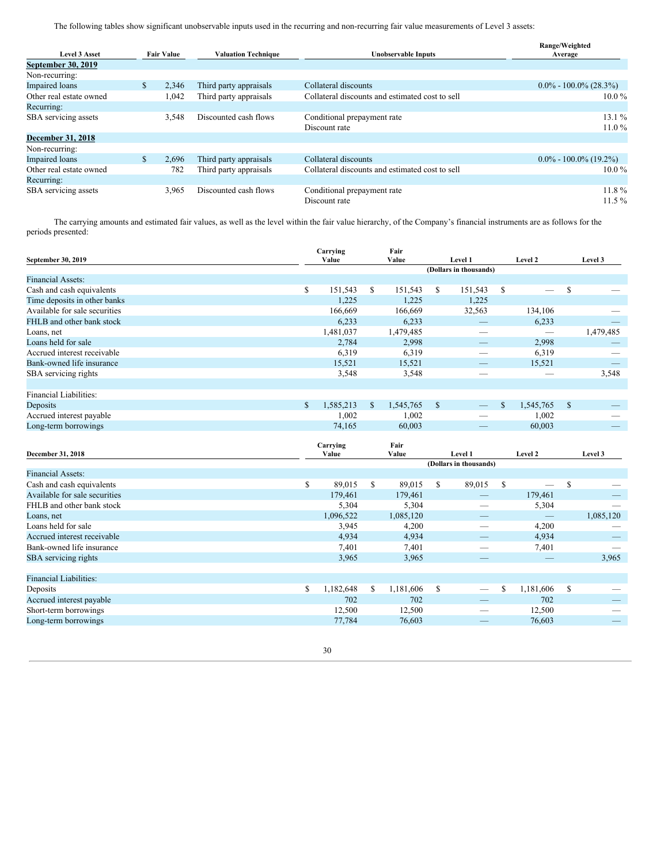The following tables show significant unobservable inputs used in the recurring and non-recurring fair value measurements of Level 3 assets:

| <b>Level 3 Asset</b>      |     | <b>Fair Value</b><br><b>Valuation Technique</b> |                        | <b>Unobservable Inputs</b>                      | Range/Weighted<br>Average |
|---------------------------|-----|-------------------------------------------------|------------------------|-------------------------------------------------|---------------------------|
| <b>September 30, 2019</b> |     |                                                 |                        |                                                 |                           |
| Non-recurring:            |     |                                                 |                        |                                                 |                           |
| <b>Impaired</b> loans     | \$. | 2,346                                           | Third party appraisals | Collateral discounts                            | $0.0\% - 100.0\%$ (28.3%) |
| Other real estate owned   |     | 1,042                                           | Third party appraisals | Collateral discounts and estimated cost to sell | $10.0\%$                  |
| Recurring:                |     |                                                 |                        |                                                 |                           |
| SBA servicing assets      |     | 3,548                                           | Discounted cash flows  | Conditional prepayment rate<br>Discount rate    | $13.1\%$<br>$11.0\%$      |
| <b>December 31, 2018</b>  |     |                                                 |                        |                                                 |                           |
| Non-recurring:            |     |                                                 |                        |                                                 |                           |
| <b>Impaired</b> loans     | S.  | 2.696                                           | Third party appraisals | Collateral discounts                            | $0.0\% - 100.0\%$ (19.2%) |
| Other real estate owned   |     | 782                                             | Third party appraisals | Collateral discounts and estimated cost to sell | $10.0\%$                  |
| Recurring:                |     |                                                 |                        |                                                 |                           |
| SBA servicing assets      |     | 3,965                                           | Discounted cash flows  | Conditional prepayment rate<br>Discount rate    | $11.8\%$<br>$11.5\%$      |

The carrying amounts and estimated fair values, as well as the level within the fair value hierarchy, of the Company's financial instruments are as follows for the periods presented:

|                                               |             | Carrying         |               | Fair             |              |                               |              |                          |               |                                 |
|-----------------------------------------------|-------------|------------------|---------------|------------------|--------------|-------------------------------|--------------|--------------------------|---------------|---------------------------------|
| September 30, 2019                            |             | Value            |               | Value            |              | Level 1                       |              | Level 2                  |               | Level 3                         |
| <b>Financial Assets:</b>                      |             |                  |               |                  |              | (Dollars in thousands)        |              |                          |               |                                 |
|                                               |             |                  |               |                  |              |                               |              |                          |               |                                 |
| Cash and cash equivalents                     | \$          | 151,543          | \$            | 151,543          | \$           | 151,543                       | \$           | $\overline{\phantom{0}}$ | \$            |                                 |
| Time deposits in other banks                  |             | 1.225            |               | 1.225            |              | 1.225                         |              |                          |               |                                 |
| Available for sale securities                 |             | 166,669          |               | 166,669          |              | 32,563                        |              | 134,106                  |               |                                 |
| FHLB and other bank stock                     |             | 6,233            |               | 6,233            |              | $\qquad \qquad -$             |              | 6,233                    |               | $\hspace{0.1mm}-\hspace{0.1mm}$ |
| Loans, net                                    |             | 1,481,037        |               | 1,479,485        |              |                               |              | $\overline{\phantom{0}}$ |               | 1,479,485                       |
| Loans held for sale                           |             | 2,784            |               | 2,998            |              |                               |              | 2,998                    |               |                                 |
| Accrued interest receivable                   |             | 6,319            |               | 6,319            |              | $\overline{\phantom{0}}$      |              | 6,319                    |               |                                 |
| Bank-owned life insurance                     |             | 15,521           |               | 15,521           |              |                               |              | 15,521                   |               |                                 |
| SBA servicing rights                          |             | 3,548            |               | 3,548            |              |                               |              |                          |               | 3,548                           |
|                                               |             |                  |               |                  |              |                               |              |                          |               |                                 |
| <b>Financial Liabilities:</b>                 |             |                  |               |                  |              |                               |              |                          |               |                                 |
| Deposits                                      | $\mathbf S$ | 1,585,213        | <sup>\$</sup> | 1,545,765        | $\mathbb{S}$ |                               | $\mathbf S$  | 1,545,765                | $\mathsf{\$}$ |                                 |
| Accrued interest payable                      |             | 1,002            |               | 1,002            |              |                               |              | 1,002                    |               |                                 |
| Long-term borrowings                          |             | 74,165           |               | 60,003           |              |                               |              | 60,003                   |               |                                 |
|                                               |             |                  |               |                  |              |                               |              |                          |               |                                 |
|                                               |             |                  |               |                  |              |                               |              |                          |               |                                 |
|                                               |             | Carrying         |               | Fair             |              |                               |              |                          |               |                                 |
| December 31, 2018                             |             | Value            |               | Value            |              | Level 1                       |              | Level 2                  |               | Level 3                         |
|                                               |             |                  |               |                  |              | (Dollars in thousands)        |              |                          |               |                                 |
| <b>Financial Assets:</b>                      |             |                  |               |                  |              |                               |              | $\overline{\phantom{0}}$ |               |                                 |
| Cash and cash equivalents                     | \$          | 89,015           | \$            | 89,015           | \$           | 89,015<br>$\qquad \qquad -$   | $\mathbb{S}$ |                          | \$            |                                 |
| Available for sale securities                 |             | 179,461          |               | 179,461          |              | $\overbrace{\phantom{12333}}$ |              | 179,461                  |               |                                 |
| FHLB and other bank stock                     |             | 5,304            |               | 5,304            |              |                               |              | 5,304                    |               |                                 |
| Loans, net                                    |             | 1,096,522        |               | 1,085,120        |              | $\overbrace{\phantom{12333}}$ |              |                          |               | 1,085,120                       |
| Loans held for sale                           |             | 3,945            |               | 4,200            |              |                               |              | 4,200                    |               |                                 |
| Accrued interest receivable                   |             | 4,934            |               | 4,934            |              |                               |              | 4,934                    |               |                                 |
| Bank-owned life insurance                     |             | 7,401            |               | 7,401            |              |                               |              | 7,401                    |               |                                 |
| SBA servicing rights                          |             | 3,965            |               | 3,965            |              |                               |              |                          |               | 3,965                           |
|                                               |             |                  |               |                  |              |                               |              |                          |               |                                 |
| <b>Financial Liabilities:</b>                 | \$          | 1,182,648        | $\mathbb{S}$  | 1,181,606        | \$           | $\overbrace{\phantom{12333}}$ | \$           | 1,181,606                | \$            |                                 |
| Deposits                                      |             | 702              |               | 702              |              |                               |              | 702                      |               |                                 |
| Accrued interest payable                      |             |                  |               |                  |              | $\overline{\phantom{0}}$      |              |                          |               | $\overline{\phantom{0}}$        |
| Short-term borrowings<br>Long-term borrowings |             | 12,500<br>77,784 |               | 12,500<br>76,603 |              |                               |              | 12,500<br>76,603         |               |                                 |

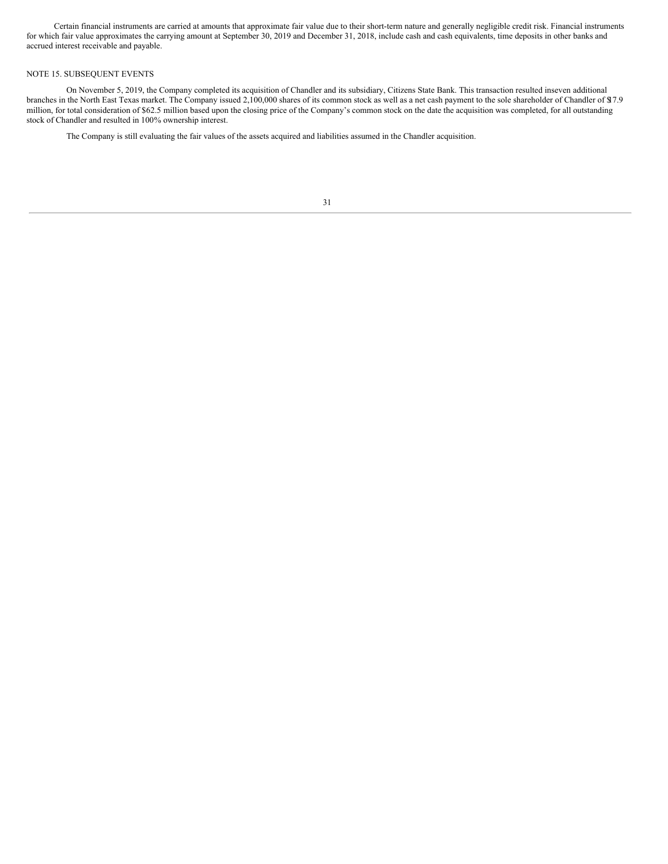Certain financial instruments are carried at amounts that approximate fair value due to their short-term nature and generally negligible credit risk. Financial instruments for which fair value approximates the carrying amount at September 30, 2019 and December 31, 2018, include cash and cash equivalents, time deposits in other banks and accrued interest receivable and payable.

## NOTE 15. SUBSEQUENT EVENTS

On November 5, 2019, the Company completed its acquisition of Chandler and its subsidiary, Citizens State Bank. This transaction resulted inseven additional branches in the North East Texas market. The Company issued 2,100,000 shares of its common stock as well as a net cash payment to the sole shareholder of Chandler of \$17.9 million, for total consideration of \$62.5 million based upon the closing price of the Company's common stock on the date the acquisition was completed, for all outstanding stock of Chandler and resulted in 100% ownership interest.

The Company is still evaluating the fair values of the assets acquired and liabilities assumed in the Chandler acquisition.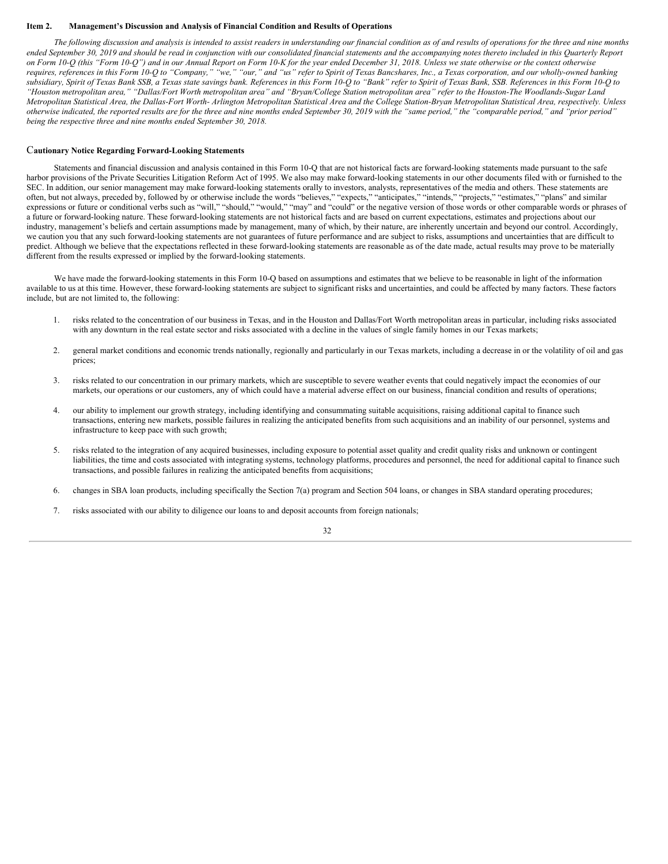#### <span id="page-31-0"></span>**Item 2. Management's Discussion and Analysis of Financial Condition and Results of Operations**

The following discussion and analysis is intended to assist readers in understanding our financial condition as of and results of operations for the three and nine months ended September 30, 2019 and should be read in conjunction with our consolidated financial statements and the accompanying notes thereto included in this Quarterly Report on Form 10-Q (this "Form 10-Q") and in our Annual Report on Form 10-K for the year ended December 31, 2018. Unless we state otherwise or the context otherwise requires, references in this Form 10-Q to "Company," "we," "our," and "us" refer to Spirit of Texas Bancshares, Inc., a Texas corporation, and our wholly-owned banking subsidiary, Spirit of Texas Bank SSB, a Texas state savings bank. References in this Form 10-Q to "Bank" refer to Spirit of Texas Bank, SSB. References in this Form 10-Q to "Houston metropolitan area," "Dallas/Fort Worth metropolitan area" and "Bryan/College Station metropolitan area" refer to the Houston-The Woodlands-Sugar Land Metropolitan Statistical Area, the Dallas-Fort Worth- Arlington Metropolitan Statistical Area and the College Station-Bryan Metropolitan Statistical Area, respectively. Unless otherwise indicated, the reported results are for the three and nine months ended September 30, 2019 with the "same period," the "comparable period," and "prior period" *being the respective three and nine months ended September 30, 2018.*

## C**autionary Notice Regarding Forward-Looking Statements**

Statements and financial discussion and analysis contained in this Form 10-Q that are not historical facts are forward-looking statements made pursuant to the safe harbor provisions of the Private Securities Litigation Reform Act of 1995. We also may make forward-looking statements in our other documents filed with or furnished to the SEC. In addition, our senior management may make forward-looking statements orally to investors, analysts, representatives of the media and others. These statements are often, but not always, preceded by, followed by or otherwise include the words "believes," "expects," "anticipates," "intends," "projects," "estimates," "plans" and similar expressions or future or conditional verbs such as "will," "should," "may" and "could" or the negative version of those words or other comparable words or phrases of expressions or future or conditional verbs such as "will a future or forward-looking nature. These forward-looking statements are not historical facts and are based on current expectations, estimates and projections about our industry, management's beliefs and certain assumptions made by management, many of which, by their nature, are inherently uncertain and beyond our control. Accordingly, we caution you that any such forward-looking statements are not guarantees of future performance and are subject to risks, assumptions and uncertainties that are difficult to predict. Although we believe that the expectations reflected in these forward-looking statements are reasonable as of the date made, actual results may prove to be materially different from the results expressed or implied by the forward-looking statements.

We have made the forward-looking statements in this Form 10-Q based on assumptions and estimates that we believe to be reasonable in light of the information available to us at this time. However, these forward-looking statements are subject to significant risks and uncertainties, and could be affected by many factors. These factors include, but are not limited to, the following:

- 1. risks related to the concentration of our business in Texas, and in the Houston and Dallas/Fort Worth metropolitan areas in particular, including risks associated with any downturn in the real estate sector and risks associated with a decline in the values of single family homes in our Texas markets;
- 2. general market conditions and economic trends nationally, regionally and particularly in our Texas markets, including a decrease in or the volatility of oil and gas prices;
- 3. risks related to our concentration in our primary markets, which are susceptible to severe weather events that could negatively impact the economies of our markets, our operations or our customers, any of which could have a material adverse effect on our business, financial condition and results of operations;
- 4. our ability to implement our growth strategy, including identifying and consummating suitable acquisitions, raising additional capital to finance such transactions, entering new markets, possible failures in realizing the anticipated benefits from such acquisitions and an inability of our personnel, systems and infrastructure to keep pace with such growth;
- 5. risks related to the integration of any acquired businesses, including exposure to potential asset quality and credit quality risks and unknown or contingent liabilities, the time and costs associated with integrating systems, technology platforms, procedures and personnel, the need for additional capital to finance such transactions, and possible failures in realizing the anticipated benefits from acquisitions;
- 6. changes in SBA loan products, including specifically the Section 7(a) program and Section 504 loans, or changes in SBA standard operating procedures;
- 7. risks associated with our ability to diligence our loans to and deposit accounts from foreign nationals;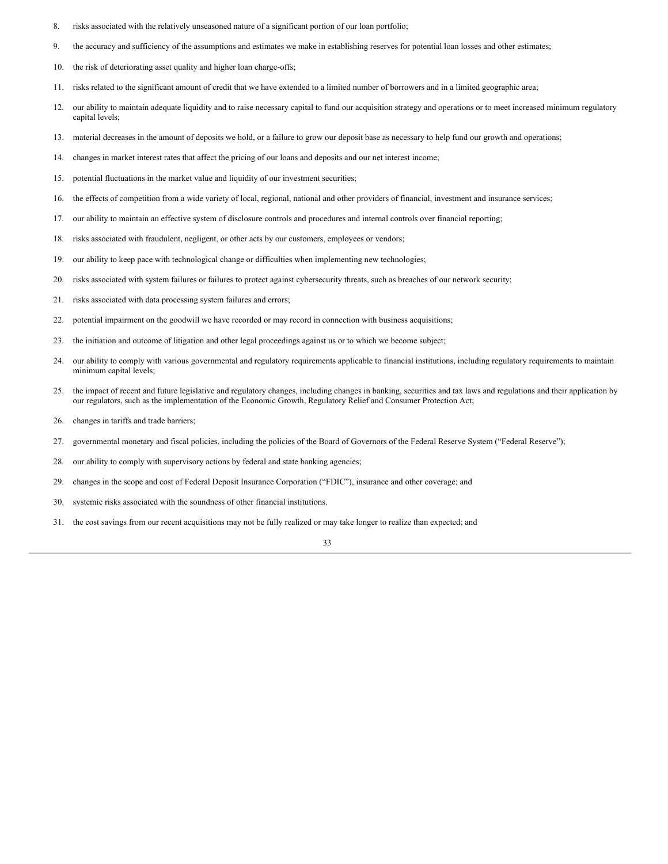- 8. risks associated with the relatively unseasoned nature of a significant portion of our loan portfolio;
- 9. the accuracy and sufficiency of the assumptions and estimates we make in establishing reserves for potential loan losses and other estimates;
- 10. the risk of deteriorating asset quality and higher loan charge-offs;
- 11. risks related to the significant amount of credit that we have extended to a limited number of borrowers and in a limited geographic area;
- 12. our ability to maintain adequate liquidity and to raise necessary capital to fund our acquisition strategy and operations or to meet increased minimum regulatory capital levels;
- 13. material decreases in the amount of deposits we hold, or a failure to grow our deposit base as necessary to help fund our growth and operations;
- 14. changes in market interest rates that affect the pricing of our loans and deposits and our net interest income;
- 15. potential fluctuations in the market value and liquidity of our investment securities;
- 16. the effects of competition from a wide variety of local, regional, national and other providers of financial, investment and insurance services;
- 17. our ability to maintain an effective system of disclosure controls and procedures and internal controls over financial reporting;
- 18. risks associated with fraudulent, negligent, or other acts by our customers, employees or vendors;
- 19. our ability to keep pace with technological change or difficulties when implementing new technologies;
- 20. risks associated with system failures or failures to protect against cybersecurity threats, such as breaches of our network security;
- 21. risks associated with data processing system failures and errors;
- 22. potential impairment on the goodwill we have recorded or may record in connection with business acquisitions;
- 23. the initiation and outcome of litigation and other legal proceedings against us or to which we become subject;
- 24. our ability to comply with various governmental and regulatory requirements applicable to financial institutions, including regulatory requirements to maintain minimum capital levels;
- 25. the impact of recent and future legislative and regulatory changes, including changes in banking, securities and tax laws and regulations and their application by our regulators, such as the implementation of the Economic Growth, Regulatory Relief and Consumer Protection Act;
- 26. changes in tariffs and trade barriers;
- 27. governmental monetary and fiscal policies, including the policies of the Board of Governors of the Federal Reserve System ("Federal Reserve");
- 28. our ability to comply with supervisory actions by federal and state banking agencies;
- 29. changes in the scope and cost of Federal Deposit Insurance Corporation ("FDIC"), insurance and other coverage; and
- 30. systemic risks associated with the soundness of other financial institutions.
- 31. the cost savings from our recent acquisitions may not be fully realized or may take longer to realize than expected; and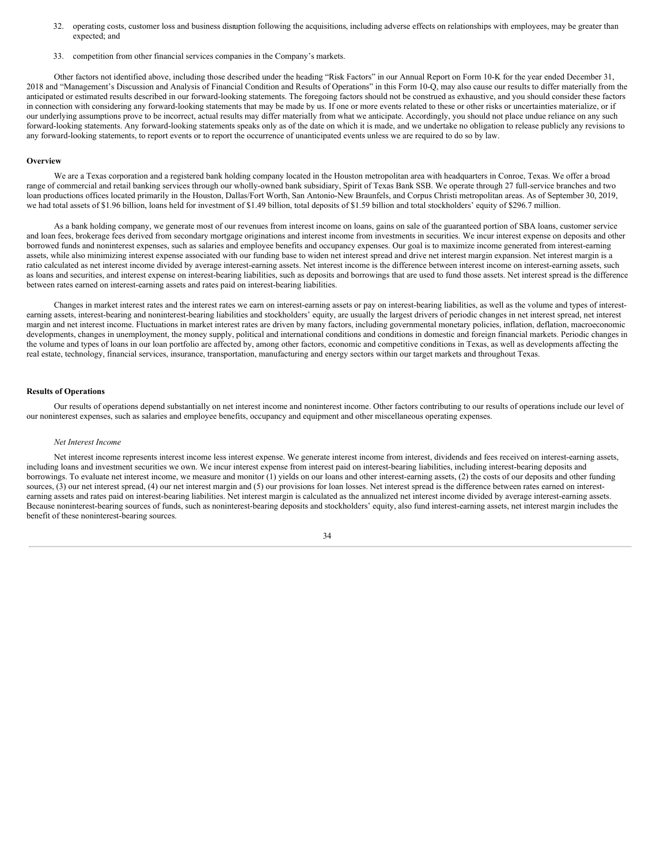- 32. operating costs, customer loss and business disruption following the acquisitions, including adverse effects on relationships with employees, may be greater than expected; and
- 33. competition from other financial services companies in the Company's markets.

Other factors not identified above, including those described under the heading "Risk Factors" in our Annual Report on Form 10-K for the year ended December 31, 2018 and "Management's Discussion and Analysis of Financial Condition and Results of Operations" in this Form 10-Q, may also cause our results to differ materially from the anticipated or estimated results described in our forward-looking statements. The foregoing factors should not be construed as exhaustive, and you should consider these factors in connection with considering any forward-looking statements that may be made by us. If one or more events related to these or other risks or uncertainties materialize, or if our underlying assumptions prove to be incorrect, actual results may differ materially from what we anticipate. Accordingly, you should not place undue reliance on any such forward-looking statements. Any forward-looking statements speaks only as of the date on which it is made, and we undertake no obligation to release publicly any revisions to any forward-looking statements, to report events or to report the occurrence of unanticipated events unless we are required to do so by law.

#### **Overview**

We are a Texas corporation and a registered bank holding company located in the Houston metropolitan area with headquarters in Conroe, Texas. We offer a broad range of commercial and retail banking services through our wholly-owned bank subsidiary, Spirit of Texas Bank SSB. We operate through 27 full-service branches and two loan productions offices located primarily in the Houston, Dallas/Fort Worth, San Antonio-New Braunfels, and Corpus Christi metropolitan areas. As of September 30, 2019, we had total assets of \$1.96 billion, loans held for investment of \$1.49 billion, total deposits of \$1.59 billion and total stockholders' equity of \$296.7 million.

As a bank holding company, we generate most of our revenues from interest income on loans, gains on sale of the guaranteed portion of SBA loans, customer service and loan fees, brokerage fees derived from secondary mortgage originations and interest income from investments in securities. We incur interest expense on deposits and other borrowed funds and noninterest expenses, such as salaries and employee benefits and occupancy expenses. Our goal is to maximize income generated from interest-earning assets, while also minimizing interest expense associated with our funding base to widen net interest spread and drive net interest margin expansion. Net interest margin is a ratio calculated as net interest income divided by average interest-earning assets. Net interest income is the difference between interest income on interest-earning assets, such as loans and securities, and interest expense on interest-bearing liabilities, such as deposits and borrowings that are used to fund those assets. Net interest spread is the difference between rates earned on interest-earning assets and rates paid on interest-bearing liabilities.

Changes in market interest rates and the interest rates we earn on interest-earning assets or pay on interest-bearing liabilities, as well as the volume and types of interestearning assets, interest-bearing and noninterest-bearing liabilities and stockholders' equity, are usually the largest drivers of periodic changes in net interest spread, net interest margin and net interest income. Fluctuations in market interest rates are driven by many factors, including governmental monetary policies, inflation, deflation, macroeconomic developments, changes in unemployment, the money supply, political and international conditions and conditions in domestic and foreign financial markets. Periodic changes in the volume and types of loans in our loan portfolio are affected by, among other factors, economic and competitive conditions in Texas, as well as developments affecting the real estate, technology, financial services, insurance, transportation, manufacturing and energy sectors within our target markets and throughout Texas.

#### **Results of Operations**

Our results of operations depend substantially on net interest income and noninterest income. Other factors contributing to our results of operations include our level of our noninterest expenses, such as salaries and employee benefits, occupancy and equipment and other miscellaneous operating expenses.

#### *Net Interest Income*

Net interest income represents interest income less interest expense. We generate interest income from interest, dividends and fees received on interest-earning assets, including loans and investment securities we own. We incur interest expense from interest paid on interest-bearing liabilities, including interest-bearing deposits and borrowings. To evaluate net interest income, we measure and monitor (1) yields on our loans and other interest-earning assets, (2) the costs of our deposits and other funding sources, (3) our net interest spread, (4) our net interest margin and (5) our provisions for loan losses. Net interest spread is the difference between rates earned on interestearning assets and rates paid on interest-bearing liabilities. Net interest margin is calculated as the annualized net interest income divided by average interest-earning assets. Because noninterest-bearing sources of funds, such as noninterest-bearing deposits and stockholders' equity, also fund interest-earning assets, net interest margin includes the benefit of these noninterest-bearing sources.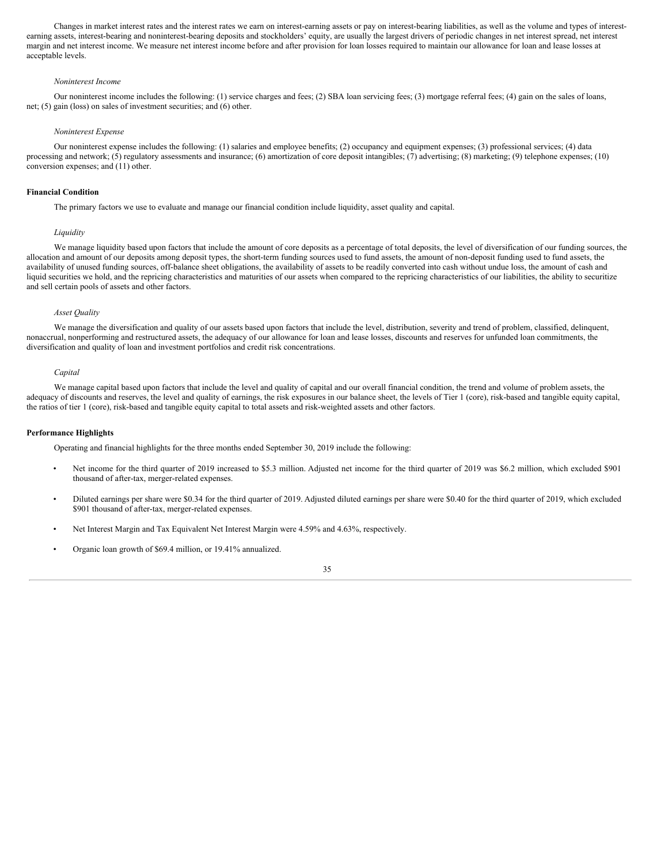Changes in market interest rates and the interest rates we earn on interest-earning assets or pay on interest-bearing liabilities, as well as the volume and types of interestearning assets, interest-bearing and noninterest-bearing deposits and stockholders' equity, are usually the largest drivers of periodic changes in net interest spread, net interest margin and net interest income. We measure net interest income before and after provision for loan losses required to maintain our allowance for loan and lease losses at acceptable levels.

#### *Noninterest Income*

Our noninterest income includes the following: (1) service charges and fees; (2) SBA loan servicing fees; (3) mortgage referral fees; (4) gain on the sales of loans, net; (5) gain (loss) on sales of investment securities; and (6) other.

#### *Noninterest Expense*

Our noninterest expense includes the following: (1) salaries and employee benefits; (2) occupancy and equipment expenses; (3) professional services; (4) data processing and network; (5) regulatory assessments and insurance; (6) amortization of core deposit intangibles; (7) advertising; (8) marketing; (9) telephone expenses; (10) conversion expenses; and (11) other.

#### **Financial Condition**

The primary factors we use to evaluate and manage our financial condition include liquidity, asset quality and capital.

#### *Liquidity*

We manage liquidity based upon factors that include the amount of core deposits as a percentage of total deposits, the level of diversification of our funding sources, the allocation and amount of our deposits among deposit types, the short-term funding sources used to fund assets, the amount of non-deposit funding used to fund assets, the availability of unused funding sources, off-balance sheet obligations, the availability of assets to be readily converted into cash without undue loss, the amount of cash and liquid securities we hold, and the repricing characteristics and maturities of our assets when compared to the repricing characteristics of our liabilities, the ability to securitize and sell certain pools of assets and other factors.

#### *Asset Quality*

We manage the diversification and quality of our assets based upon factors that include the level, distribution, severity and trend of problem, classified, delinquent, nonaccrual, nonperforming and restructured assets, the adequacy of our allowance for loan and lease losses, discounts and reserves for unfunded loan commitments, the diversification and quality of loan and investment portfolios and credit risk concentrations.

#### *Capital*

We manage capital based upon factors that include the level and quality of capital and our overall financial condition, the trend and volume of problem assets, the adequacy of discounts and reserves, the level and quality of earnings, the risk exposures in our balance sheet, the levels of Tier 1 (core), risk-based and tangible equity capital, the ratios of tier 1 (core), risk-based and tangible equity capital to total assets and risk-weighted assets and other factors.

## **Performance Highlights**

Operating and financial highlights for the three months ended September 30, 2019 include the following:

- Net income for the third quarter of 2019 increased to \$5.3 million. Adjusted net income for the third quarter of 2019 was \$6.2 million, which excluded \$901 thousand of after-tax, merger-related expenses.
- Diluted earnings per share were \$0.34 for the third quarter of 2019. Adjusted diluted earnings per share were \$0.40 for the third quarter of 2019, which excluded \$901 thousand of after-tax, merger-related expenses.
- Net Interest Margin and Tax Equivalent Net Interest Margin were 4.59% and 4.63%, respectively.
- Organic loan growth of \$69.4 million, or 19.41% annualized.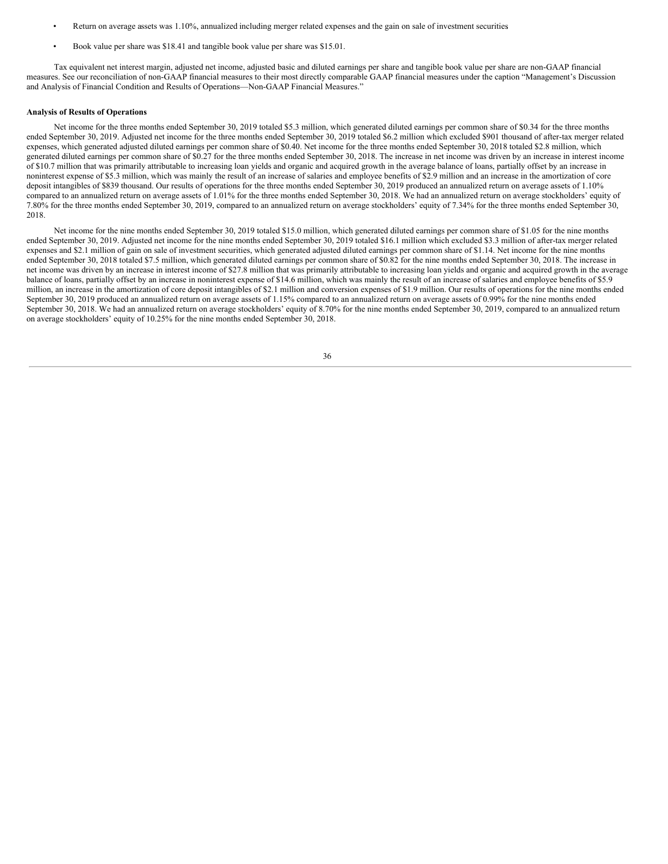- Return on average assets was 1.10%, annualized including merger related expenses and the gain on sale of investment securities.
- Book value per share was \$18.41 and tangible book value per share was \$15.01.

Tax equivalent net interest margin, adjusted net income, adjusted basic and diluted earnings per share and tangible book value per share are non-GAAP financial measures. See our reconciliation of non-GAAP financial measures to their most directly comparable GAAP financial measures under the caption "Management's Discussion and Analysis of Financial Condition and Results of Operations—Non-GAAP Financial Measures."

## **Analysis of Results of Operations**

Net income for the three months ended September 30, 2019 totaled \$5.3 million, which generated diluted earnings per common share of \$0.34 for the three months ended September 30, 2019. Adjusted net income for the three months ended September 30, 2019 totaled \$6.2 million which excluded \$901 thousand of after-tax merger related expenses, which generated adjusted diluted earnings per common share of \$0.40. Net income for the three months ended September 30, 2018 totaled \$2.8 million, which generated diluted earnings per common share of \$0.27 for the three months ended September 30, 2018. The increase in net income was driven by an increase in interest income of \$10.7 million that was primarily attributable to increasing loan yields and organic and acquired growth in the average balance of loans, partially offset by an increase in noninterest expense of \$5.3 million, which was mainly the result of an increase of salaries and employee benefits of \$2.9 million and an increase in the amortization of core deposit intangibles of \$839 thousand. Our results of operations for the three months ended September 30, 2019 produced an annualized return on average assets of 1.10% compared to an annualized return on average assets of 1.01% for the three months ended September 30, 2018. We had an annualized return on average stockholders' equity of 7.80% for the three months ended September 30, 2019, compared to an annualized return on average stockholders' equity of 7.34% for the three months ended September 30, 2018.

Net income for the nine months ended September 30, 2019 totaled \$15.0 million, which generated diluted earnings per common share of \$1.05 for the nine months ended September 30, 2019. Adjusted net income for the nine months ended September 30, 2019 totaled \$16.1 million which excluded \$3.3 million of after-tax merger related expenses and \$2.1 million of gain on sale of investment securities, which generated adjusted diluted earnings per common share of \$1.14. Net income for the nine months ended September 30, 2018 totaled \$7.5 million, which generated diluted earnings per common share of \$0.82 for the nine months ended September 30, 2018. The increase in net income was driven by an increase in interest income of \$27.8 million that was primarily attributable to increasing loan yields and organic and acquired growth in the average balance of loans, partially offset by an increase in noninterest expense of \$14.6 million, which was mainly the result of an increase of salaries and employee benefits of \$5.9 million, an increase in the amortization of core deposit intangibles of \$2.1 million and conversion expenses of \$1.9 million. Our results of operations for the nine months ended September 30, 2019 produced an annualized return on average assets of 1.15% compared to an annualized return on average assets of 0.99% for the nine months ended September 30, 2018. We had an annualized return on average stockholders' equity of 8.70% for the nine months ended September 30, 2019, compared to an annualized return on average stockholders' equity of 10.25% for the nine months ended September 30, 2018.

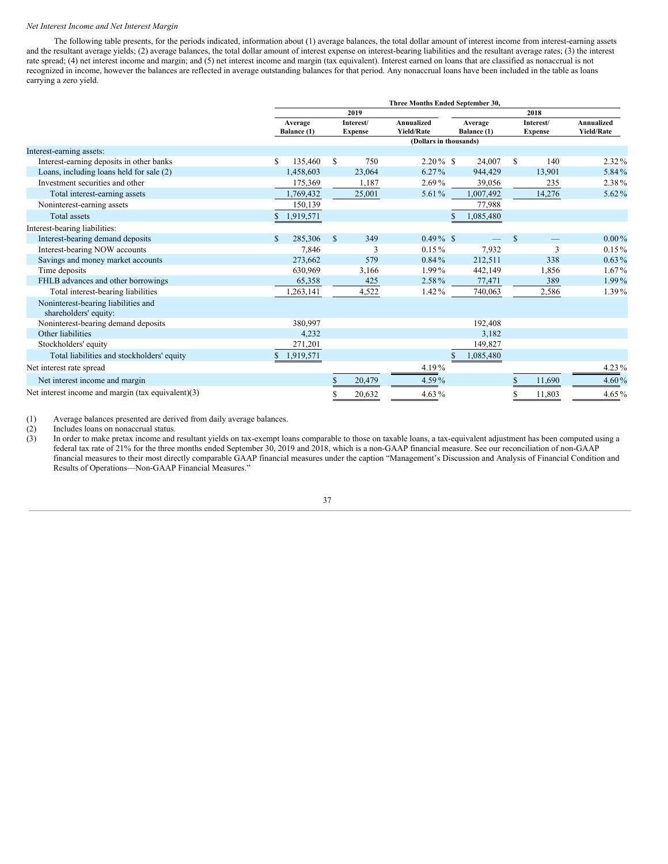#### *Net Interest Income and Net Interest Margin*

The following table presents, for the periods indicated, information about (1) average balances, the total dollar amount of interest income from interest-earning assets and the resultant average yields; (2) average balances, the total dollar amount of interest expense on interest-bearing liabilities and the resultant average rates; (3) the interest rate spread; (4) net interest income and margin; and (5) net interest income and margin (tax equivalent). Interest earned on loans that are classified as nonaccrual is not recognized in income, however the balances are reflected in average outstanding balances for that period. Any nonaccrual loans have been included in the table as loans carrying a zero yield.

|                                                              | Three Months Ended September 30, |                        |              |                             |                                 |  |                        |              |                             |                                 |
|--------------------------------------------------------------|----------------------------------|------------------------|--------------|-----------------------------|---------------------------------|--|------------------------|--------------|-----------------------------|---------------------------------|
|                                                              |                                  |                        |              | 2019                        |                                 |  |                        |              | 2018                        |                                 |
|                                                              |                                  | Average<br>Balance (1) |              | Interest/<br><b>Expense</b> | Annualized<br><b>Yield/Rate</b> |  | Average<br>Balance (1) |              | Interest/<br><b>Expense</b> | Annualized<br><b>Yield/Rate</b> |
|                                                              |                                  |                        |              |                             | (Dollars in thousands)          |  |                        |              |                             |                                 |
| Interest-earning assets:                                     |                                  |                        |              |                             |                                 |  |                        |              |                             |                                 |
| Interest-earning deposits in other banks                     | S                                | 135,460                | \$           | 750                         | $2.20\%$ \$                     |  | 24,007                 | S            | 140                         | 2.32%                           |
| Loans, including loans held for sale (2)                     |                                  | 1,458,603              |              | 23,064                      | $6.27\%$                        |  | 944,429                |              | 13,901                      | 5.84%                           |
| Investment securities and other                              |                                  | 175,369                |              | 1,187                       | 2.69%                           |  | 39,056                 |              | 235                         | 2.38%                           |
| Total interest-earning assets                                |                                  | 1,769,432              |              | 25,001                      | 5.61%                           |  | 1,007,492              |              | 14,276                      | 5.62%                           |
| Noninterest-earning assets                                   |                                  | 150,139                |              |                             |                                 |  | 77,988                 |              |                             |                                 |
| <b>Total assets</b>                                          |                                  | 1,919,571              |              |                             |                                 |  | 1,085,480              |              |                             |                                 |
| Interest-bearing liabilities:                                |                                  |                        |              |                             |                                 |  |                        |              |                             |                                 |
| Interest-bearing demand deposits                             | $\mathbf{s}$                     | 285,306                | $\mathbb{S}$ | 349                         | $0.49\%$ \$                     |  |                        | $\mathbb{S}$ |                             | $0.00\%$                        |
| Interest-bearing NOW accounts                                |                                  | 7,846                  |              | 3                           | $0.15\%$                        |  | 7,932                  |              | 3                           | $0.15\%$                        |
| Savings and money market accounts                            |                                  | 273,662                |              | 579                         | $0.84\%$                        |  | 212,511                |              | 338                         | $0.63\%$                        |
| Time deposits                                                |                                  | 630,969                |              | 3,166                       | 1.99%                           |  | 442,149                |              | 1,856                       | 1.67%                           |
| FHLB advances and other borrowings                           |                                  | 65,358                 |              | 425                         | 2.58%                           |  | 77,471                 |              | 389                         | $1.99\%$                        |
| Total interest-bearing liabilities                           |                                  | 1,263,141              |              | 4,522                       | $1.42\%$                        |  | 740,063                |              | 2,586                       | 1.39%                           |
| Noninterest-bearing liabilities and<br>shareholders' equity: |                                  |                        |              |                             |                                 |  |                        |              |                             |                                 |
| Noninterest-bearing demand deposits                          |                                  | 380,997                |              |                             |                                 |  | 192,408                |              |                             |                                 |
| Other liabilities                                            |                                  | 4,232                  |              |                             |                                 |  | 3,182                  |              |                             |                                 |
| Stockholders' equity                                         |                                  | 271,201                |              |                             |                                 |  | 149,827                |              |                             |                                 |
| Total liabilities and stockholders' equity                   |                                  | 1,919,571              |              |                             |                                 |  | 1,085,480              |              |                             |                                 |
| Net interest rate spread                                     |                                  |                        |              |                             | 4.19%                           |  |                        |              |                             | 4.23%                           |
| Net interest income and margin                               |                                  |                        |              | 20,479                      | 4.59%                           |  |                        | \$           | 11,690                      | 4.60%                           |
| Net interest income and margin (tax equivalent)(3)           |                                  |                        |              | 20,632                      | 4.63%                           |  |                        | S            | 11,803                      | 4.65%                           |

(1) Average balances presented are derived from daily average balances.

(2) Includes loans on nonaccrual status.

(3) In order to make pretax income and resultant yields on tax-exempt loans comparable to those on taxable loans, a tax-equivalent adjustment has been computed using a federal tax rate of 21% for the three months ended September 30, 2019 and 2018, which is a non-GAAP financial measure. See our reconciliation of non-GAAP financial measures to their most directly comparable GAAP financial measures under the caption "Management's Discussion and Analysis of Financial Condition and Results of Operations—Non-GAAP Financial Measures."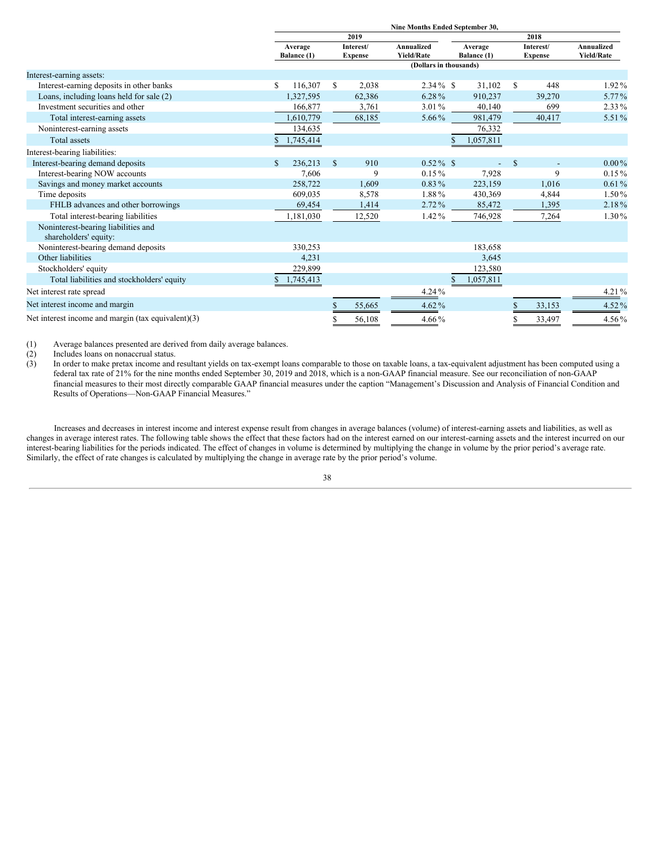|                                                              | Nine Months Ended September 30, |                        |              |                             |                                 |  |                        |               |                             |                                 |
|--------------------------------------------------------------|---------------------------------|------------------------|--------------|-----------------------------|---------------------------------|--|------------------------|---------------|-----------------------------|---------------------------------|
|                                                              |                                 |                        |              | 2019                        |                                 |  |                        |               | 2018                        |                                 |
|                                                              |                                 | Average<br>Balance (1) |              | Interest/<br><b>Expense</b> | Annualized<br><b>Yield/Rate</b> |  | Average<br>Balance (1) |               | Interest/<br><b>Expense</b> | Annualized<br><b>Yield/Rate</b> |
|                                                              |                                 |                        |              |                             | (Dollars in thousands)          |  |                        |               |                             |                                 |
| Interest-earning assets:                                     |                                 |                        |              |                             |                                 |  |                        |               |                             |                                 |
| Interest-earning deposits in other banks                     | S                               | 116,307                | S.           | 2,038                       | $2.34\%$ \$                     |  | 31,102                 | S             | 448                         | $1.92\%$                        |
| Loans, including loans held for sale (2)                     |                                 | 1,327,595              |              | 62,386                      | 6.28%                           |  | 910,237                |               | 39,270                      | 5.77%                           |
| Investment securities and other                              |                                 | 166,877                |              | 3,761                       | $3.01\%$                        |  | 40,140                 |               | 699                         | 2.33%                           |
| Total interest-earning assets                                |                                 | 1,610,779              |              | 68,185                      | 5.66%                           |  | 981,479                |               | 40,417                      | 5.51%                           |
| Noninterest-earning assets                                   |                                 | 134,635                |              |                             |                                 |  | 76,332                 |               |                             |                                 |
| <b>Total assets</b>                                          |                                 | 1,745,414              |              |                             |                                 |  | 1,057,811              |               |                             |                                 |
| Interest-bearing liabilities:                                |                                 |                        |              |                             |                                 |  |                        |               |                             |                                 |
| Interest-bearing demand deposits                             | $\mathbb{S}$                    | 236,213                | $\mathbb{S}$ | 910                         | $0.52\%$ \$                     |  |                        | <sup>\$</sup> |                             | $0.00\%$                        |
| Interest-bearing NOW accounts                                |                                 | 7,606                  |              | 9                           | $0.15\%$                        |  | 7,928                  |               | 9                           | $0.15\%$                        |
| Savings and money market accounts                            |                                 | 258,722                |              | 1.609                       | $0.83\%$                        |  | 223.159                |               | 1,016                       | 0.61%                           |
| Time deposits                                                |                                 | 609,035                |              | 8,578                       | 1.88%                           |  | 430,369                |               | 4,844                       | 1.50%                           |
| FHLB advances and other borrowings                           |                                 | 69,454                 |              | 1,414                       | $2.72\%$                        |  | 85,472                 |               | 1,395                       | 2.18%                           |
| Total interest-bearing liabilities                           |                                 | 1,181,030              |              | 12,520                      | 1.42%                           |  | 746,928                |               | 7,264                       | 1.30%                           |
| Noninterest-bearing liabilities and<br>shareholders' equity: |                                 |                        |              |                             |                                 |  |                        |               |                             |                                 |
| Noninterest-bearing demand deposits                          |                                 | 330,253                |              |                             |                                 |  | 183,658                |               |                             |                                 |
| Other liabilities                                            |                                 | 4,231                  |              |                             |                                 |  | 3,645                  |               |                             |                                 |
| Stockholders' equity                                         |                                 | 229,899                |              |                             |                                 |  | 123,580                |               |                             |                                 |
| Total liabilities and stockholders' equity                   |                                 | \$1,745,413            |              |                             |                                 |  | 1,057,811              |               |                             |                                 |
| Net interest rate spread                                     |                                 |                        |              |                             | 4.24%                           |  |                        |               |                             | 4.21%                           |
| Net interest income and margin                               |                                 |                        |              | 55,665                      | 4.62 $%$                        |  |                        | \$            | 33,153                      | 4.52%                           |
| Net interest income and margin (tax equivalent)(3)           |                                 |                        |              | 56,108                      | $4.66\%$                        |  |                        |               | 33,497                      | 4.56%                           |

(1) Average balances presented are derived from daily average balances.

(2) Includes loans on nonaccrual status.<br>(3) In order to make pretax income and i

(3) In order to make pretax income and resultant yields on tax-exempt loans comparable to those on taxable loans, a tax-equivalent adjustment has been computed using a federal tax rate of 21% for the nine months ended September 30, 2019 and 2018, which is a non-GAAP financial measure. See our reconciliation of non-GAAP financial measures to their most directly comparable GAAP financial measures under the caption "Management's Discussion and Analysis of Financial Condition and Results of Operations—Non-GAAP Financial Measures."

Increases and decreases in interest income and interest expense result from changes in average balances (volume) of interest-earning assets and liabilities, as well as changes in average interest rates. The following table shows the effect that these factors had on the interest earned on our interest-earning assets and the interest incurred on our interest-bearing liabilities for the periods indicated. The effect of changes in volume is determined by multiplying the change in volume by the prior period's average rate. Similarly, the effect of rate changes is calculated by multiplying the change in average rate by the prior period's volume.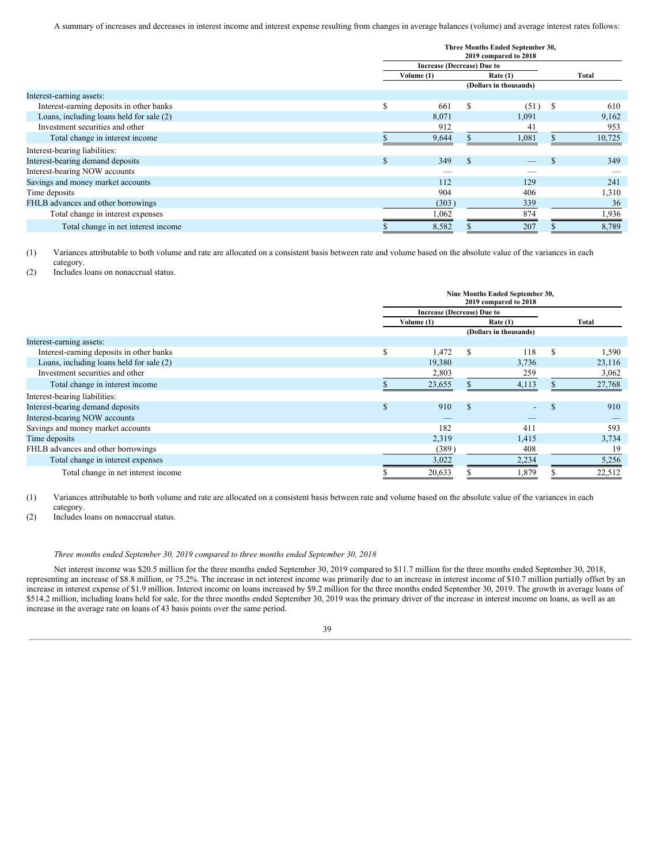A summary of increases and decreases in interest income and interest expense resulting from changes in average balances (volume) and average interest rates follows:

|                                          | Three Months Ended September 30,<br>2019 compared to 2018 |               |                        |     |        |  |  |  |
|------------------------------------------|-----------------------------------------------------------|---------------|------------------------|-----|--------|--|--|--|
|                                          | <b>Increase (Decrease) Due to</b>                         |               |                        |     |        |  |  |  |
|                                          | Volume (1)                                                |               | Rate $(1)$             |     | Total  |  |  |  |
|                                          |                                                           |               | (Dollars in thousands) |     |        |  |  |  |
| Interest-earning assets:                 |                                                           |               |                        |     |        |  |  |  |
| Interest-earning deposits in other banks | \$<br>661                                                 | S             | (51)                   | - S | 610    |  |  |  |
| Loans, including loans held for sale (2) | 8,071                                                     |               | 1,091                  |     | 9,162  |  |  |  |
| Investment securities and other          | 912                                                       |               | 41                     |     | 953    |  |  |  |
| Total change in interest income          | 9,644                                                     |               | 1,081                  |     | 10,725 |  |  |  |
| Interest-bearing liabilities:            |                                                           |               |                        |     |        |  |  |  |
| Interest-bearing demand deposits         | 349                                                       | $\mathcal{S}$ |                        |     | 349    |  |  |  |
| Interest-bearing NOW accounts            | -                                                         |               |                        |     |        |  |  |  |
| Savings and money market accounts        | 112                                                       |               | 129                    |     | 241    |  |  |  |
| Time deposits                            | 904                                                       |               | 406                    |     | 1,310  |  |  |  |
| FHLB advances and other borrowings       | (303)                                                     |               | 339                    |     | 36     |  |  |  |
| Total change in interest expenses        | 1,062                                                     |               | 874                    |     | 1,936  |  |  |  |
| Total change in net interest income      | 8,582                                                     |               | 207                    |     | 8,789  |  |  |  |

(1) Variances attributable to both volume and rate are allocated on a consistent basis between rate and volume based on the absolute value of the variances in each category.

(2) Includes loans on nonaccrual status.

|                                          | Nine Months Ended September 30,<br>2019 compared to 2018 |                                   |               |                          |     |        |  |  |  |
|------------------------------------------|----------------------------------------------------------|-----------------------------------|---------------|--------------------------|-----|--------|--|--|--|
|                                          |                                                          | <b>Increase (Decrease) Due to</b> |               |                          |     |        |  |  |  |
|                                          |                                                          | Volume (1)                        |               | Rate(1)                  |     | Total  |  |  |  |
|                                          |                                                          |                                   |               | (Dollars in thousands)   |     |        |  |  |  |
| Interest-earning assets:                 |                                                          |                                   |               |                          |     |        |  |  |  |
| Interest-earning deposits in other banks | \$.                                                      | 1,472                             | S             | 118                      | \$. | 1,590  |  |  |  |
| Loans, including loans held for sale (2) |                                                          | 19,380                            |               | 3,736                    |     | 23,116 |  |  |  |
| Investment securities and other          |                                                          | 2,803                             |               | 259                      |     | 3,062  |  |  |  |
| Total change in interest income          |                                                          | 23,655                            |               | 4,113                    |     | 27,768 |  |  |  |
| Interest-bearing liabilities:            |                                                          |                                   |               |                          |     |        |  |  |  |
| Interest-bearing demand deposits         | <sup>\$</sup>                                            | 910                               | <sup>\$</sup> | $\overline{\phantom{a}}$ | \$  | 910    |  |  |  |
| Interest-bearing NOW accounts            |                                                          |                                   |               |                          |     |        |  |  |  |
| Savings and money market accounts        |                                                          | 182                               |               | 411                      |     | 593    |  |  |  |
| Time deposits                            |                                                          | 2,319                             |               | 1,415                    |     | 3,734  |  |  |  |
| FHLB advances and other borrowings       |                                                          | (389)                             |               | 408                      |     | 19     |  |  |  |
| Total change in interest expenses        |                                                          | 3,022                             |               | 2,234                    |     | 5,256  |  |  |  |
| Total change in net interest income      |                                                          | 20,633                            |               | 1,879                    |     | 22,512 |  |  |  |

(1) Variances attributable to both volume and rate are allocated on a consistent basis between rate and volume based on the absolute value of the variances in each category.

(2) Includes loans on nonaccrual status.

#### *Three months ended September 30, 2019 compared to three months ended September 30, 2018*

Net interest income was \$20.5 million for the three months ended September 30, 2019 compared to \$11.7 million for the three months ended September 30, 2018, representing an increase of \$8.8 million, or 75.2%. The increase in net interest income was primarily due to an increase in interest income of \$10.7 million partially offset by an increase in interest expense of \$1.9 million. Interest income on loans increased by \$9.2 million for the three months ended September 30, 2019. The growth in average loans of \$514.2 million, including loans held for sale, for the three months ended September 30, 2019 was the primary driver of the increase in interest income on loans, as well as an increase in the average rate on loans of 43 basis points over the same period.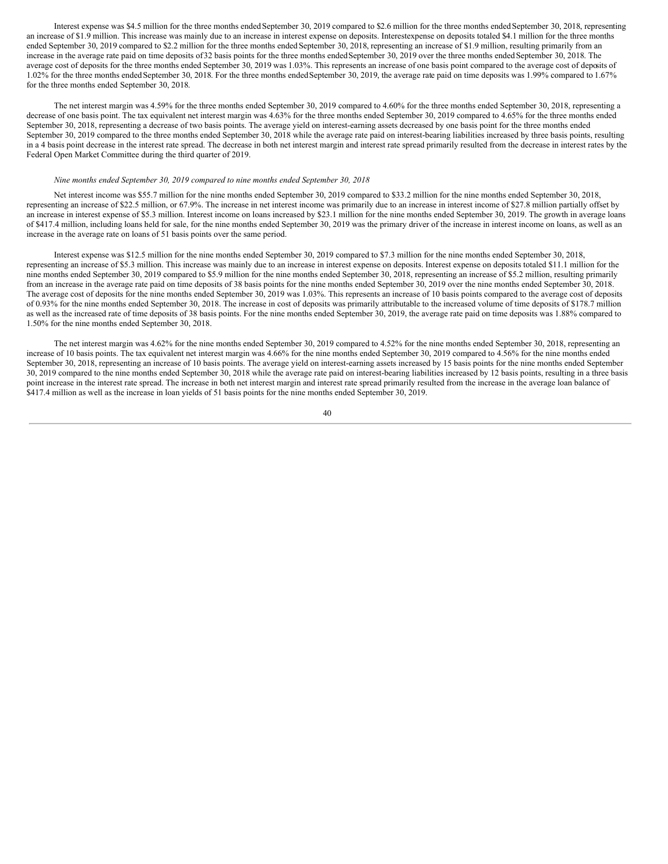Interest expense was \$4.5 million for the three months endedSeptember 30, 2019 compared to \$2.6 million for the three months endedSeptember 30, 2018, representing an increase of \$1.9 million. This increase was mainly due to an increase in interest expense on deposits. Interestexpense on deposits totaled \$4.1 million for the three months ended September 30, 2019 compared to \$2.2 million for the three months ended September 30, 2018, representing an increase of \$1.9 million, resulting primarily from an increase in the average rate paid on time deposits of32 basis points for the three months endedSeptember 30, 2019 over the three months endedSeptember 30, 2018. The average cost of deposits for the three months ended September 30, 2019 was 1.03%. This represents an increase of one basis point compared to the average cost of deposits of 1.02% for the three months endedSeptember 30, 2018. For the three months endedSeptember 30, 2019, the average rate paid on time deposits was 1.99% compared to 1.67% for the three months ended September 30, 2018.

The net interest margin was 4.59% for the three months ended September 30, 2019 compared to 4.60% for the three months ended September 30, 2018, representing a decrease of one basis point. The tax equivalent net interest margin was 4.63% for the three months ended September 30, 2019 compared to 4.65% for the three months ended September 30, 2018, representing a decrease of two basis points. The average yield on interest-earning assets decreased by one basis point for the three months ended September 30, 2019 compared to the three months ended September 30, 2018 while the average rate paid on interest-bearing liabilities increased by three basis points, resulting in a 4 basis point decrease in the interest rate spread. The decrease in both net interest margin and interest rate spread primarily resulted from the decrease in interest rates by the Federal Open Market Committee during the third quarter of 2019.

#### *Nine months ended September 30, 2019 compared to nine months ended September 30, 2018*

Net interest income was \$55.7 million for the nine months ended September 30, 2019 compared to \$33.2 million for the nine months ended September 30, 2018, representing an increase of \$22.5 million, or 67.9%. The increase in net interest income was primarily due to an increase in interest income of \$27.8 million partially offset by an increase in interest expense of \$5.3 million. Interest income on loans increased by \$23.1 million for the nine months ended September 30, 2019. The growth in average loans of \$417.4 million, including loans held for sale, for the nine months ended September 30, 2019 was the primary driver of the increase in interest income on loans, as well as an increase in the average rate on loans of 51 basis points over the same period.

Interest expense was \$12.5 million for the nine months ended September 30, 2019 compared to \$7.3 million for the nine months ended September 30, 2018, representing an increase of \$5.3 million. This increase was mainly due to an increase in interest expense on deposits. Interest expense on deposits totaled \$11.1 million for the nine months ended September 30, 2019 compared to \$5.9 million for the nine months ended September 30, 2018, representing an increase of \$5.2 million, resulting primarily from an increase in the average rate paid on time deposits of 38 basis points for the nine months ended September 30, 2019 over the nine months ended September 30, 2018. The average cost of deposits for the nine months ended September 30, 2019 was 1.03%. This represents an increase of 10 basis points compared to the average cost of deposits of 0.93% for the nine months ended September 30, 2018. The increase in cost of deposits was primarily attributable to the increased volume of time deposits of \$178.7 million as well as the increased rate of time deposits of 38 basis points. For the nine months ended September 30, 2019, the average rate paid on time deposits was 1.88% compared to 1.50% for the nine months ended September 30, 2018.

The net interest margin was 4.62% for the nine months ended September 30, 2019 compared to 4.52% for the nine months ended September 30, 2018, representing an increase of 10 basis points. The tax equivalent net interest margin was 4.66% for the nine months ended September 30, 2019 compared to 4.56% for the nine months ended September 30, 2018, representing an increase of 10 basis points. The average yield on interest-earning assets increased by 15 basis points for the nine months ended September 30, 2019 compared to the nine months ended September 30, 2018 while the average rate paid on interest-bearing liabilities increased by 12 basis points, resulting in a three basis point increase in the interest rate spread. The increase in both net interest margin and interest rate spread primarily resulted from the increase in the average loan balance of \$417.4 million as well as the increase in loan yields of 51 basis points for the nine months ended September 30, 2019.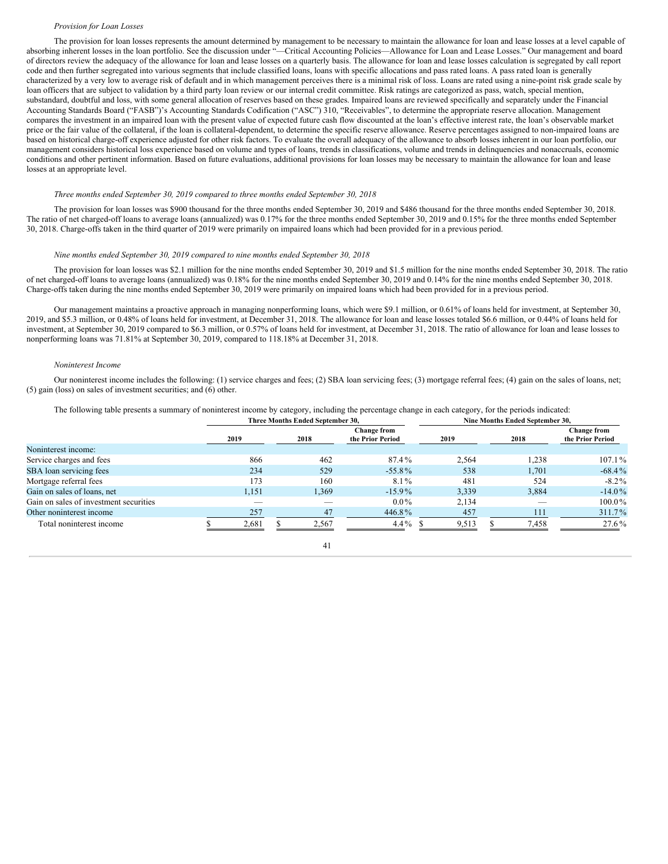#### *Provision for Loan Losses*

The provision for loan losses represents the amount determined by management to be necessary to maintain the allowance for loan and lease losses at a level capable of absorbing inherent losses in the loan portfolio. See the discussion under "—Critical Accounting Policies—Allowance for Loan and Lease Losses." Our management and board of directors review the adequacy of the allowance for loan and lease losses on a quarterly basis. The allowance for loan and lease losses calculation is segregated by call report code and then further segregated into various segments that include classified loans, loans with specific allocations and pass rated loans. A pass rated loan is generally characterized by a very low to average risk of default and in which management perceives there is a minimal risk of loss. Loans are rated using a nine-point risk grade scale by loan officers that are subject to validation by a third party loan review or our internal credit committee. Risk ratings are categorized as pass, watch, special mention, substandard, doubtful and loss, with some general allocation of reserves based on these grades. Impaired loans are reviewed specifically and separately under the Financial Accounting Standards Board ("FASB")'s Accounting Standards Codification ("ASC") 310, "Receivables", to determine the appropriate reserve allocation. Management compares the investment in an impaired loan with the present value of expected future cash flow discounted at the loan's effective interest rate, the loan's observable market price or the fair value of the collateral, if the loan is collateral-dependent, to determine the specific reserve allowance. Reserve percentages assigned to non-impaired loans are based on historical charge-off experience adjusted for other risk factors. To evaluate the overall adequacy of the allowance to absorb losses inherent in our loan portfolio, our management considers historical loss experience based on volume and types of loans, trends in classifications, volume and trends in delinquencies and nonaccruals, economic conditions and other pertinent information. Based on future evaluations, additional provisions for loan losses may be necessary to maintain the allowance for loan and lease losses at an appropriate level.

#### *Three months ended September 30, 2019 compared to three months ended September 30, 2018*

The provision for loan losses was \$900 thousand for the three months ended September 30, 2019 and \$486 thousand for the three months ended September 30, 2018. The ratio of net charged-off loans to average loans (annualized) was 0.17% for the three months ended September 30, 2019 and 0.15% for the three months ended September 30, 2018. Charge-offs taken in the third quarter of 2019 were primarily on impaired loans which had been provided for in a previous period.

#### *Nine months ended September 30, 2019 compared to nine months ended September 30, 2018*

The provision for loan losses was \$2.1 million for the nine months ended September 30, 2019 and \$1.5 million for the nine months ended September 30, 2018. The ratio of net charged-off loans to average loans (annualized) was 0.18% for the nine months ended September 30, 2019 and 0.14% for the nine months ended September 30, 2018. Charge-offs taken during the nine months ended September 30, 2019 were primarily on impaired loans which had been provided for in a previous period.

Our management maintains a proactive approach in managing nonperforming loans, which were \$9.1 million, or 0.61% of loans held for investment, at September 30, 2019, and \$5.3 million, or 0.48% of loans held for investment, at December 31, 2018. The allowance for loan and lease losses totaled \$6.6 million, or 0.44% of loans held for investment, at September 30, 2019 compared to \$6.3 million, or 0.57% of loans held for investment, at December 31, 2018. The ratio of allowance for loan and lease losses to nonperforming loans was 71.81% at September 30, 2019, compared to 118.18% at December 31, 2018.

#### *Noninterest Income*

Our noninterest income includes the following: (1) service charges and fees; (2) SBA loan servicing fees; (3) mortgage referral fees; (4) gain on the sales of loans, net; (5) gain (loss) on sales of investment securities; and (6) other.

The following table presents a summary of noninterest income by category, including the percentage change in each category, for the periods indicated:

|                                        |       | Three Months Ended September 30, |                                        |       | Nine Months Ended September 30, |                                        |  |  |
|----------------------------------------|-------|----------------------------------|----------------------------------------|-------|---------------------------------|----------------------------------------|--|--|
|                                        | 2019  | 2018                             | <b>Change from</b><br>the Prior Period | 2019  | 2018                            | <b>Change from</b><br>the Prior Period |  |  |
| Noninterest income:                    |       |                                  |                                        |       |                                 |                                        |  |  |
| Service charges and fees               | 866   | 462                              | 87.4%                                  | 2.564 | 1,238                           | $107.1\%$                              |  |  |
| SBA loan servicing fees                | 234   | 529                              | $-55.8\%$                              | 538   | 1.701                           | $-68.4\%$                              |  |  |
| Mortgage referral fees                 | 173   | 160                              | $8.1\%$                                | 481   | 524                             | $-8.2\%$                               |  |  |
| Gain on sales of loans, net            | 1.151 | 1,369                            | $-15.9\%$                              | 3.339 | 3.884                           | $-14.0\%$                              |  |  |
| Gain on sales of investment securities |       |                                  | $0.0\%$                                | 2.134 |                                 | $100.0\%$                              |  |  |
| Other noninterest income               | 257   | 47                               | 446.8%                                 | 457   | 111                             | 311.7%                                 |  |  |
| Total noninterest income               | 2,681 | 2,567                            | $4.4\%$                                | 9,513 | 7,458                           | 27.6%                                  |  |  |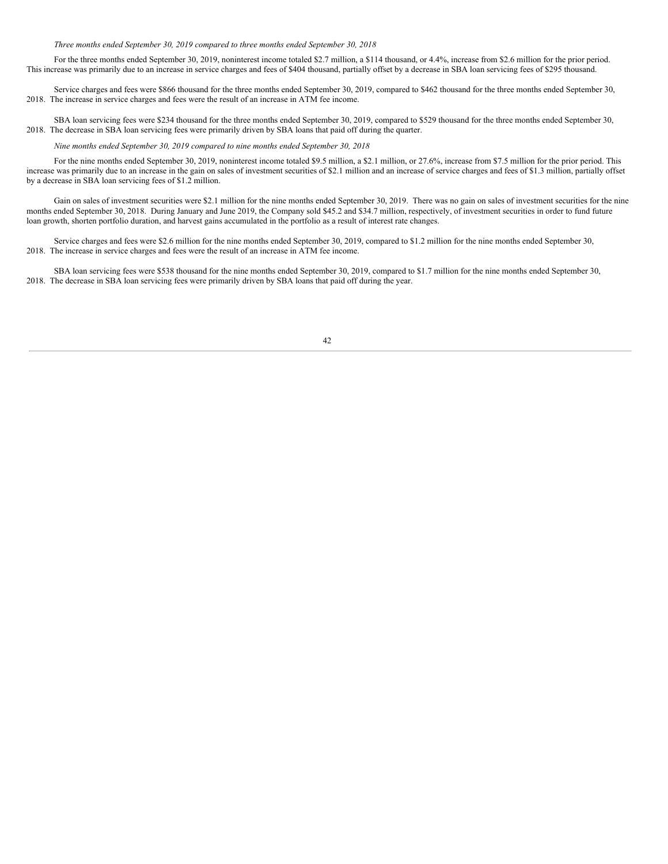#### *Three months ended September 30, 2019 compared to three months ended September 30, 2018*

For the three months ended September 30, 2019, noninterest income totaled \$2.7 million, a \$114 thousand, or 4.4%, increase from \$2.6 million for the prior period. This increase was primarily due to an increase in service charges and fees of \$404 thousand, partially offset by a decrease in SBA loan servicing fees of \$295 thousand.

Service charges and fees were \$866 thousand for the three months ended September 30, 2019, compared to \$462 thousand for the three months ended September 30, 2018. The increase in service charges and fees were the result of an increase in ATM fee income.

SBA loan servicing fees were \$234 thousand for the three months ended September 30, 2019, compared to \$529 thousand for the three months ended September 30, 2018. The decrease in SBA loan servicing fees were primarily driven by SBA loans that paid off during the quarter.

#### *Nine months ended September 30, 2019 compared to nine months ended September 30, 2018*

For the nine months ended September 30, 2019, noninterest income totaled \$9.5 million, a \$2.1 million, or 27.6%, increase from \$7.5 million for the prior period. This increase was primarily due to an increase in the gain on sales of investment securities of \$2.1 million and an increase of service charges and fees of \$1.3 million, partially offset by a decrease in SBA loan servicing fees of \$1.2 million.

Gain on sales of investment securities were \$2.1 million for the nine months ended September 30, 2019. There was no gain on sales of investment securities for the nine months ended September 30, 2018. During January and June 2019, the Company sold \$45.2 and \$34.7 million, respectively, of investment securities in order to fund future loan growth, shorten portfolio duration, and harvest gains accumulated in the portfolio as a result of interest rate changes.

Service charges and fees were \$2.6 million for the nine months ended September 30, 2019, compared to \$1.2 million for the nine months ended September 30, 2018. The increase in service charges and fees were the result of an increase in ATM fee income.

SBA loan servicing fees were \$538 thousand for the nine months ended September 30, 2019, compared to \$1.7 million for the nine months ended September 30, 2018. The decrease in SBA loan servicing fees were primarily driven by SBA loans that paid off during the year.

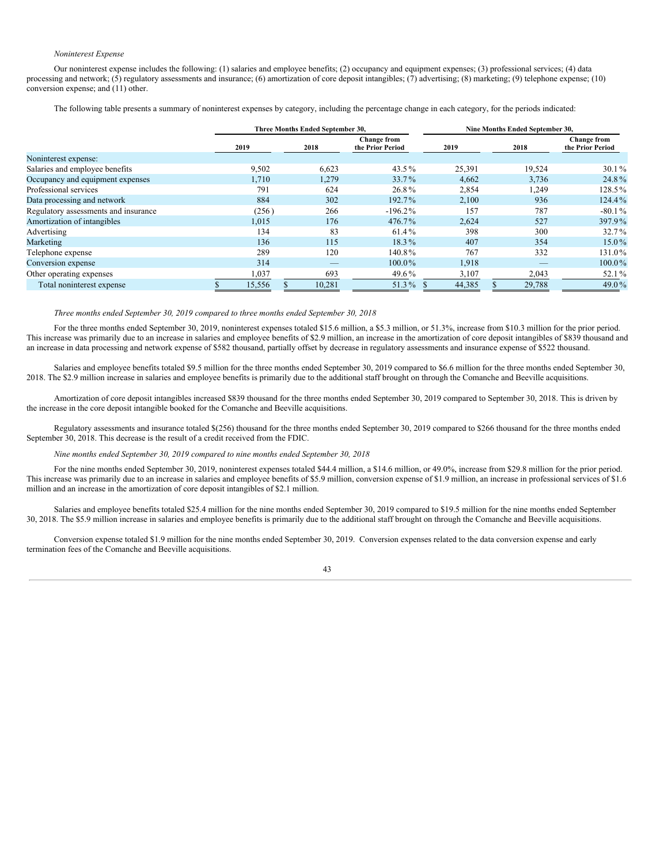#### *Noninterest Expense*

Our noninterest expense includes the following: (1) salaries and employee benefits; (2) occupancy and equipment expenses; (3) professional services; (4) data processing and network; (5) regulatory assessments and insurance; (6) amortization of core deposit intangibles; (7) advertising; (8) marketing; (9) telephone expense; (10) conversion expense; and (11) other.

The following table presents a summary of noninterest expenses by category, including the percentage change in each category, for the periods indicated:

|                                      |        | Three Months Ended September 30, |                                        | Nine Months Ended September 30, |        |                                        |  |  |  |
|--------------------------------------|--------|----------------------------------|----------------------------------------|---------------------------------|--------|----------------------------------------|--|--|--|
|                                      | 2019   | 2018                             | <b>Change from</b><br>the Prior Period | 2019                            | 2018   | <b>Change from</b><br>the Prior Period |  |  |  |
| Noninterest expense:                 |        |                                  |                                        |                                 |        |                                        |  |  |  |
| Salaries and employee benefits       | 9,502  | 6,623                            | 43.5%                                  | 25,391                          | 19,524 | $30.1\%$                               |  |  |  |
| Occupancy and equipment expenses     | 1,710  | 1,279                            | 33.7%                                  | 4,662                           | 3,736  | 24.8%                                  |  |  |  |
| Professional services                | 791    | 624                              | 26.8%                                  | 2,854                           | 1,249  | 128.5%                                 |  |  |  |
| Data processing and network          | 884    | 302                              | 192.7%                                 | 2,100                           | 936    | 124.4%                                 |  |  |  |
| Regulatory assessments and insurance | (256)  | 266                              | $-196.2\%$                             | 157                             | 787    | $-80.1\%$                              |  |  |  |
| Amortization of intangibles          | 1,015  | 176                              | 476.7%                                 | 2,624                           | 527    | 397.9%                                 |  |  |  |
| Advertising                          | 134    | 83                               | 61.4%                                  | 398                             | 300    | 32.7%                                  |  |  |  |
| Marketing                            | 136    | 115                              | $18.3\%$                               | 407                             | 354    | $15.0\%$                               |  |  |  |
| Telephone expense                    | 289    | 120                              | 140.8%                                 | 767                             | 332    | 131.0%                                 |  |  |  |
| Conversion expense                   | 314    |                                  | $100.0\%$                              | 1,918                           | _      | $100.0\%$                              |  |  |  |
| Other operating expenses             | 1,037  | 693                              | 49.6%                                  | 3,107                           | 2,043  | 52.1%                                  |  |  |  |
| Total noninterest expense            | 15,556 | 10,281                           | 51.3% \$                               | 44,385                          | 29,788 | 49.0%                                  |  |  |  |

#### *Three months ended September 30, 2019 compared to three months ended September 30, 2018*

For the three months ended September 30, 2019, noninterest expenses totaled \$15.6 million, a \$5.3 million, or 51.3%, increase from \$10.3 million for the prior period. This increase was primarily due to an increase in salaries and employee benefits of \$2.9 million, an increase in the amortization of core deposit intangibles of \$839 thousand and an increase in data processing and network expense of \$582 thousand, partially offset by decrease in regulatory assessments and insurance expense of \$522 thousand.

Salaries and employee benefits totaled \$9.5 million for the three months ended September 30, 2019 compared to \$6.6 million for the three months ended September 30, 2018. The \$2.9 million increase in salaries and employee benefits is primarily due to the additional staff brought on through the Comanche and Beeville acquisitions.

Amortization of core deposit intangibles increased \$839 thousand for the three months ended September 30, 2019 compared to September 30, 2018. This is driven by the increase in the core deposit intangible booked for the Comanche and Beeville acquisitions.

Regulatory assessments and insurance totaled \$(256) thousand for the three months ended September 30, 2019 compared to \$266 thousand for the three months ended September 30, 2018. This decrease is the result of a credit received from the FDIC.

## *Nine months ended September 30, 2019 compared to nine months ended September 30, 2018*

For the nine months ended September 30, 2019, noninterest expenses totaled \$44.4 million, a \$14.6 million, or 49.0%, increase from \$29.8 million for the prior period. This increase was primarily due to an increase in salaries and employee benefits of \$5.9 million, conversion expense of \$1.9 million, an increase in professional services of \$1.6 million and an increase in the amortization of core deposit intangibles of \$2.1 million.

Salaries and employee benefits totaled \$25.4 million for the nine months ended September 30, 2019 compared to \$19.5 million for the nine months ended September 30, 2018. The \$5.9 million increase in salaries and employee benefits is primarily due to the additional staff brought on through the Comanche and Beeville acquisitions.

Conversion expense totaled \$1.9 million for the nine months ended September 30, 2019. Conversion expenses related to the data conversion expense and early termination fees of the Comanche and Beeville acquisitions.

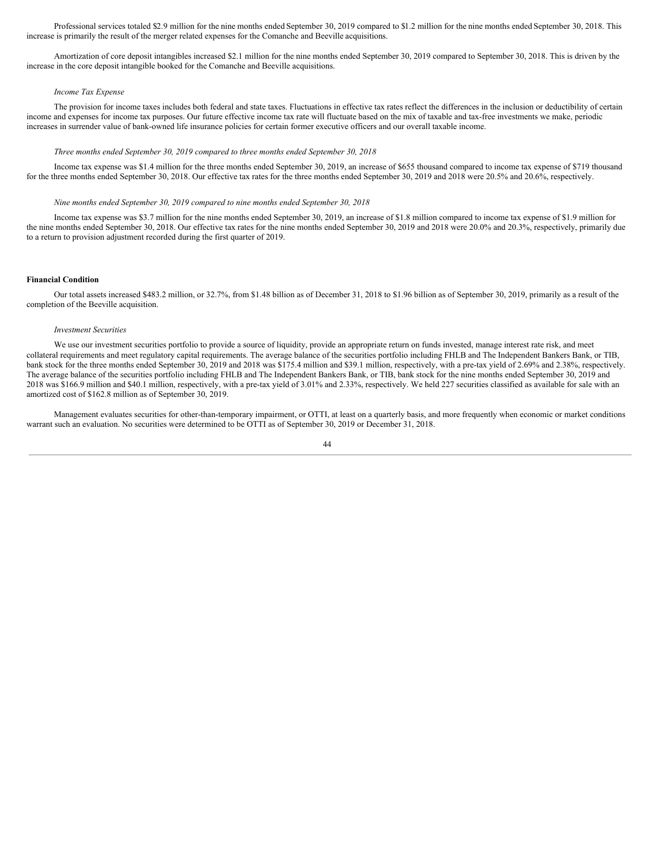Professional services totaled \$2.9 million for the nine months ended September 30, 2019 compared to \$1.2 million for the nine months ended September 30, 2018. This increase is primarily the result of the merger related expenses for the Comanche and Beeville acquisitions.

Amortization of core deposit intangibles increased \$2.1 million for the nine months ended September 30, 2019 compared to September 30, 2018. This is driven by the increase in the core deposit intangible booked for the Comanche and Beeville acquisitions.

#### *Income Tax Expense*

The provision for income taxes includes both federal and state taxes. Fluctuations in effective tax rates reflect the differences in the inclusion or deductibility of certain income and expenses for income tax purposes. Our future effective income tax rate will fluctuate based on the mix of taxable and tax-free investments we make, periodic increases in surrender value of bank-owned life insurance policies for certain former executive officers and our overall taxable income.

#### *Three months ended September 30, 2019 compared to three months ended September 30, 2018*

Income tax expense was \$1.4 million for the three months ended September 30, 2019, an increase of \$655 thousand compared to income tax expense of \$719 thousand for the three months ended September 30, 2018. Our effective tax rates for the three months ended September 30, 2019 and 2018 were 20.5% and 20.6%, respectively.

## *Nine months ended September 30, 2019 compared to nine months ended September 30, 2018*

Income tax expense was \$3.7 million for the nine months ended September 30, 2019, an increase of \$1.8 million compared to income tax expense of \$1.9 million for the nine months ended September 30, 2018. Our effective tax rates for the nine months ended September 30, 2019 and 2018 were 20.0% and 20.3%, respectively, primarily due to a return to provision adjustment recorded during the first quarter of 2019.

## **Financial Condition**

Our total assets increased \$483.2 million, or 32.7%, from \$1.48 billion as of December 31, 2018 to \$1.96 billion as of September 30, 2019, primarily as a result of the completion of the Beeville acquisition.

#### *Investment Securities*

We use our investment securities portfolio to provide a source of liquidity, provide an appropriate return on funds invested, manage interest rate risk, and meet collateral requirements and meet regulatory capital requirements. The average balance of the securities portfolio including FHLB and The Independent Bankers Bank, or TIB, bank stock for the three months ended September 30, 2019 and 2018 was \$175.4 million and \$39.1 million, respectively, with a pre-tax yield of 2.69% and 2.38%, respectively. The average balance of the securities portfolio including FHLB and The Independent Bankers Bank, or TIB, bank stock for the nine months ended September 30, 2019 and 2018 was \$166.9 million and \$40.1 million, respectively, with a pre-tax yield of 3.01% and 2.33%, respectively. We held 227 securities classified as available for sale with an amortized cost of \$162.8 million as of September 30, 2019.

Management evaluates securities for other-than-temporary impairment, or OTTI, at least on a quarterly basis, and more frequently when economic or market conditions warrant such an evaluation. No securities were determined to be OTTI as of September 30, 2019 or December 31, 2018.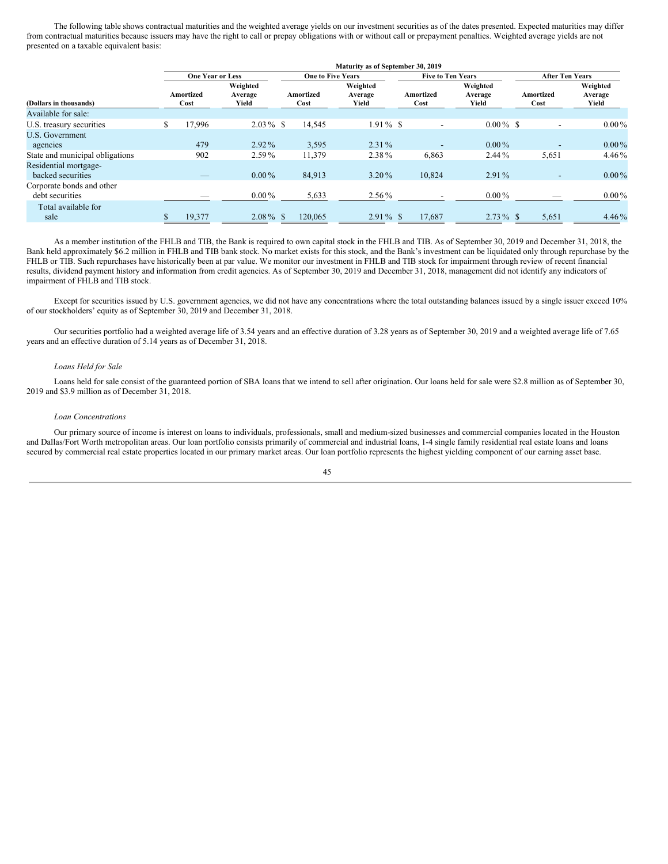The following table shows contractual maturities and the weighted average yields on our investment securities as of the dates presented. Expected maturities may differ from contractual maturities because issuers may have the right to call or prepay obligations with or without call or prepayment penalties. Weighted average yields are not presented on a taxable equivalent basis:

|                                              | Maturity as of September 30, 2019 |                   |                              |  |                          |                              |  |                          |                              |                        |                          |                              |  |  |
|----------------------------------------------|-----------------------------------|-------------------|------------------------------|--|--------------------------|------------------------------|--|--------------------------|------------------------------|------------------------|--------------------------|------------------------------|--|--|
|                                              |                                   | One Year or Less  |                              |  | <b>One to Five Years</b> |                              |  | <b>Five to Ten Years</b> |                              | <b>After Ten Years</b> |                          |                              |  |  |
| (Dollars in thousands)                       |                                   | Amortized<br>Cost | Weighted<br>Average<br>Yield |  | Amortized<br>Cost        | Weighted<br>Average<br>Yield |  | Amortized<br>Cost        | Weighted<br>Average<br>Yield | Amortized<br>Cost      |                          | Weighted<br>Average<br>Yield |  |  |
| Available for sale:                          |                                   |                   |                              |  |                          |                              |  |                          |                              |                        |                          |                              |  |  |
| U.S. treasury securities                     |                                   | 17,996            | $2.03\%$ \$                  |  | 14,545                   | $1.91\%$ \$                  |  | $\overline{\phantom{a}}$ | $0.00\%$ \$                  |                        |                          | $0.00\%$                     |  |  |
| U.S. Government<br>agencies                  |                                   | 479               | $2.92\%$                     |  | 3,595                    | $2.31\%$                     |  |                          | $0.00\%$                     |                        |                          | $0.00\%$                     |  |  |
| State and municipal obligations              |                                   | 902               | $2.59\%$                     |  | 11,379                   | $2.38\%$                     |  | 6,863                    | $2.44\%$                     | 5,651                  |                          | $4.46\%$                     |  |  |
| Residential mortgage-<br>backed securities   |                                   |                   | $0.00\%$                     |  | 84,913                   | $3.20\%$                     |  | 10.824                   | $2.91\%$                     |                        | $\overline{\phantom{a}}$ | $0.00\%$                     |  |  |
| Corporate bonds and other<br>debt securities |                                   |                   | $0.00\%$                     |  | 5,633                    | $2.56\%$                     |  |                          | $0.00\%$                     |                        |                          | $0.00\%$                     |  |  |
| Total available for<br>sale                  |                                   | 19,377            | $2.08\%$ \$                  |  | 120,065                  | $2.91\%$ \$                  |  | 17,687                   | $2.73\%$ \$                  | 5,651                  |                          | $4.46\%$                     |  |  |

As a member institution of the FHLB and TIB, the Bank is required to own capital stock in the FHLB and TIB. As of September 30, 2019 and December 31, 2018, the Bank held approximately \$6.2 million in FHLB and TIB bank stock. No market exists for this stock, and the Bank's investment can be liquidated only through repurchase by the FHLB or TIB. Such repurchases have historically been at par value. We monitor our investment in FHLB and TIB stock for impairment through review of recent financial results, dividend payment history and information from credit agencies. As of September 30, 2019 and December 31, 2018, management did not identify any indicators of impairment of FHLB and TIB stock.

Except for securities issued by U.S. government agencies, we did not have any concentrations where the total outstanding balances issued by a single issuer exceed 10% of our stockholders' equity as of September 30, 2019 and December 31, 2018.

Our securities portfolio had a weighted average life of 3.54 years and an effective duration of 3.28 years as of September 30, 2019 and a weighted average life of 7.65 years and an effective duration of 5.14 years as of December 31, 2018.

## *Loans Held for Sale*

Loans held for sale consist of the guaranteed portion of SBA loans that we intend to sell after origination. Our loans held for sale were \$2.8 million as of September 30, 2019 and \$3.9 million as of December 31, 2018.

#### *Loan Concentrations*

Our primary source of income is interest on loans to individuals, professionals, small and medium-sized businesses and commercial companies located in the Houston and Dallas/Fort Worth metropolitan areas. Our loan portfolio consists primarily of commercial and industrial loans, 1-4 single family residential real estate loans and loans secured by commercial real estate properties located in our primary market areas. Our loan portfolio represents the highest yielding component of our earning asset base.

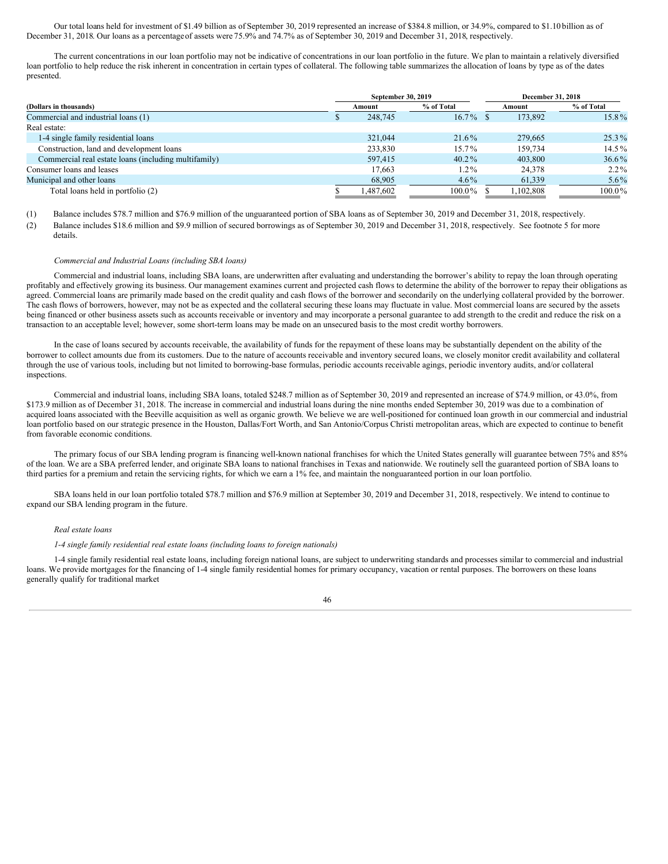Our total loans held for investment of \$1.49 billion as of September 30, 2019 represented an increase of \$384.8 million, or 34.9%, compared to \$1.10 billion as of December 31, 2018. Our loans as a percentageof assets were 75.9% and 74.7% as of September 30, 2019 and December 31, 2018, respectively.

The current concentrations in our loan portfolio may not be indicative of concentrations in our loan portfolio in the future. We plan to maintain a relatively diversified loan portfolio to help reduce the risk inherent in concentration in certain types of collateral. The following table summarizes the allocation of loans by type as of the dates presented.

|                                                      |    | September 30, 2019 |            | December 31, 2018 |           |            |  |  |
|------------------------------------------------------|----|--------------------|------------|-------------------|-----------|------------|--|--|
| (Dollars in thousands)                               |    | Amount             | % of Total |                   | Amount    | % of Total |  |  |
| Commercial and industrial loans (1)                  | ٠D | 248,745            | $16.7\%$   |                   | 173,892   | 15.8%      |  |  |
| Real estate:                                         |    |                    |            |                   |           |            |  |  |
| 1-4 single family residential loans                  |    | 321,044            | 21.6%      |                   | 279,665   | $25.3\%$   |  |  |
| Construction, land and development loans             |    | 233,830            | 15.7%      |                   | 159.734   | $14.5\%$   |  |  |
| Commercial real estate loans (including multifamily) |    | 597,415            | $40.2\%$   |                   | 403,800   | $36.6\%$   |  |  |
| Consumer loans and leases                            |    | 17.663             | $1.2\%$    |                   | 24,378    | $2.2\%$    |  |  |
| Municipal and other loans                            |    | 68,905             | $4.6\%$    |                   | 61,339    | $5.6\%$    |  |  |
| Total loans held in portfolio (2)                    |    | 1.487.602          | 100.0%     |                   | 1,102,808 | $100.0\%$  |  |  |

(1) Balance includes \$78.7 million and \$76.9 million of the unguaranteed portion of SBA loans as of September 30, 2019 and December 31, 2018, respectively.

(2) Balance includes \$18.6 million and \$9.9 million of secured borrowings as of September 30, 2019 and December 31, 2018, respectively. See footnote 5 for more details.

#### *Commercial and Industrial Loans (including SBA loans)*

Commercial and industrial loans, including SBA loans, are underwritten after evaluating and understanding the borrower's ability to repay the loan through operating profitably and effectively growing its business. Our management examines current and projected cash flows to determine the ability of the borrower to repay their obligations as agreed. Commercial loans are primarily made based on the credit quality and cash flows of the borrower and secondarily on the underlying collateral provided by the borrower. The cash flows of borrowers, however, may not be as expected and the collateral securing these loans may fluctuate in value. Most commercial loans are secured by the assets being financed or other business assets such as accounts receivable or inventory and may incorporate a personal guarantee to add strength to the credit and reduce the risk on a transaction to an acceptable level; however, some short-term loans may be made on an unsecured basis to the most credit worthy borrowers.

In the case of loans secured by accounts receivable, the availability of funds for the repayment of these loans may be substantially dependent on the ability of the borrower to collect amounts due from its customers. Due to the nature of accounts receivable and inventory secured loans, we closely monitor credit availability and collateral through the use of various tools, including but not limited to borrowing-base formulas, periodic accounts receivable agings, periodic inventory audits, and/or collateral inspections.

Commercial and industrial loans, including SBA loans, totaled \$248.7 million as of September 30, 2019 and represented an increase of \$74.9 million, or 43.0%, from \$173.9 million as of December 31, 2018. The increase in commercial and industrial loans during the nine months ended September 30, 2019 was due to a combination of acquired loans associated with the Beeville acquisition as well as organic growth. We believe we are well-positioned for continued loan growth in our commercial and industrial loan portfolio based on our strategic presence in the Houston, Dallas/Fort Worth, and San Antonio/Corpus Christi metropolitan areas, which are expected to continue to benefit from favorable economic conditions.

The primary focus of our SBA lending program is financing well-known national franchises for which the United States generally will guarantee between 75% and 85% of the loan. We are a SBA preferred lender, and originate SBA loans to national franchises in Texas and nationwide. We routinely sell the guaranteed portion of SBA loans to third parties for a premium and retain the servicing rights, for which we earn a 1% fee, and maintain the nonguaranteed portion in our loan portfolio.

SBA loans held in our loan portfolio totaled \$78.7 million and \$76.9 million at September 30, 2019 and December 31, 2018, respectively. We intend to continue to expand our SBA lending program in the future.

#### *Real estate loans*

*1-4 single family residential real estate loans (including loans to foreign nationals)*

1-4 single family residential real estate loans, including foreign national loans, are subject to underwriting standards and processes similar to commercial and industrial loans. We provide mortgages for the financing of 1-4 single family residential homes for primary occupancy, vacation or rental purposes. The borrowers on these loans generally qualify for traditional market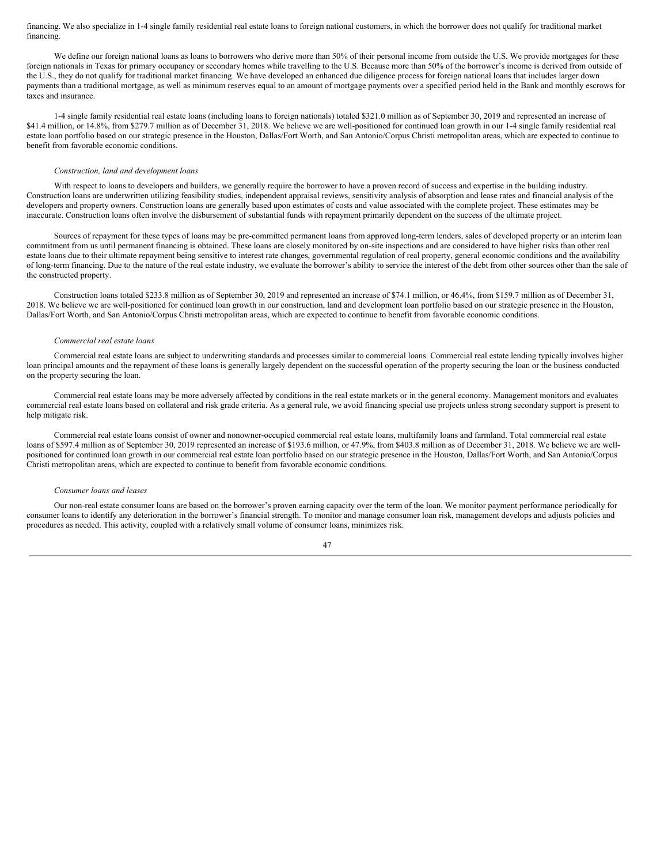financing. We also specialize in 1-4 single family residential real estate loans to foreign national customers, in which the borrower does not qualify for traditional market financing.

We define our foreign national loans as loans to borrowers who derive more than 50% of their personal income from outside the U.S. We provide mortgages for these foreign nationals in Texas for primary occupancy or secondary homes while travelling to the U.S. Because more than 50% of the borrower's income is derived from outside of the U.S., they do not qualify for traditional market financing. We have developed an enhanced due diligence process for foreign national loans that includes larger down payments than a traditional mortgage, as well as minimum reserves equal to an amount of mortgage payments over a specified period held in the Bank and monthly escrows for taxes and insurance.

1-4 single family residential real estate loans (including loans to foreign nationals) totaled \$321.0 million as of September 30, 2019 and represented an increase of \$41.4 million, or 14.8%, from \$279.7 million as of December 31, 2018. We believe we are well-positioned for continued loan growth in our 1-4 single family residential real estate loan portfolio based on our strategic presence in the Houston, Dallas/Fort Worth, and San Antonio/Corpus Christi metropolitan areas, which are expected to continue to benefit from favorable economic conditions.

## *Construction, land and development loans*

With respect to loans to developers and builders, we generally require the borrower to have a proven record of success and expertise in the building industry. Construction loans are underwritten utilizing feasibility studies, independent appraisal reviews, sensitivity analysis of absorption and lease rates and financial analysis of the developers and property owners. Construction loans are generally based upon estimates of costs and value associated with the complete project. These estimates may be inaccurate. Construction loans often involve the disbursement of substantial funds with repayment primarily dependent on the success of the ultimate project.

Sources of repayment for these types of loans may be pre-committed permanent loans from approved long-term lenders, sales of developed property or an interim loan commitment from us until permanent financing is obtained. These loans are closely monitored by on-site inspections and are considered to have higher risks than other real estate loans due to their ultimate repayment being sensitive to interest rate changes, governmental regulation of real property, general economic conditions and the availability of long-term financing. Due to the nature of the real estate industry, we evaluate the borrower's ability to service the interest of the debt from other sources other than the sale of the constructed property.

Construction loans totaled \$233.8 million as of September 30, 2019 and represented an increase of \$74.1 million, or 46.4%, from \$159.7 million as of December 31, 2018. We believe we are well-positioned for continued loan growth in our construction, land and development loan portfolio based on our strategic presence in the Houston, Dallas/Fort Worth, and San Antonio/Corpus Christi metropolitan areas, which are expected to continue to benefit from favorable economic conditions.

## *Commercial real estate loans*

Commercial real estate loans are subject to underwriting standards and processes similar to commercial loans. Commercial real estate lending typically involves higher loan principal amounts and the repayment of these loans is generally largely dependent on the successful operation of the property securing the loan or the business conducted on the property securing the loan.

Commercial real estate loans may be more adversely affected by conditions in the real estate markets or in the general economy. Management monitors and evaluates commercial real estate loans based on collateral and risk grade criteria. As a general rule, we avoid financing special use projects unless strong secondary support is present to help mitigate risk.

Commercial real estate loans consist of owner and nonowner-occupied commercial real estate loans, multifamily loans and farmland. Total commercial real estate loans of \$597.4 million as of September 30, 2019 represented an increase of \$193.6 million, or 47.9%, from \$403.8 million as of December 31, 2018. We believe we are wellpositioned for continued loan growth in our commercial real estate loan portfolio based on our strategic presence in the Houston, Dallas/Fort Worth, and San Antonio/Corpus Christi metropolitan areas, which are expected to continue to benefit from favorable economic conditions.

#### *Consumer loans and leases*

Our non-real estate consumer loans are based on the borrower's proven earning capacity over the term of the loan. We monitor payment performance periodically for consumer loans to identify any deterioration in the borrower's financial strength. To monitor and manage consumer loan risk, management develops and adjusts policies and procedures as needed. This activity, coupled with a relatively small volume of consumer loans, minimizes risk.

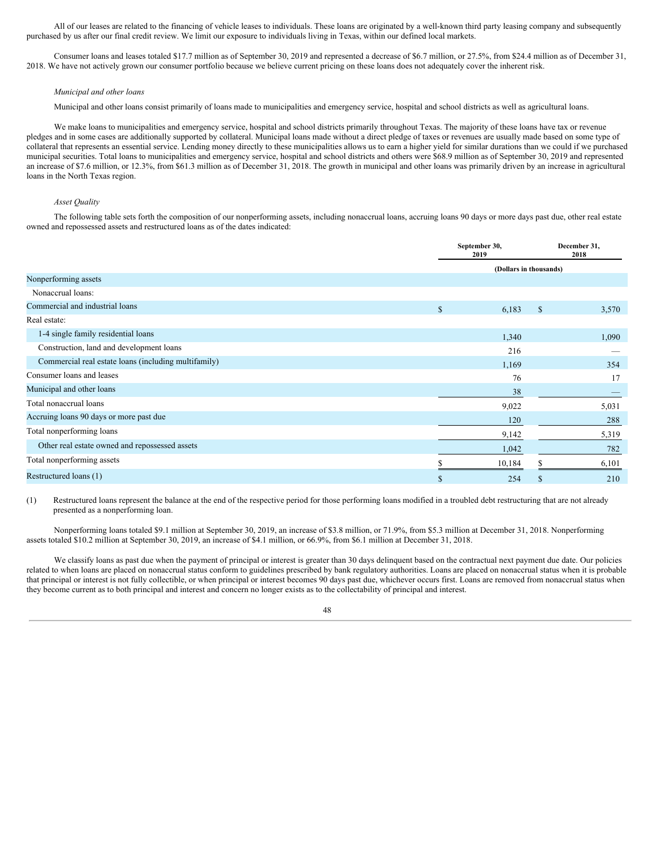All of our leases are related to the financing of vehicle leases to individuals. These loans are originated by a well-known third party leasing company and subsequently purchased by us after our final credit review. We limit our exposure to individuals living in Texas, within our defined local markets.

Consumer loans and leases totaled \$17.7 million as of September 30, 2019 and represented a decrease of \$6.7 million, or 27.5%, from \$24.4 million as of December 31, 2018. We have not actively grown our consumer portfolio because we believe current pricing on these loans does not adequately cover the inherent risk.

#### *Municipal and other loans*

Municipal and other loans consist primarily of loans made to municipalities and emergency service, hospital and school districts as well as agricultural loans.

We make loans to municipalities and emergency service, hospital and school districts primarily throughout Texas. The majority of these loans have tax or revenue pledges and in some cases are additionally supported by collateral. Municipal loans made without a direct pledge of taxes or revenues are usually made based on some type of collateral that represents an essential service. Lending money directly to these municipalities allows us to earn a higher yield for similar durations than we could if we purchased municipal securities. Total loans to municipalities and emergency service, hospital and school districts and others were \$68.9 million as of September 30, 2019 and represented an increase of \$7.6 million, or 12.3%, from \$61.3 million as of December 31, 2018. The growth in municipal and other loans was primarily driven by an increase in agricultural loans in the North Texas region.

## *Asset Quality*

The following table sets forth the composition of our nonperforming assets, including nonaccrual loans, accruing loans 90 days or more days past due, other real estate owned and repossessed assets and restructured loans as of the dates indicated:

|                                                      |              | September 30,<br>2019  | December 31,<br>2018 |
|------------------------------------------------------|--------------|------------------------|----------------------|
|                                                      |              | (Dollars in thousands) |                      |
| Nonperforming assets                                 |              |                        |                      |
| Nonaccrual loans:                                    |              |                        |                      |
| Commercial and industrial loans                      | $\mathbb{S}$ | 6,183                  | \$<br>3,570          |
| Real estate:                                         |              |                        |                      |
| 1-4 single family residential loans                  |              | 1,340                  | 1,090                |
| Construction, land and development loans             |              | 216                    |                      |
| Commercial real estate loans (including multifamily) |              | 1,169                  | 354                  |
| Consumer loans and leases                            |              | 76                     | 17                   |
| Municipal and other loans                            |              | 38                     |                      |
| Total nonaccrual loans                               |              | 9,022                  | 5,031                |
| Accruing loans 90 days or more past due              |              | 120                    | 288                  |
| Total nonperforming loans                            |              | 9,142                  | 5,319                |
| Other real estate owned and repossessed assets       |              | 1,042                  | 782                  |
| Total nonperforming assets                           |              | 10,184                 | 6,101                |
| Restructured loans (1)                               | \$           | 254                    | \$<br>210            |

(1) Restructured loans represent the balance at the end of the respective period for those performing loans modified in a troubled debt restructuring that are not already presented as a nonperforming loan.

Nonperforming loans totaled \$9.1 million at September 30, 2019, an increase of \$3.8 million, or 71.9%, from \$5.3 million at December 31, 2018. Nonperforming assets totaled \$10.2 million at September 30, 2019, an increase of \$4.1 million, or 66.9%, from \$6.1 million at December 31, 2018.

We classify loans as past due when the payment of principal or interest is greater than 30 days delinquent based on the contractual next payment due date. Our policies related to when loans are placed on nonaccrual status conform to guidelines prescribed by bank regulatory authorities. Loans are placed on nonaccrual status when it is probable that principal or interest is not fully collectible, or when principal or interest becomes 90 days past due, whichever occurs first. Loans are removed from nonaccrual status when they become current as to both principal and interest and concern no longer exists as to the collectability of principal and interest.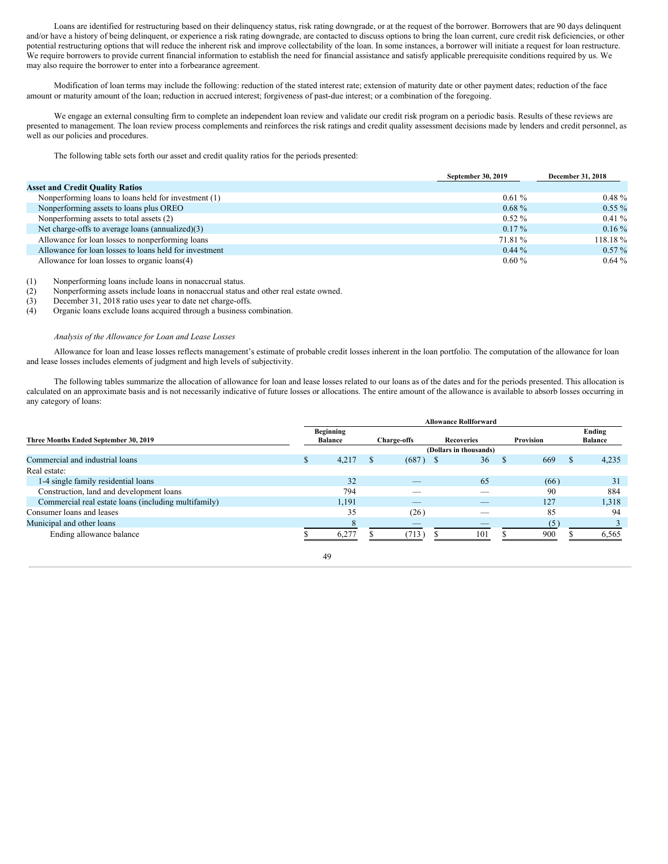Loans are identified for restructuring based on their delinquency status, risk rating downgrade, or at the request of the borrower. Borrowers that are 90 days delinquent and/or have a history of being delinquent, or experience a risk rating downgrade, are contacted to discuss options to bring the loan current, cure credit risk deficiencies, or other potential restructuring options that will reduce the inherent risk and improve collectability of the loan. In some instances, a borrower will initiate a request for loan restructure. We require borrowers to provide current financial information to establish the need for financial assistance and satisfy applicable prerequisite conditions required by us. We may also require the borrower to enter into a forbearance agreement.

Modification of loan terms may include the following: reduction of the stated interest rate; extension of maturity date or other payment dates; reduction of the face amount or maturity amount of the loan; reduction in accrued interest; forgiveness of past-due interest; or a combination of the foregoing.

We engage an external consulting firm to complete an independent loan review and validate our credit risk program on a periodic basis. Results of these reviews are presented to management. The loan review process complements and reinforces the risk ratings and credit quality assessment decisions made by lenders and credit personnel, as well as our policies and procedures.

The following table sets forth our asset and credit quality ratios for the periods presented:

|                                                        | September 30, 2019 | <b>December 31, 2018</b> |
|--------------------------------------------------------|--------------------|--------------------------|
| <b>Asset and Credit Quality Ratios</b>                 |                    |                          |
| Nonperforming loans to loans held for investment (1)   | $0.61\%$           | $0.48\%$                 |
| Nonperforming assets to loans plus OREO                | $0.68\%$           | $0.55\%$                 |
| Nonperforming assets to total assets (2)               | $0.52\%$           | $0.41\%$                 |
| Net charge-offs to average loans (annualized) $(3)$    | $0.17\%$           | $0.16\%$                 |
| Allowance for loan losses to nonperforming loans       | 71.81 %            | $118.18\%$               |
| Allowance for loan losses to loans held for investment | $0.44\%$           | $0.57\%$                 |
| Allowance for loan losses to organic loans(4)          | $0.60\%$           | $0.64\%$                 |

(1) Nonperforming loans include loans in nonaccrual status.

(2) Nonperforming assets include loans in nonaccrual status and other real estate owned.

(3) December 31, 2018 ratio uses year to date net charge-offs.

(4) Organic loans exclude loans acquired through a business combination.

## *Analysis of the Allowance for Loan and Lease Losses*

Allowance for loan and lease losses reflects management's estimate of probable credit losses inherent in the loan portfolio. The computation of the allowance for loan and lease losses includes elements of judgment and high levels of subjectivity.

The following tables summarize the allocation of allowance for loan and lease losses related to our loans as of the dates and for the periods presented. This allocation is calculated on an approximate basis and is not necessarily indicative of future losses or allocations. The entire amount of the allowance is available to absorb losses occurring in any category of loans:

|                                                      | <b>Allowance Rollforward</b> |                                    |  |                          |   |                          |   |           |   |                          |
|------------------------------------------------------|------------------------------|------------------------------------|--|--------------------------|---|--------------------------|---|-----------|---|--------------------------|
| Three Months Ended September 30, 2019                |                              | <b>Beginning</b><br><b>Balance</b> |  | Charge-offs              |   | <b>Recoveries</b>        |   | Provision |   | Ending<br><b>Balance</b> |
|                                                      |                              |                                    |  |                          |   | (Dollars in thousands)   |   |           |   |                          |
| Commercial and industrial loans                      | S                            | 4,217                              |  | (687)                    | ъ | 36                       | S | 669       | ъ | 4,235                    |
| Real estate:                                         |                              |                                    |  |                          |   |                          |   |           |   |                          |
| 1-4 single family residential loans                  |                              | 32                                 |  | $\overline{\phantom{a}}$ |   | 65                       |   | (66)      |   | 31                       |
| Construction, land and development loans             |                              | 794                                |  | $\overline{\phantom{a}}$ |   | $\overline{\phantom{a}}$ |   | 90        |   | 884                      |
| Commercial real estate loans (including multifamily) |                              | 1.191                              |  | $\overline{\phantom{a}}$ |   | _                        |   | 127       |   | 1,318                    |
| Consumer loans and leases                            |                              | 35                                 |  | (26)                     |   |                          |   | 85        |   | 94                       |
| Municipal and other loans                            |                              |                                    |  | $\overline{\phantom{a}}$ |   |                          |   | (5)       |   |                          |
| Ending allowance balance                             |                              | 6.277                              |  | 713                      |   | 101                      |   | 900       |   | 6,565                    |

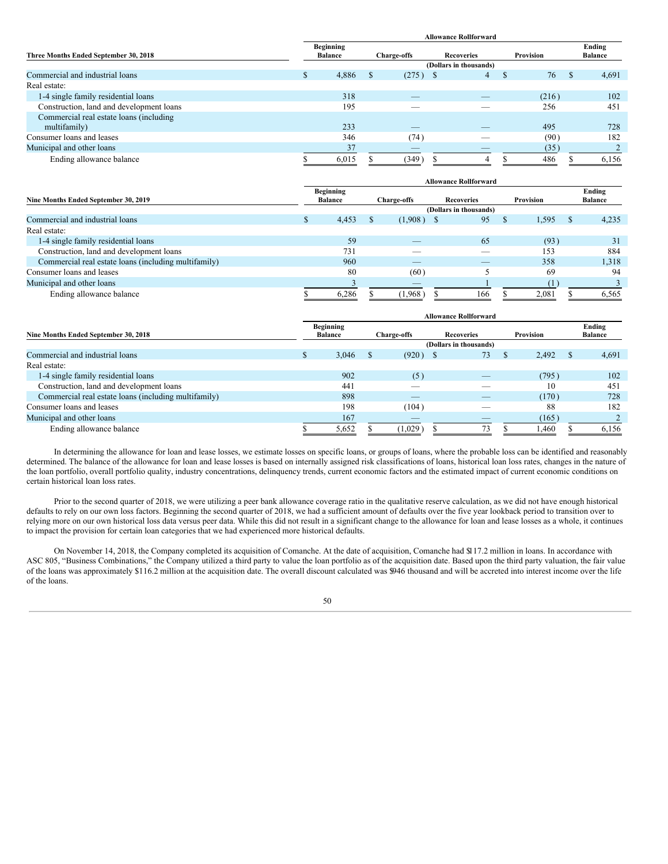| <b>Allowance Rollforward</b>             |  |                                    |    |                          |                        |    |           |      |                          |
|------------------------------------------|--|------------------------------------|----|--------------------------|------------------------|----|-----------|------|--------------------------|
| Three Months Ended September 30, 2018    |  | <b>Beginning</b><br><b>Balance</b> |    | Charge-offs              | <b>Recoveries</b>      |    | Provision |      | Ending<br><b>Balance</b> |
|                                          |  |                                    |    |                          | (Dollars in thousands) |    |           |      |                          |
| Commercial and industrial loans          |  | 4,886                              | D. | (275)                    | - \$<br>4              | J. | 76        | - \$ | 4,691                    |
| Real estate:                             |  |                                    |    |                          |                        |    |           |      |                          |
| 1-4 single family residential loans      |  | 318                                |    |                          |                        |    | (216)     |      | 102                      |
| Construction, land and development loans |  | 195                                |    |                          |                        |    | 256       |      | 451                      |
| Commercial real estate loans (including  |  |                                    |    |                          |                        |    |           |      |                          |
| multifamily)                             |  | 233                                |    |                          |                        |    | 495       |      | 728                      |
| Consumer loans and leases                |  | 346                                |    | (74)                     |                        |    | (90)      |      | 182                      |
| Municipal and other loans                |  | 37                                 |    | $\overline{\phantom{a}}$ |                        |    | (35)      |      |                          |
| Ending allowance balance                 |  | 6,015                              |    | (349)                    | 4                      |    | 486       |      | 6,156                    |

|                                                      | <b>Allowance Rollforward</b> |                                    |  |                          |  |                        |  |           |                          |
|------------------------------------------------------|------------------------------|------------------------------------|--|--------------------------|--|------------------------|--|-----------|--------------------------|
| Nine Months Ended September 30, 2019                 |                              | <b>Beginning</b><br><b>Balance</b> |  | <b>Charge-offs</b>       |  | <b>Recoveries</b>      |  | Provision | Ending<br><b>Balance</b> |
|                                                      |                              |                                    |  |                          |  | (Dollars in thousands) |  |           |                          |
| Commercial and industrial loans                      |                              | 4,453                              |  | (1,908)                  |  | 95                     |  | 1,595     | 4,235                    |
| Real estate:                                         |                              |                                    |  |                          |  |                        |  |           |                          |
| 1-4 single family residential loans                  |                              | 59                                 |  | $-$                      |  | 65                     |  | (93)      | 31                       |
| Construction, land and development loans             |                              | 731                                |  |                          |  |                        |  | 153       | 884                      |
| Commercial real estate loans (including multifamily) |                              | 960                                |  | $\overline{\phantom{a}}$ |  |                        |  | 358       | 1,318                    |
| Consumer loans and leases                            |                              | 80                                 |  | (60)                     |  |                        |  | 69        | 94                       |
| Municipal and other loans                            |                              |                                    |  | $-$                      |  |                        |  |           |                          |
| Ending allowance balance                             |                              | 6.286                              |  | 1,968                    |  | 166                    |  | 2.081     | 6,565                    |

|                                                      |   | <b>Allowance Rollforward</b>       |  |                          |  |                        |  |           |    |                          |
|------------------------------------------------------|---|------------------------------------|--|--------------------------|--|------------------------|--|-----------|----|--------------------------|
| Nine Months Ended September 30, 2018                 |   | <b>Beginning</b><br><b>Balance</b> |  | <b>Charge-offs</b>       |  | <b>Recoveries</b>      |  | Provision |    | Ending<br><b>Balance</b> |
|                                                      |   |                                    |  |                          |  | (Dollars in thousands) |  |           |    |                          |
| Commercial and industrial loans                      | ъ | 3.046                              |  | (920)                    |  | 73                     |  | 2,492     | -S | 4,691                    |
| Real estate:                                         |   |                                    |  |                          |  |                        |  |           |    |                          |
| 1-4 single family residential loans                  |   | 902                                |  | (5)                      |  |                        |  | (795)     |    | 102                      |
| Construction, land and development loans             |   | 441                                |  | __                       |  |                        |  | 10        |    | 451                      |
| Commercial real estate loans (including multifamily) |   | 898                                |  | $\overline{\phantom{a}}$ |  | $-$                    |  | (170)     |    | 728                      |
| Consumer loans and leases                            |   | 198                                |  | (104)                    |  | __                     |  | 88        |    | 182                      |
| Municipal and other loans                            |   | 167                                |  | _                        |  |                        |  | (165)     |    |                          |
| Ending allowance balance                             |   | 5,652                              |  | (1,029)                  |  | 73                     |  | 1.460     |    | 6,156                    |

In determining the allowance for loan and lease losses, we estimate losses on specific loans, or groups of loans, where the probable loss can be identified and reasonably determined. The balance of the allowance for loan and lease losses is based on internally assigned risk classifications of loans, historical loan loss rates, changes in the nature of the loan portfolio, overall portfolio quality, industry concentrations, delinquency trends, current economic factors and the estimated impact of current economic conditions on certain historical loan loss rates.

Prior to the second quarter of 2018, we were utilizing a peer bank allowance coverage ratio in the qualitative reserve calculation, as we did not have enough historical defaults to rely on our own loss factors. Beginning the second quarter of 2018, we had a sufficient amount of defaults over the five year lookback period to transition over to relying more on our own historical loss data versus peer data. While this did not result in a significant change to the allowance for loan and lease losses as a whole, it continues to impact the provision for certain loan categories that we had experienced more historical defaults.

On November 14, 2018, the Company completed its acquisition of Comanche. At the date of acquisition, Comanche had \$117.2 million in loans. In accordance with ASC 805, "Business Combinations," the Company utilized a third party to value the loan portfolio as of the acquisition date. Based upon the third party valuation, the fair value of the loans was approximately \$116.2 million at the acquisition date. The overall discount calculated was \$946 thousand and will be accreted into interest income over the life of the loans.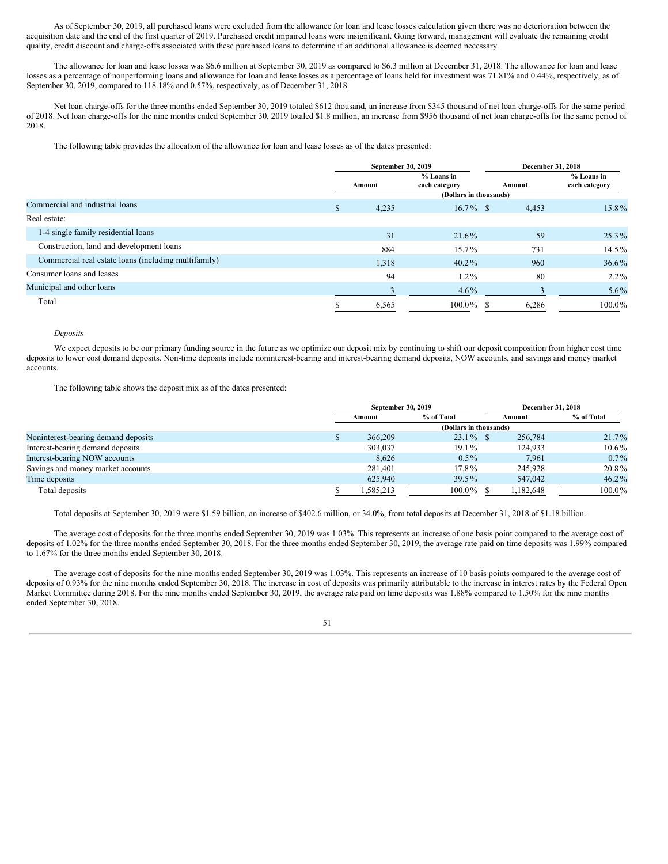As of September 30, 2019, all purchased loans were excluded from the allowance for loan and lease losses calculation given there was no deterioration between the acquisition date and the end of the first quarter of 2019. Purchased credit impaired loans were insignificant. Going forward, management will evaluate the remaining credit quality, credit discount and charge-offs associated with these purchased loans to determine if an additional allowance is deemed necessary.

The allowance for loan and lease losses was \$6.6 million at September 30, 2019 as compared to \$6.3 million at December 31, 2018. The allowance for loan and lease losses as a percentage of nonperforming loans and allowance for loan and lease losses as a percentage of loans held for investment was 71.81% and 0.44%, respectively, as of September 30, 2019, compared to 118.18% and 0.57%, respectively, as of December 31, 2018.

Net loan charge-offs for the three months ended September 30, 2019 totaled \$612 thousand, an increase from \$345 thousand of net loan charge-offs for the same period of 2018. Net loan charge-offs for the nine months ended September 30, 2019 totaled \$1.8 million, an increase from \$956 thousand of net loan charge-offs for the same period of 2018.

The following table provides the allocation of the allowance for loan and lease losses as of the dates presented:

|                                                      |    | September 30, 2019 |                               | December 31, 2018      |                               |  |  |
|------------------------------------------------------|----|--------------------|-------------------------------|------------------------|-------------------------------|--|--|
|                                                      |    | Amount             | $%$ Loans in<br>each category | Amount                 | $%$ Loans in<br>each category |  |  |
|                                                      |    |                    |                               | (Dollars in thousands) |                               |  |  |
| Commercial and industrial loans                      | \$ | 4,235              | $16.7\%$ \$                   | 4,453                  | $15.8\%$                      |  |  |
| Real estate:                                         |    |                    |                               |                        |                               |  |  |
| 1-4 single family residential loans                  |    | 31                 | 21.6%                         | 59                     | $25.3\%$                      |  |  |
| Construction, land and development loans             |    | 884                | 15.7%                         | 731                    | $14.5\%$                      |  |  |
| Commercial real estate loans (including multifamily) |    | 1,318              | $40.2\%$                      | 960                    | $36.6\%$                      |  |  |
| Consumer loans and leases                            |    | 94                 | $1.2\%$                       | 80                     | $2.2\%$                       |  |  |
| Municipal and other loans                            |    |                    | $4.6\%$                       |                        | $5.6\%$                       |  |  |
| Total                                                | S  | 6,565              | $100.0\%$                     | 6,286                  | $100.0\%$                     |  |  |

#### *Deposits*

We expect deposits to be our primary funding source in the future as we optimize our deposit mix by continuing to shift our deposit composition from higher cost time deposits to lower cost demand deposits. Non-time deposits include noninterest-bearing and interest-bearing demand deposits, NOW accounts, and savings and money market accounts.

The following table shows the deposit mix as of the dates presented:

|                                     | September 30, 2019 |                        | December 31, 2018 |            |  |  |
|-------------------------------------|--------------------|------------------------|-------------------|------------|--|--|
|                                     | Amount             | % of Total             | Amount            | % of Total |  |  |
|                                     |                    | (Dollars in thousands) |                   |            |  |  |
| Noninterest-bearing demand deposits | 366,209            | $23.1\%$ \$            | 256,784           | $21.7\%$   |  |  |
| Interest-bearing demand deposits    | 303,037            | $19.1\%$               | 124.933           | $10.6\%$   |  |  |
| Interest-bearing NOW accounts       | 8.626              | $0.5\%$                | 7.961             | $0.7\%$    |  |  |
| Savings and money market accounts   | 281.401            | 17.8%                  | 245,928           | 20.8%      |  |  |
| Time deposits                       | 625,940            | $39.5\%$               | 547,042           | $46.2\%$   |  |  |
| Total deposits                      | 1,585,213          | $100.0\%$              | 1,182,648         | $100.0\%$  |  |  |

Total deposits at September 30, 2019 were \$1.59 billion, an increase of \$402.6 million, or 34.0%, from total deposits at December 31, 2018 of \$1.18 billion.

The average cost of deposits for the three months ended September 30, 2019 was 1.03%. This represents an increase of one basis point compared to the average cost of deposits of 1.02% for the three months ended September 30, 2018. For the three months ended September 30, 2019, the average rate paid on time deposits was 1.99% compared to 1.67% for the three months ended September 30, 2018.

The average cost of deposits for the nine months ended September 30, 2019 was 1.03%. This represents an increase of 10 basis points compared to the average cost of deposits of 0.93% for the nine months ended September 30, 2018. The increase in cost of deposits was primarily attributable to the increase in interest rates by the Federal Open Market Committee during 2018. For the nine months ended September 30, 2019, the average rate paid on time deposits was 1.88% compared to 1.50% for the nine months ended September 30, 2018.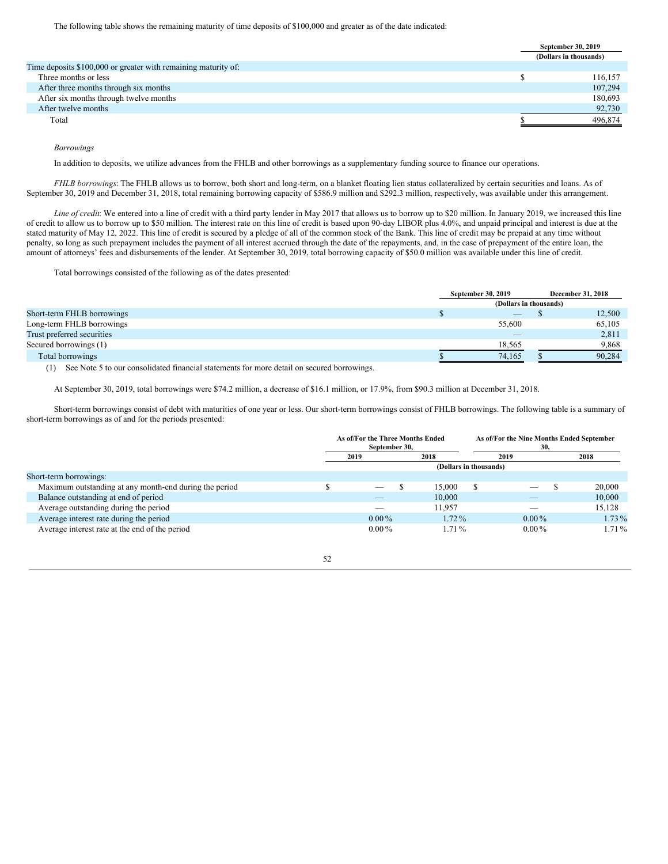|                                                                | September 30, 2019     |
|----------------------------------------------------------------|------------------------|
|                                                                | (Dollars in thousands) |
| Time deposits \$100,000 or greater with remaining maturity of: |                        |
| Three months or less                                           | 116,157                |
| After three months through six months                          | 107,294                |
| After six months through twelve months                         | 180,693                |
| After twelve months                                            | 92,730                 |
| Total                                                          | 496,874                |
|                                                                |                        |

#### *Borrowings*

In addition to deposits, we utilize advances from the FHLB and other borrowings as a supplementary funding source to finance our operations.

*FHLB borrowings*: The FHLB allows us to borrow, both short and long-term, on a blanket floating lien status collateralized by certain securities and loans. As of September 30, 2019 and December 31, 2018, total remaining borrowing capacity of \$586.9 million and \$292.3 million, respectively, was available under this arrangement.

*Line of credit*: We entered into a line of credit with a third party lender in May 2017 that allows us to borrow up to \$20 million. In January 2019, we increased this line of credit to allow us to borrow up to \$50 million. The interest rate on this line of credit is based upon 90-day LIBOR plus 4.0%, and unpaid principal and interest is due at the stated maturity of May 12, 2022. This line of credit is secured by a pledge of all of the common stock of the Bank. This line of credit may be prepaid at any time without penalty, so long as such prepayment includes the payment of all interest accrued through the date of the repayments, and, in the case of prepayment of the entire loan, the amount of attorneys' fees and disbursements of the lender. At September 30, 2019, total borrowing capacity of \$50.0 million was available under this line of credit.

Total borrowings consisted of the following as of the dates presented:

|                            | September 30, 2019     | December 31, 2018 |        |  |  |  |
|----------------------------|------------------------|-------------------|--------|--|--|--|
|                            | (Dollars in thousands) |                   |        |  |  |  |
| Short-term FHLB borrowings |                        |                   | 12.500 |  |  |  |
| Long-term FHLB borrowings  | 55,600                 |                   | 65,105 |  |  |  |
| Trust preferred securities |                        |                   | 2,811  |  |  |  |
| Secured borrowings (1)     | 18.565                 |                   | 9,868  |  |  |  |
| Total borrowings           | 74.165                 |                   | 90,284 |  |  |  |

(1) See Note 5 to our consolidated financial statements for more detail on secured borrowings.

At September 30, 2019, total borrowings were \$74.2 million, a decrease of \$16.1 million, or 17.9%, from \$90.3 million at December 31, 2018.

Short-term borrowings consist of debt with maturities of one year or less. Our short-term borrowings consist of FHLB borrowings. The following table is a summary of short-term borrowings as of and for the periods presented:

|                                                        | As of/For the Three Months Ended<br>September 30, |          |          | As of/For the Nine Months Ended September<br>30, |  |  |  |  |  |
|--------------------------------------------------------|---------------------------------------------------|----------|----------|--------------------------------------------------|--|--|--|--|--|
|                                                        | 2018<br>2019                                      |          | 2019     | 2018                                             |  |  |  |  |  |
|                                                        | (Dollars in thousands)                            |          |          |                                                  |  |  |  |  |  |
| Short-term borrowings:                                 |                                                   |          |          |                                                  |  |  |  |  |  |
| Maximum outstanding at any month-end during the period |                                                   | 15.000   |          | 20,000                                           |  |  |  |  |  |
| Balance outstanding at end of period                   |                                                   | 10,000   |          | 10,000                                           |  |  |  |  |  |
| Average outstanding during the period                  |                                                   | 11.957   |          | 15,128                                           |  |  |  |  |  |
| Average interest rate during the period                | $0.00\%$                                          | $1.72\%$ | $0.00\%$ | $1.73\%$                                         |  |  |  |  |  |
| Average interest rate at the end of the period         | $0.00\%$                                          | 1.71%    | $0.00\%$ | $1.71\%$                                         |  |  |  |  |  |

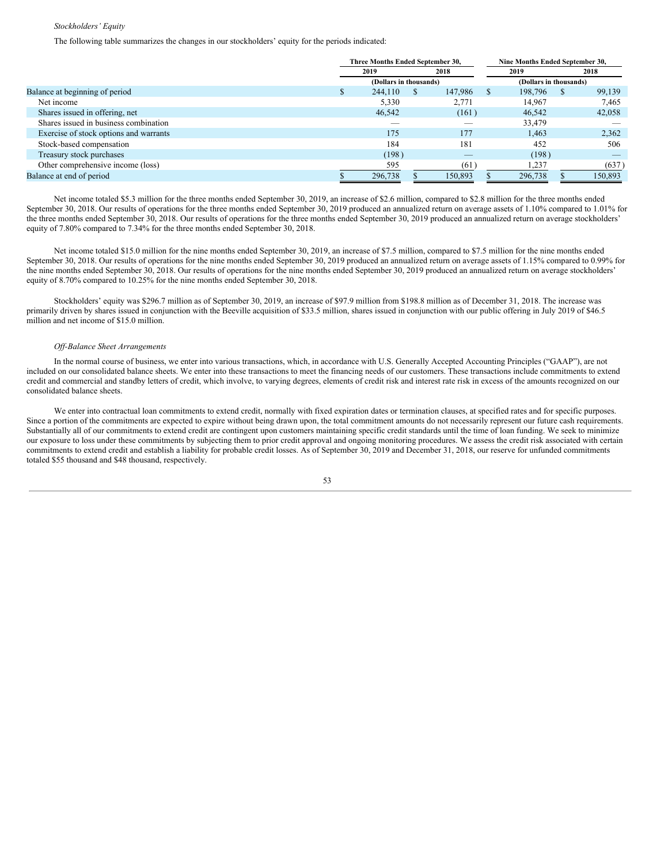#### *Stockholders' Equity*

The following table summarizes the changes in our stockholders' equity for the periods indicated:

|                                        | Three Months Ended September 30, |  |                          |  | Nine Months Ended September 30, |  |         |  |
|----------------------------------------|----------------------------------|--|--------------------------|--|---------------------------------|--|---------|--|
|                                        | 2019<br>2018                     |  |                          |  | 2019                            |  | 2018    |  |
|                                        | (Dollars in thousands)           |  |                          |  | (Dollars in thousands)          |  |         |  |
| Balance at beginning of period         | 244.110                          |  | 147.986                  |  | 198.796                         |  | 99,139  |  |
| Net income                             | 5,330                            |  | 2.771                    |  | 14.967                          |  | 7,465   |  |
| Shares issued in offering, net         | 46,542                           |  | (161)                    |  | 46,542                          |  | 42,058  |  |
| Shares issued in business combination  | __                               |  | __                       |  | 33,479                          |  |         |  |
| Exercise of stock options and warrants | 175                              |  | 177                      |  | 1.463                           |  | 2,362   |  |
| Stock-based compensation               | 184                              |  | 181                      |  | 452                             |  | 506     |  |
| Treasury stock purchases               | (198)                            |  | $\overline{\phantom{a}}$ |  | (198)                           |  |         |  |
| Other comprehensive income (loss)      | 595                              |  | (61)                     |  | 1,237                           |  | (637)   |  |
| Balance at end of period               | 296,738                          |  | 150,893                  |  | 296,738                         |  | 150,893 |  |

Net income totaled \$5.3 million for the three months ended September 30, 2019, an increase of \$2.6 million, compared to \$2.8 million for the three months ended September 30, 2018. Our results of operations for the three months ended September 30, 2019 produced an annualized return on average assets of 1.10% compared to 1.01% for the three months ended September 30, 2018. Our results of operations for the three months ended September 30, 2019 produced an annualized return on average stockholders' equity of 7.80% compared to 7.34% for the three months ended September 30, 2018.

Net income totaled \$15.0 million for the nine months ended September 30, 2019, an increase of \$7.5 million, compared to \$7.5 million for the nine months ended September 30, 2018. Our results of operations for the nine months ended September 30, 2019 produced an annualized return on average assets of 1.15% compared to 0.99% for the nine months ended September 30, 2018. Our results of operations for the nine months ended September 30, 2019 produced an annualized return on average stockholders' equity of 8.70% compared to 10.25% for the nine months ended September 30, 2018.

Stockholders' equity was \$296.7 million as of September 30, 2019, an increase of \$97.9 million from \$198.8 million as of December 31, 2018. The increase was primarily driven by shares issued in conjunction with the Beeville acquisition of \$33.5 million, shares issued in conjunction with our public offering in July 2019 of \$46.5 million and net income of \$15.0 million.

## *Of -Balance Sheet Arrangements*

In the normal course of business, we enter into various transactions, which, in accordance with U.S. Generally Accepted Accounting Principles ("GAAP"), are not included on our consolidated balance sheets. We enter into these transactions to meet the financing needs of our customers. These transactions include commitments to extend credit and commercial and standby letters of credit, which involve, to varying degrees, elements of credit risk and interest rate risk in excess of the amounts recognized on our consolidated balance sheets.

We enter into contractual loan commitments to extend credit, normally with fixed expiration dates or termination clauses, at specified rates and for specific purposes. Since a portion of the commitments are expected to expire without being drawn upon, the total commitment amounts do not necessarily represent our future cash requirements. Substantially all of our commitments to extend credit are contingent upon customers maintaining specific credit standards until the time of loan funding. We seek to minimize our exposure to loss under these commitments by subjecting them to prior credit approval and ongoing monitoring procedures. We assess the credit risk associated with certain commitments to extend credit and establish a liability for probable credit losses. As of September 30, 2019 and December 31, 2018, our reserve for unfunded commitments totaled \$55 thousand and \$48 thousand, respectively.

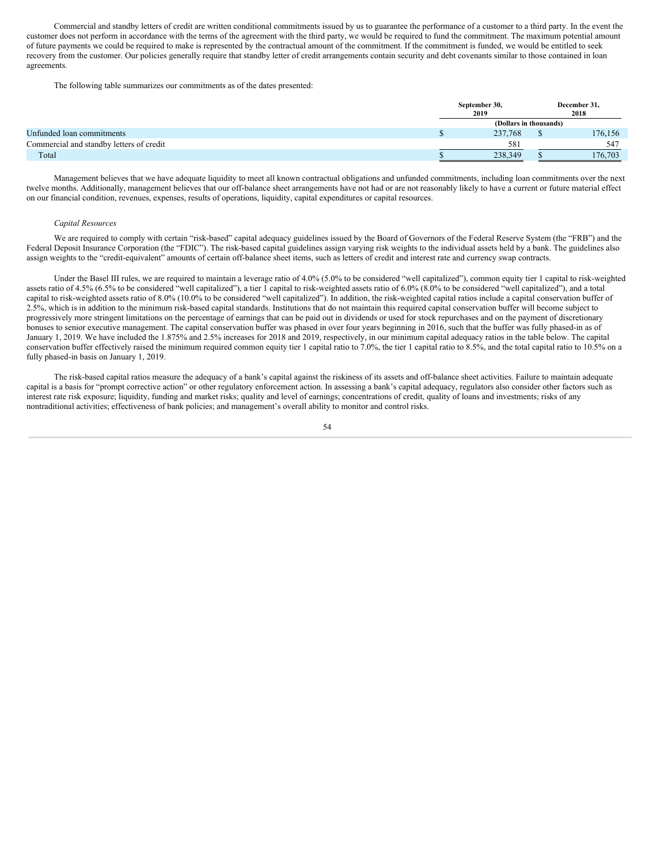Commercial and standby letters of credit are written conditional commitments issued by us to guarantee the performance of a customer to a third party. In the event the customer does not perform in accordance with the terms of the agreement with the third party, we would be required to fund the commitment. The maximum potential amount of future payments we could be required to make is represented by the contractual amount of the commitment. If the commitment is funded, we would be entitled to seek recovery from the customer. Our policies generally require that standby letter of credit arrangements contain security and debt covenants similar to those contained in loan agreements.

The following table summarizes our commitments as of the dates presented:

|                                          | September 30,          | December 31, |         |  |
|------------------------------------------|------------------------|--------------|---------|--|
|                                          | 2019                   |              | 2018    |  |
|                                          | (Dollars in thousands) |              |         |  |
| Unfunded loan commitments                | 237,768                |              | 176,156 |  |
| Commercial and standby letters of credit | 581                    |              | 547     |  |
| Total                                    | 238,349                |              | 176,703 |  |

Management believes that we have adequate liquidity to meet all known contractual obligations and unfunded commitments, including loan commitments over the next twelve months. Additionally, management believes that our off-balance sheet arrangements have not had or are not reasonably likely to have a current or future material effect on our financial condition, revenues, expenses, results of operations, liquidity, capital expenditures or capital resources.

#### *Capital Resources*

We are required to comply with certain "risk-based" capital adequacy guidelines issued by the Board of Governors of the Federal Reserve System (the "FRB") and the Federal Deposit Insurance Corporation (the "FDIC"). The risk-based capital guidelines assign varying risk weights to the individual assets held by a bank. The guidelines also assign weights to the "credit-equivalent" amounts of certain off-balance sheet items, such as letters of credit and interest rate and currency swap contracts.

Under the Basel III rules, we are required to maintain a leverage ratio of 4.0% (5.0% to be considered "well capitalized"), common equity tier 1 capital to risk-weighted assets ratio of 4.5% (6.5% to be considered "well capitalized"), a tier 1 capital to risk-weighted assets ratio of 6.0% (8.0% to be considered "well capitalized"), and a total capital to risk-weighted assets ratio of 8.0% (10.0% to be considered "well capitalized"). In addition, the risk-weighted capital ratios include a capital conservation buffer of 2.5%, which is in addition to the minimum risk-based capital standards. Institutions that do not maintain this required capital conservation buffer will become subject to progressively more stringent limitations on the percentage of earnings that can be paid out in dividends or used for stock repurchases and on the payment of discretionary bonuses to senior executive management. The capital conservation buffer was phased in over four years beginning in 2016, such that the buffer was fully phased-in as of January 1, 2019. We have included the 1.875% and 2.5% increases for 2018 and 2019, respectively, in our minimum capital adequacy ratios in the table below. The capital conservation buffer effectively raised the minimum required common equity tier 1 capital ratio to 7.0%, the tier 1 capital ratio to 8.5%, and the total capital ratio to 10.5% on a fully phased-in basis on January 1, 2019.

The risk-based capital ratios measure the adequacy of a bank's capital against the riskiness of its assets and off-balance sheet activities. Failure to maintain adequate capital is a basis for "prompt corrective action" or other regulatory enforcement action. In assessing a bank's capital adequacy, regulators also consider other factors such as interest rate risk exposure; liquidity, funding and market risks; quality and level of earnings; concentrations of credit, quality of loans and investments; risks of any nontraditional activities; effectiveness of bank policies; and management's overall ability to monitor and control risks.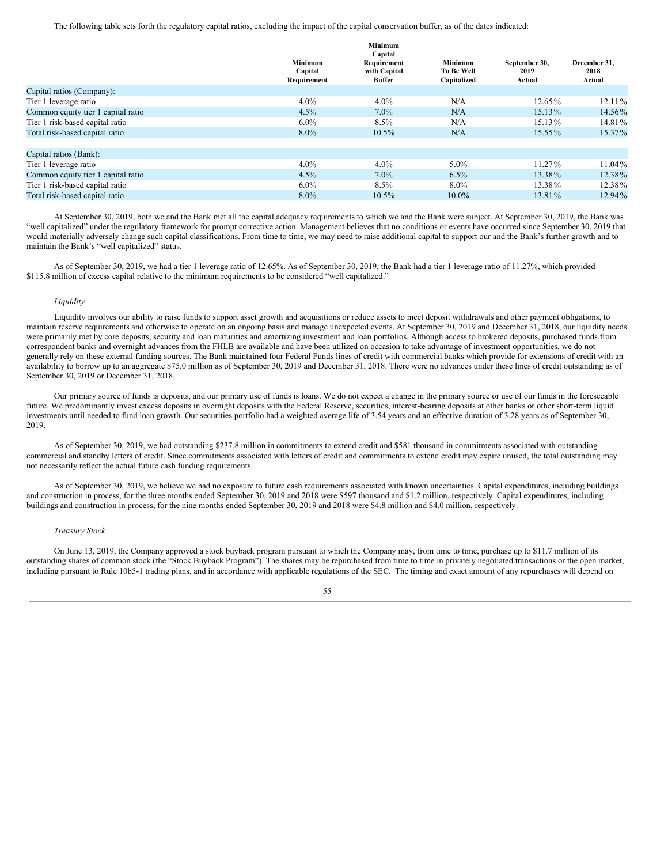The following table sets forth the regulatory capital ratios, excluding the impact of the capital conservation buffer, as of the dates indicated:

|                                    |                                          | Minimum<br>Capital                           |                                             |                                 |                                |
|------------------------------------|------------------------------------------|----------------------------------------------|---------------------------------------------|---------------------------------|--------------------------------|
|                                    | <b>Minimum</b><br>Capital<br>Requirement | Requirement<br>with Capital<br><b>Buffer</b> | Minimum<br><b>To Be Well</b><br>Capitalized | September 30,<br>2019<br>Actual | December 31,<br>2018<br>Actual |
| Capital ratios (Company):          |                                          |                                              |                                             |                                 |                                |
| Tier 1 leverage ratio              | $4.0\%$                                  | 4.0%                                         | N/A                                         | 12.65%                          | $12.11\%$                      |
| Common equity tier 1 capital ratio | $4.5\%$                                  | $7.0\%$                                      | N/A                                         | 15.13%                          | 14.56%                         |
| Tier 1 risk-based capital ratio    | $6.0\%$                                  | $8.5\%$                                      | N/A                                         | 15.13%                          | 14.81%                         |
| Total risk-based capital ratio     | $8.0\%$                                  | 10.5%                                        | N/A                                         | 15.55%                          | 15.37%                         |
| Capital ratios (Bank):             |                                          |                                              |                                             |                                 |                                |
| Tier 1 leverage ratio              | $4.0\%$                                  | $4.0\%$                                      | $5.0\%$                                     | 11.27%                          | 11.04%                         |
| Common equity tier 1 capital ratio | 4.5%                                     | $7.0\%$                                      | 6.5%                                        | 13.38%                          | 12.38%                         |
| Tier 1 risk-based capital ratio    | $6.0\%$                                  | 8.5%                                         | $8.0\%$                                     | 13.38%                          | 12.38%                         |
| Total risk-based capital ratio     | $8.0\%$                                  | $10.5\%$                                     | $10.0\%$                                    | 13.81%                          | 12.94%                         |

At September 30, 2019, both we and the Bank met all the capital adequacy requirements to which we and the Bank were subject. At September 30, 2019, the Bank was "well capitalized" under the regulatory framework for prompt corrective action. Management believes that no conditions or events have occurred since September 30, 2019 that would materially adversely change such capital classifications. From time to time, we may need to raise additional capital to support our and the Bank's further growth and to maintain the Bank's "well capitalized" status.

As of September 30, 2019, we had a tier 1 leverage ratio of 12.65%. As of September 30, 2019, the Bank had a tier 1 leverage ratio of 11.27%, which provided \$115.8 million of excess capital relative to the minimum requirements to be considered "well capitalized."

#### *Liquidity*

Liquidity involves our ability to raise funds to support asset growth and acquisitions or reduce assets to meet deposit withdrawals and other payment obligations, to maintain reserve requirements and otherwise to operate on an ongoing basis and manage unexpected events. At September 30, 2019 and December 31, 2018, our liquidity needs were primarily met by core deposits, security and loan maturities and amortizing investment and loan portfolios. Although access to brokered deposits, purchased funds from correspondent banks and overnight advances from the FHLB are available and have been utilized on occasion to take advantage of investment opportunities, we do not generally rely on these external funding sources. The Bank maintained four Federal Funds lines of credit with commercial banks which provide for extensions of credit with an availability to borrow up to an aggregate \$75.0 million as of September 30, 2019 and December 31, 2018. There were no advances under these lines of credit outstanding as of September 30, 2019 or December 31, 2018.

Our primary source of funds is deposits, and our primary use of funds is loans. We do not expect a change in the primary source or use of our funds in the foreseeable future. We predominantly invest excess deposits in overnight deposits with the Federal Reserve, securities, interest-bearing deposits at other banks or other short-term liquid investments until needed to fund loan growth. Our securities portfolio had a weighted average life of 3.54 years and an effective duration of 3.28 years as of September 30, 2019.

As of September 30, 2019, we had outstanding \$237.8 million in commitments to extend credit and \$581 thousand in commitments associated with outstanding commercial and standby letters of credit. Since commitments associated with letters of credit and commitments to extend credit may expire unused, the total outstanding may not necessarily reflect the actual future cash funding requirements.

As of September 30, 2019, we believe we had no exposure to future cash requirements associated with known uncertainties. Capital expenditures, including buildings and construction in process, for the three months ended September 30, 2019 and 2018 were \$597 thousand and \$1.2 million, respectively. Capital expenditures, including buildings and construction in process, for the nine months ended September 30, 2019 and 2018 were \$4.8 million and \$4.0 million, respectively.

#### *Treasury Stock*

On June 13, 2019, the Company approved a stock buyback program pursuant to which the Company may, from time to time, purchase up to \$11.7 million of its outstanding shares of common stock (the "Stock Buyback Program"). The shares may be repurchased from time to time in privately negotiated transactions or the open market, including pursuant to Rule 10b5-1 trading plans, and in accordance with applicable regulations of the SEC. The timing and exact amount of any repurchases will depend on

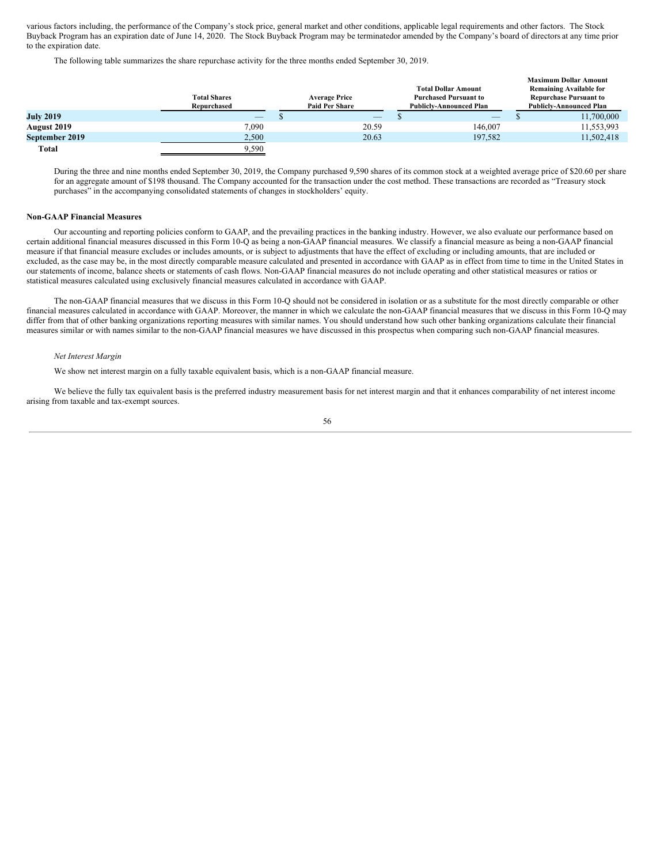various factors including, the performance of the Company's stock price, general market and other conditions, applicable legal requirements and other factors. The Stock Buyback Program has an expiration date of June 14, 2020. The Stock Buyback Program may be terminatedor amended by the Company's board of directors at any time prior to the expiration date.

The following table summarizes the share repurchase activity for the three months ended September 30, 2019.

|                  | <b>Total Shares</b><br>Repurchased | <b>Total Dollar Amount</b><br><b>Purchased Pursuant to</b><br><b>Average Price</b><br><b>Paid Per Share</b><br><b>Publicly-Announced Plan</b> |  | <b>Maximum Dollar Amount</b><br>Remaining Available for<br><b>Repurchase Pursuant to</b><br><b>Publicly-Announced Plan</b> |            |  |
|------------------|------------------------------------|-----------------------------------------------------------------------------------------------------------------------------------------------|--|----------------------------------------------------------------------------------------------------------------------------|------------|--|
| <b>July 2019</b> | $\overline{\phantom{a}}$           | $\overline{\phantom{a}}$                                                                                                                      |  | $\overline{\phantom{a}}$                                                                                                   | 11,700,000 |  |
| August 2019      | 7,090                              | 20.59                                                                                                                                         |  | 146,007                                                                                                                    | 11,553,993 |  |
| September 2019   | 2,500                              | 20.63                                                                                                                                         |  | 197.582                                                                                                                    | 11,502,418 |  |
| <b>Total</b>     | 9.590                              |                                                                                                                                               |  |                                                                                                                            |            |  |

During the three and nine months ended September 30, 2019, the Company purchased 9,590 shares of its common stock at a weighted average price of \$20.60 per share for an aggregate amount of \$198 thousand. The Company accounted for the transaction under the cost method. These transactions are recorded as "Treasury stock purchases" in the accompanying consolidated statements of changes in stockholders' equity.

## **Non-GAAP Financial Measures**

Our accounting and reporting policies conform to GAAP, and the prevailing practices in the banking industry. However, we also evaluate our performance based on certain additional financial measures discussed in this Form 10-Q as being a non-GAAP financial measures. We classify a financial measure as being a non-GAAP financial measure if that financial measure excludes or includes amounts, or is subject to adjustments that have the effect of excluding or including amounts, that are included or excluded, as the case may be, in the most directly comparable measure calculated and presented in accordance with GAAP as in effect from time to time in the United States in our statements of income, balance sheets or statements of cash flows. Non-GAAP financial measures do not include operating and other statistical measures or ratios or statistical measures calculated using exclusively financial measures calculated in accordance with GAAP.

The non-GAAP financial measures that we discuss in this Form 10-Q should not be considered in isolation or as a substitute for the most directly comparable or other financial measures calculated in accordance with GAAP. Moreover, the manner in which we calculate the non-GAAP financial measures that we discuss in this Form 10-Q may differ from that of other banking organizations reporting measures with similar names. You should understand how such other banking organizations calculate their financial measures similar or with names similar to the non-GAAP financial measures we have discussed in this prospectus when comparing such non-GAAP financial measures.

#### *Net Interest Margin*

We show net interest margin on a fully taxable equivalent basis, which is a non-GAAP financial measure.

We believe the fully tax equivalent basis is the preferred industry measurement basis for net interest margin and that it enhances comparability of net interest income arising from taxable and tax-exempt sources.

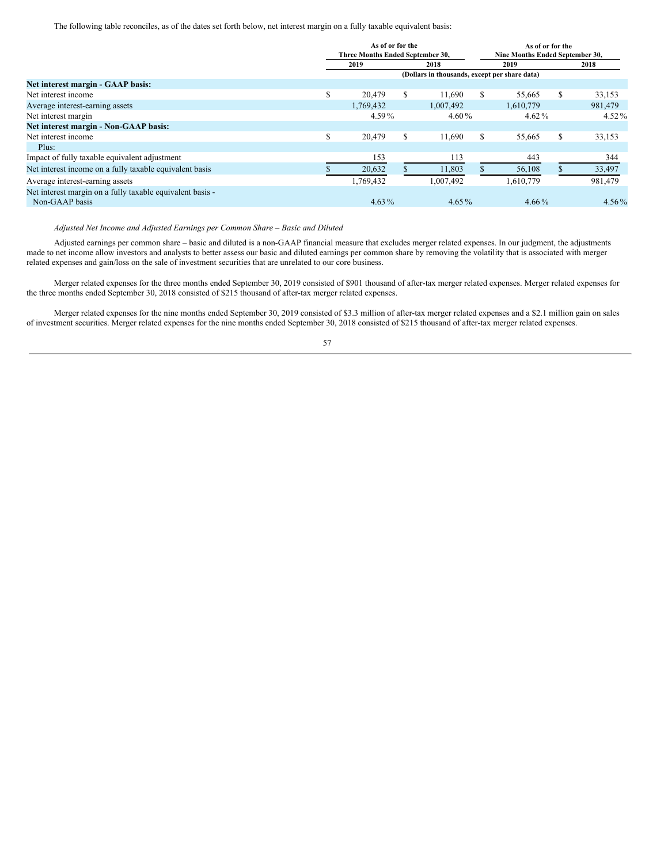The following table reconciles, as of the dates set forth below, net interest margin on a fully taxable equivalent basis:

|                                                           |   | As of or for the<br>Three Months Ended September 30, |    |           |    | As of or for the<br>Nine Months Ended September 30, |    |          |  |
|-----------------------------------------------------------|---|------------------------------------------------------|----|-----------|----|-----------------------------------------------------|----|----------|--|
|                                                           |   | 2019                                                 |    | 2018      |    | 2019                                                |    | 2018     |  |
|                                                           |   |                                                      |    |           |    |                                                     |    |          |  |
| Net interest margin - GAAP basis:                         |   |                                                      |    |           |    |                                                     |    |          |  |
| Net interest income                                       | S | 20,479                                               | £. | 11.690    | \$ | 55,665                                              | S. | 33,153   |  |
| Average interest-earning assets                           |   | 1.769.432                                            |    | 1.007.492 |    | 1.610.779                                           |    | 981,479  |  |
| Net interest margin                                       |   | 4.59%                                                |    | $4.60\%$  |    | $4.62\%$                                            |    | $4.52\%$ |  |
| Net interest margin - Non-GAAP basis:                     |   |                                                      |    |           |    |                                                     |    |          |  |
| Net interest income                                       | S | 20,479                                               | S  | 11,690    | \$ | 55,665                                              | \$ | 33,153   |  |
| Plus:                                                     |   |                                                      |    |           |    |                                                     |    |          |  |
| Impact of fully taxable equivalent adjustment             |   | 153                                                  |    | 113       |    | 443                                                 |    | 344      |  |
| Net interest income on a fully taxable equivalent basis   |   | 20,632                                               |    | 11,803    |    | 56,108                                              |    | 33,497   |  |
| Average interest-earning assets                           |   | 1,769,432                                            |    | 1,007,492 |    | 1,610,779                                           |    | 981,479  |  |
| Net interest margin on a fully taxable equivalent basis - |   |                                                      |    |           |    |                                                     |    |          |  |
| Non-GAAP basis                                            |   | $4.63\%$                                             |    | $4.65\%$  |    | $4.66\%$                                            |    | $4.56\%$ |  |

## *Adjusted Net Income and Adjusted Earnings per Common Share – Basic and Diluted*

Adjusted earnings per common share – basic and diluted is a non-GAAP financial measure that excludes merger related expenses. In our judgment, the adjustments made to net income allow investors and analysts to better assess our basic and diluted earnings per common share by removing the volatility that is associated with merger related expenses and gain/loss on the sale of investment securities that are unrelated to our core business.

Merger related expenses for the three months ended September 30, 2019 consisted of \$901 thousand of after-tax merger related expenses. Merger related expenses for the three months ended September 30, 2018 consisted of \$215 thousand of after-tax merger related expenses.

Merger related expenses for the nine months ended September 30, 2019 consisted of \$3.3 million of after-tax merger related expenses and a \$2.1 million gain on sales of investment securities. Merger related expenses for the nine months ended September 30, 2018 consisted of \$215 thousand of after-tax merger related expenses.

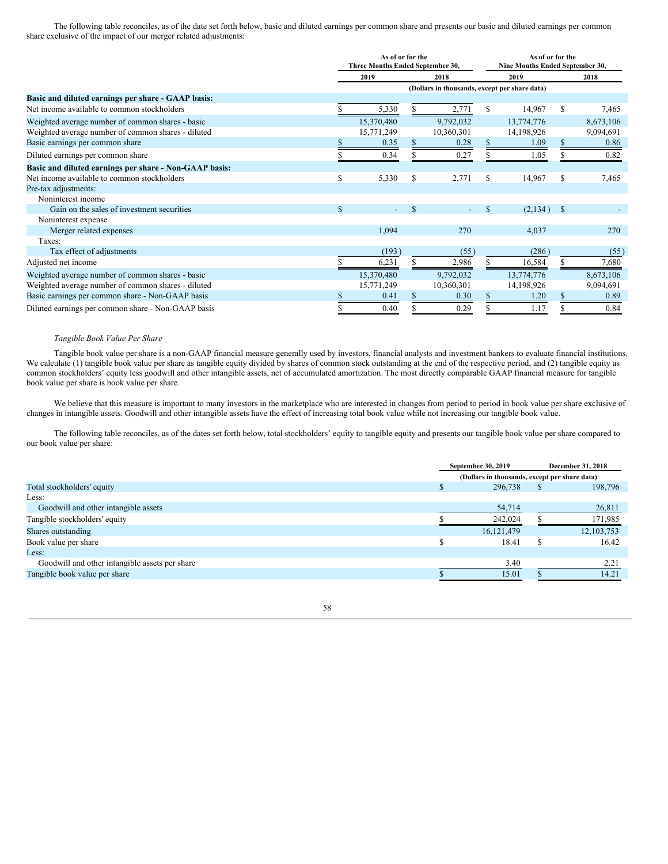The following table reconciles, as of the date set forth below, basic and diluted earnings per common share and presents our basic and diluted earnings per common share exclusive of the impact of our merger related adjustments:

|                                                        | As of or for the<br>Three Months Ended September 30, |            |               |                                               |   | As of or for the<br>Nine Months Ended September 30, |              |           |  |
|--------------------------------------------------------|------------------------------------------------------|------------|---------------|-----------------------------------------------|---|-----------------------------------------------------|--------------|-----------|--|
|                                                        | 2019                                                 |            |               | 2018                                          |   | 2019                                                |              | 2018      |  |
|                                                        |                                                      |            |               | (Dollars in thousands, except per share data) |   |                                                     |              |           |  |
| Basic and diluted earnings per share - GAAP basis:     |                                                      |            |               |                                               |   |                                                     |              |           |  |
| Net income available to common stockholders            |                                                      | 5,330      |               | 2,771                                         | S | 14,967                                              | S.           | 7,465     |  |
| Weighted average number of common shares - basic       |                                                      | 15,370,480 |               | 9,792,032                                     |   | 13,774,776                                          |              | 8,673,106 |  |
| Weighted average number of common shares - diluted     |                                                      | 15,771,249 |               | 10,360,301                                    |   | 14,198,926                                          |              | 9,094,691 |  |
| Basic earnings per common share                        |                                                      | 0.35       |               | 0.28                                          |   | 1.09                                                |              | 0.86      |  |
| Diluted earnings per common share                      |                                                      | 0.34       |               | 0.27                                          |   | 1.05                                                |              | 0.82      |  |
| Basic and diluted earnings per share - Non-GAAP basis: |                                                      |            |               |                                               |   |                                                     |              |           |  |
| Net income available to common stockholders            | \$                                                   | 5,330      | S             | 2,771                                         | S | 14,967                                              | S            | 7,465     |  |
| Pre-tax adjustments:                                   |                                                      |            |               |                                               |   |                                                     |              |           |  |
| Noninterest income                                     |                                                      |            |               |                                               |   |                                                     |              |           |  |
| Gain on the sales of investment securities             | \$                                                   |            | $\mathcal{S}$ |                                               | S | (2,134)                                             | $\mathbf{s}$ |           |  |
| Noninterest expense                                    |                                                      |            |               |                                               |   |                                                     |              |           |  |
| Merger related expenses                                |                                                      | 1,094      |               | 270                                           |   | 4,037                                               |              | 270       |  |
| Taxes:                                                 |                                                      |            |               |                                               |   |                                                     |              |           |  |
| Tax effect of adjustments                              |                                                      | (193)      |               | (55)                                          |   | (286)                                               |              | (55)      |  |
| Adjusted net income                                    |                                                      | 6,231      |               | 2,986                                         |   | 16,584                                              |              | 7,680     |  |
| Weighted average number of common shares - basic       |                                                      | 15,370,480 |               | 9,792,032                                     |   | 13,774,776                                          |              | 8,673,106 |  |
| Weighted average number of common shares - diluted     |                                                      | 15,771,249 |               | 10,360,301                                    |   | 14,198,926                                          |              | 9,094,691 |  |
| Basic earnings per common share - Non-GAAP basis       |                                                      | 0.41       |               | 0.30                                          |   | 1.20                                                |              | 0.89      |  |
| Diluted earnings per common share - Non-GAAP basis     |                                                      | 0.40       |               | 0.29                                          |   | 1.17                                                |              | 0.84      |  |

#### *Tangible Book Value Per Share*

Tangible book value per share is a non-GAAP financial measure generally used by investors, financial analysts and investment bankers to evaluate financial institutions. We calculate (1) tangible book value per share as tangible equity divided by shares of common stock outstanding at the end of the respective period, and (2) tangible equity as common stockholders' equity less goodwill and other intangible assets, net of accumulated amortization. The most directly comparable GAAP financial measure for tangible book value per share is book value per share.

We believe that this measure is important to many investors in the marketplace who are interested in changes from period to period in book value per share exclusive of changes in intangible assets. Goodwill and other intangible assets have the effect of increasing total book value while not increasing our tangible book value.

The following table reconciles, as of the dates set forth below, total stockholders' equity to tangible equity and presents our tangible book value per share compared to our book value per share:

|                                                |   | September 30, 2019                            | December 31, 2018 |              |  |  |
|------------------------------------------------|---|-----------------------------------------------|-------------------|--------------|--|--|
|                                                |   | (Dollars in thousands, except per share data) |                   |              |  |  |
| Total stockholders' equity                     |   | 296,738                                       |                   | 198,796      |  |  |
| Less:                                          |   |                                               |                   |              |  |  |
| Goodwill and other intangible assets           |   | 54,714                                        |                   | 26,811       |  |  |
| Tangible stockholders' equity                  |   | 242,024                                       |                   | 171,985      |  |  |
| Shares outstanding                             |   | 16, 121, 479                                  |                   | 12, 103, 753 |  |  |
| Book value per share                           | ¢ | 18.41                                         |                   | 16.42        |  |  |
| Less:                                          |   |                                               |                   |              |  |  |
| Goodwill and other intangible assets per share |   | 3.40                                          |                   | 2.21         |  |  |
| Tangible book value per share                  |   | 15.01                                         |                   | 14.21        |  |  |

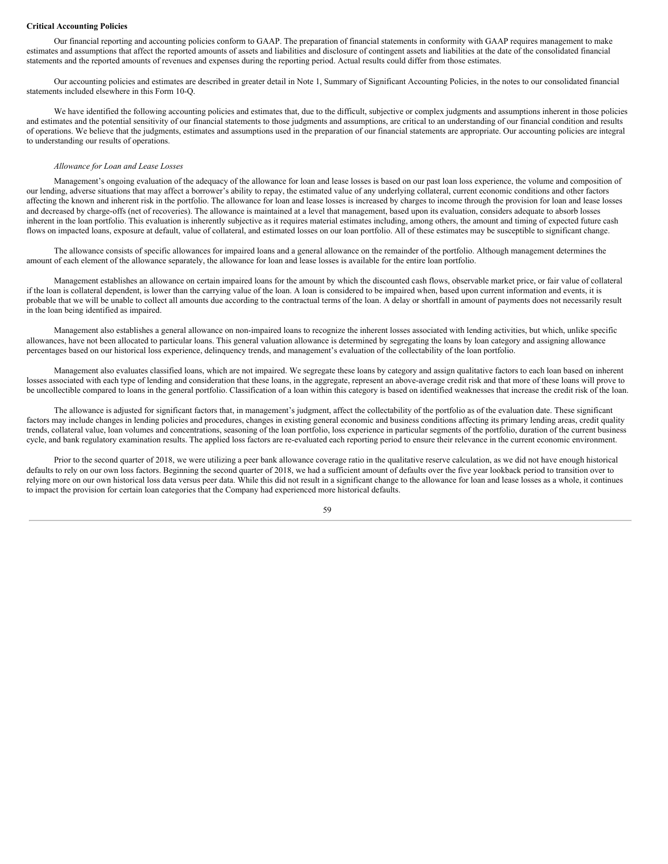#### **Critical Accounting Policies**

Our financial reporting and accounting policies conform to GAAP. The preparation of financial statements in conformity with GAAP requires management to make estimates and assumptions that affect the reported amounts of assets and liabilities and disclosure of contingent assets and liabilities at the date of the consolidated financial statements and the reported amounts of revenues and expenses during the reporting period. Actual results could differ from those estimates.

Our accounting policies and estimates are described in greater detail in Note 1, Summary of Significant Accounting Policies, in the notes to our consolidated financial statements included elsewhere in this Form 10-Q.

We have identified the following accounting policies and estimates that, due to the difficult, subjective or complex judgments and assumptions inherent in those policies and estimates and the potential sensitivity of our financial statements to those judgments and assumptions, are critical to an understanding of our financial condition and results of operations. We believe that the judgments, estimates and assumptions used in the preparation of our financial statements are appropriate. Our accounting policies are integral to understanding our results of operations.

## *Allowance for Loan and Lease Losses*

Management's ongoing evaluation of the adequacy of the allowance for loan and lease losses is based on our past loan loss experience, the volume and composition of our lending, adverse situations that may affect a borrower's ability to repay, the estimated value of any underlying collateral, current economic conditions and other factors affecting the known and inherent risk in the portfolio. The allowance for loan and lease losses is increased by charges to income through the provision for loan and lease losses and decreased by charge-offs (net of recoveries). The allowance is maintained at a level that management, based upon its evaluation, considers adequate to absorb losses inherent in the loan portfolio. This evaluation is inherently subjective as it requires material estimates including, among others, the amount and timing of expected future cash flows on impacted loans, exposure at default, value of collateral, and estimated losses on our loan portfolio. All of these estimates may be susceptible to significant change.

The allowance consists of specific allowances for impaired loans and a general allowance on the remainder of the portfolio. Although management determines the amount of each element of the allowance separately, the allowance for loan and lease losses is available for the entire loan portfolio.

Management establishes an allowance on certain impaired loans for the amount by which the discounted cash flows, observable market price, or fair value of collateral if the loan is collateral dependent, is lower than the carrying value of the loan. A loan is considered to be impaired when, based upon current information and events, it is probable that we will be unable to collect all amounts due according to the contractual terms of the loan. A delay or shortfall in amount of payments does not necessarily result in the loan being identified as impaired.

Management also establishes a general allowance on non-impaired loans to recognize the inherent losses associated with lending activities, but which, unlike specific allowances, have not been allocated to particular loans. This general valuation allowance is determined by segregating the loans by loan category and assigning allowance percentages based on our historical loss experience, delinquency trends, and management's evaluation of the collectability of the loan portfolio.

Management also evaluates classified loans, which are not impaired. We segregate these loans by category and assign qualitative factors to each loan based on inherent losses associated with each type of lending and consideration that these loans, in the aggregate, represent an above-average credit risk and that more of these loans will prove to be uncollectible compared to loans in the general portfolio. Classification of a loan within this category is based on identified weaknesses that increase the credit risk of the loan.

The allowance is adjusted for significant factors that, in management's judgment, affect the collectability of the portfolio as of the evaluation date. These significant factors may include changes in lending policies and procedures, changes in existing general economic and business conditions affecting its primary lending areas, credit quality trends, collateral value, loan volumes and concentrations, seasoning of the loan portfolio, loss experience in particular segments of the portfolio, duration of the current business cycle, and bank regulatory examination results. The applied loss factors are re-evaluated each reporting period to ensure their relevance in the current economic environment.

Prior to the second quarter of 2018, we were utilizing a peer bank allowance coverage ratio in the qualitative reserve calculation, as we did not have enough historical defaults to rely on our own loss factors. Beginning the second quarter of 2018, we had a sufficient amount of defaults over the five year lookback period to transition over to relying more on our own historical loss data versus peer data. While this did not result in a significant change to the allowance for loan and lease losses as a whole, it continues to impact the provision for certain loan categories that the Company had experienced more historical defaults.

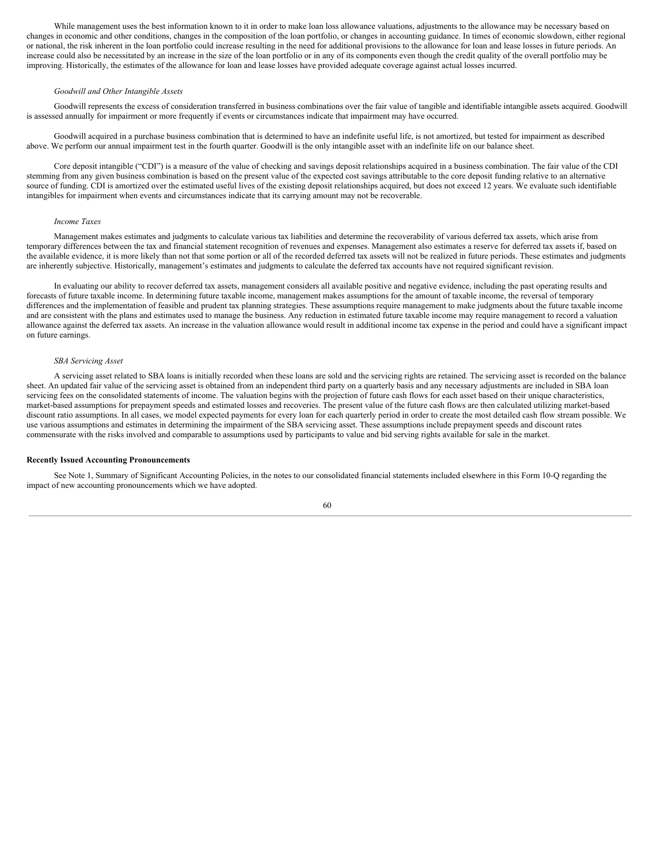While management uses the best information known to it in order to make loan loss allowance valuations, adjustments to the allowance may be necessary based on changes in economic and other conditions, changes in the composition of the loan portfolio, or changes in accounting guidance. In times of economic slowdown, either regional or national, the risk inherent in the loan portfolio could increase resulting in the need for additional provisions to the allowance for loan and lease losses in future periods. An increase could also be necessitated by an increase in the size of the loan portfolio or in any of its components even though the credit quality of the overall portfolio may be improving. Historically, the estimates of the allowance for loan and lease losses have provided adequate coverage against actual losses incurred.

#### *Goodwill and Other Intangible Assets*

Goodwill represents the excess of consideration transferred in business combinations over the fair value of tangible and identifiable intangible assets acquired. Goodwill is assessed annually for impairment or more frequently if events or circumstances indicate that impairment may have occurred.

Goodwill acquired in a purchase business combination that is determined to have an indefinite useful life, is not amortized, but tested for impairment as described above. We perform our annual impairment test in the fourth quarter. Goodwill is the only intangible asset with an indefinite life on our balance sheet.

Core deposit intangible ("CDI") is a measure of the value of checking and savings deposit relationships acquired in a business combination. The fair value of the CDI stemming from any given business combination is based on the present value of the expected cost savings attributable to the core deposit funding relative to an alternative source of funding. CDI is amortized over the estimated useful lives of the existing deposit relationships acquired, but does not exceed 12 years. We evaluate such identifiable intangibles for impairment when events and circumstances indicate that its carrying amount may not be recoverable.

#### *Income Taxes*

Management makes estimates and judgments to calculate various tax liabilities and determine the recoverability of various deferred tax assets, which arise from temporary differences between the tax and financial statement recognition of revenues and expenses. Management also estimates a reserve for deferred tax assets if, based on the available evidence, it is more likely than not that some portion or all of the recorded deferred tax assets will not be realized in future periods. These estimates and judgments are inherently subjective. Historically, management's estimates and judgments to calculate the deferred tax accounts have not required significant revision.

In evaluating our ability to recover deferred tax assets, management considers all available positive and negative evidence, including the past operating results and forecasts of future taxable income. In determining future taxable income, management makes assumptions for the amount of taxable income, the reversal of temporary differences and the implementation of feasible and prudent tax planning strategies. These assumptions require management to make judgments about the future taxable income and are consistent with the plans and estimates used to manage the business. Any reduction in estimated future taxable income may require management to record a valuation allowance against the deferred tax assets. An increase in the valuation allowance would result in additional income tax expense in the period and could have a significant impact on future earnings.

#### *SBA Servicing Asset*

A servicing asset related to SBA loans is initially recorded when these loans are sold and the servicing rights are retained. The servicing asset is recorded on the balance sheet. An updated fair value of the servicing asset is obtained from an independent third party on a quarterly basis and any necessary adjustments are included in SBA loan servicing fees on the consolidated statements of income. The valuation begins with the projection of future cash flows for each asset based on their unique characteristics, market-based assumptions for prepayment speeds and estimated losses and recoveries. The present value of the future cash flows are then calculated utilizing market-based discount ratio assumptions. In all cases, we model expected payments for every loan for each quarterly period in order to create the most detailed cash flow stream possible. We use various assumptions and estimates in determining the impairment of the SBA servicing asset. These assumptions include prepayment speeds and discount rates commensurate with the risks involved and comparable to assumptions used by participants to value and bid serving rights available for sale in the market.

## **Recently Issued Accounting Pronouncements**

See Note 1, Summary of Significant Accounting Policies, in the notes to our consolidated financial statements included elsewhere in this Form 10-Q regarding the impact of new accounting pronouncements which we have adopted.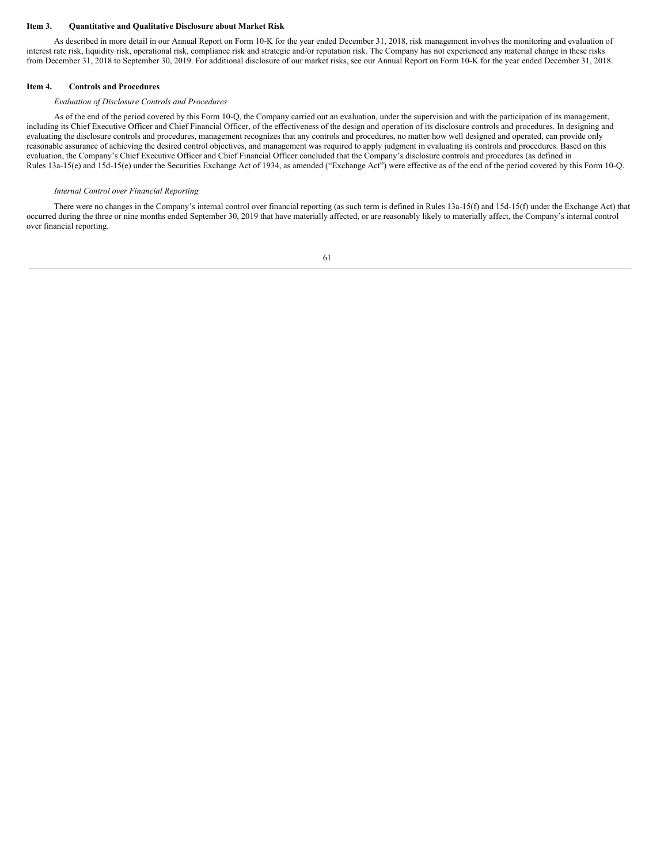#### <span id="page-60-0"></span>**Item 3. Quantitative and Qualitative Disclosure about Market Risk**

As described in more detail in our Annual Report on Form 10-K for the year ended December 31, 2018, risk management involves the monitoring and evaluation of interest rate risk, liquidity risk, operational risk, compliance risk and strategic and/or reputation risk. The Company has not experienced any material change in these risks from December 31, 2018 to September 30, 2019. For additional disclosure of our market risks, see our Annual Report on Form 10-K for the year ended December 31, 2018.

#### <span id="page-60-1"></span>**Item 4. Controls and Procedures**

## *Evaluation of Disclosure Controls and Procedures*

As of the end of the period covered by this Form 10-Q, the Company carried out an evaluation, under the supervision and with the participation of its management, including its Chief Executive Officer and Chief Financial Officer, of the effectiveness of the design and operation of its disclosure controls and procedures. In designing and evaluating the disclosure controls and procedures, management recognizes that any controls and procedures, no matter how well designed and operated, can provide only reasonable assurance of achieving the desired control objectives, and management was required to apply judgment in evaluating its controls and procedures. Based on this evaluation, the Company's Chief Executive Officer and Chief Financial Officer concluded that the Company's disclosure controls and procedures (as defined in Rules 13a-15(e) and 15d-15(e) under the Securities Exchange Act of 1934, as amended ("Exchange Act") were effective as of the end of the period covered by this Form 10-Q.

## *Internal Control over Financial Reporting*

There were no changes in the Company's internal control over financial reporting (as such term is defined in Rules 13a-15(f) and 15d-15(f) under the Exchange Act) that occurred during the three or nine months ended September 30, 2019 that have materially affected, or are reasonably likely to materially affect, the Company's internal control over financial reporting.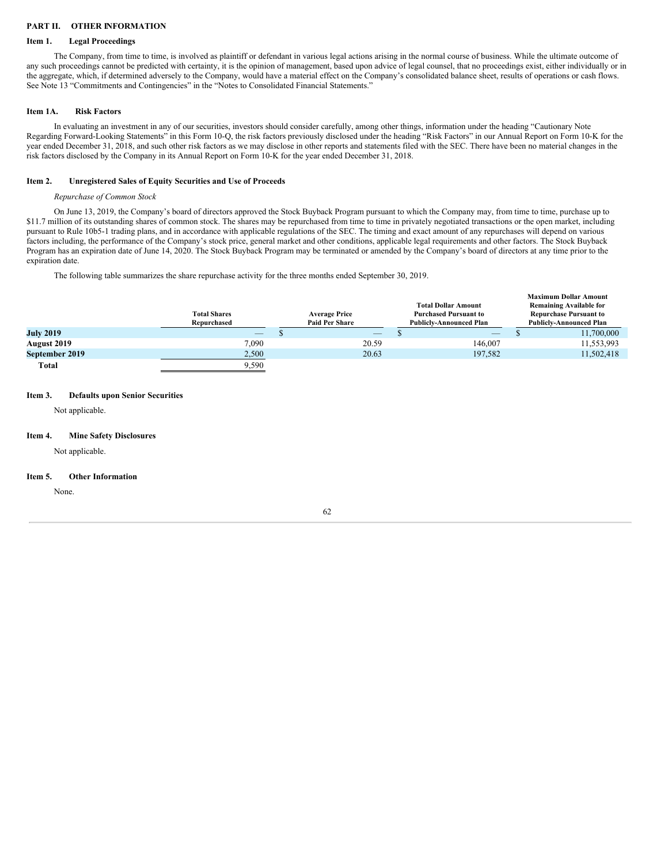## <span id="page-61-0"></span>**PART II. OTHER INFORMATION**

## <span id="page-61-1"></span>**Item 1. Legal Proceedings**

The Company, from time to time, is involved as plaintiff or defendant in various legal actions arising in the normal course of business. While the ultimate outcome of any such proceedings cannot be predicted with certainty, it is the opinion of management, based upon advice of legal counsel, that no proceedings exist, either individually or in the aggregate, which, if determined adversely to the Company, would have a material effect on the Company's consolidated balance sheet, results of operations or cash flows. See Note 13 "Commitments and Contingencies" in the "Notes to Consolidated Financial Statements."

## <span id="page-61-2"></span>**Item 1A. Risk Factors**

In evaluating an investment in any of our securities, investors should consider carefully, among other things, information under the heading "Cautionary Note Regarding Forward-Looking Statements" in this Form 10-Q, the risk factors previously disclosed under the heading "Risk Factors" in our Annual Report on Form 10-K for the year ended December 31, 2018, and such other risk factors as we may disclose in other reports and statements filed with the SEC. There have been no material changes in the risk factors disclosed by the Company in its Annual Report on Form 10-K for the year ended December 31, 2018.

## <span id="page-61-3"></span>**Item 2. Unregistered Sales of Equity Securities and Use of Proceeds**

## *Repurchase of Common Stock*

On June 13, 2019, the Company's board of directors approved the Stock Buyback Program pursuant to which the Company may, from time to time, purchase up to \$11.7 million of its outstanding shares of common stock. The shares may be repurchased from time to time in privately negotiated transactions or the open market, including pursuant to Rule 10b5-1 trading plans, and in accordance with applicable regulations of the SEC. The timing and exact amount of any repurchases will depend on various factors including, the performance of the Company's stock price, general market and other conditions, applicable legal requirements and other factors. The Stock Buyback Program has an expiration date of June 14, 2020. The Stock Buyback Program may be terminated or amended by the Company's board of directors at any time prior to the expiration date.

The following table summarizes the share repurchase activity for the three months ended September 30, 2019.

|                  | <b>Total Shares</b><br>Repurchased | <b>Total Dollar Amount</b><br><b>Purchased Pursuant to</b><br><b>Average Price</b><br><b>Paid Per Share</b><br><b>Publicly-Announced Plan</b> |  | <b>Maximum Dollar Amount</b><br><b>Remaining Available for</b><br><b>Repurchase Pursuant to</b><br><b>Publicly-Announced Plan</b> |            |
|------------------|------------------------------------|-----------------------------------------------------------------------------------------------------------------------------------------------|--|-----------------------------------------------------------------------------------------------------------------------------------|------------|
| <b>July 2019</b> | $\hspace{1.5cm} \overbrace{ }^{}$  | $\qquad \qquad - \qquad$                                                                                                                      |  | $\qquad \qquad - \qquad$                                                                                                          | 11,700,000 |
| August 2019      | 7,090                              | 20.59                                                                                                                                         |  | 146,007                                                                                                                           | 11,553,993 |
| September 2019   | 2,500                              | 20.63                                                                                                                                         |  | 197.582                                                                                                                           | 11,502,418 |
| <b>Total</b>     | 9.590                              |                                                                                                                                               |  |                                                                                                                                   |            |

## <span id="page-61-4"></span>**Item 3. Defaults upon Senior Securities**

Not applicable.

#### <span id="page-61-5"></span>**Item 4. Mine Safety Disclosures**

Not applicable.

#### <span id="page-61-6"></span>**Item 5. Other Information**

None.

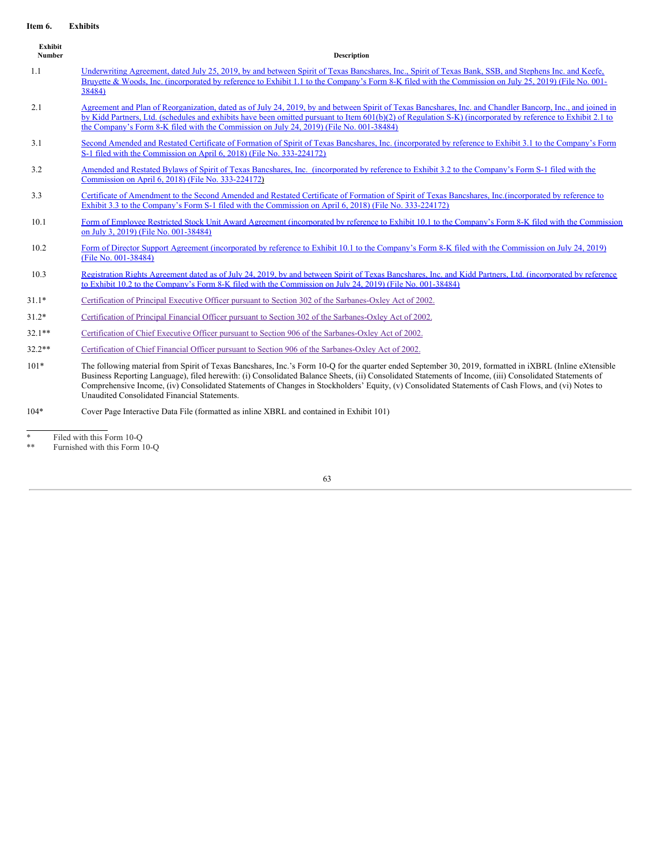## <span id="page-62-0"></span>**Item 6. Exhibits**

| Exhibit<br><b>Number</b> | <b>Description</b>                                                                                                                                                                                                                                                                                                                                                                                                                                                                                                         |
|--------------------------|----------------------------------------------------------------------------------------------------------------------------------------------------------------------------------------------------------------------------------------------------------------------------------------------------------------------------------------------------------------------------------------------------------------------------------------------------------------------------------------------------------------------------|
| 1.1                      | Underwriting Agreement, dated July 25, 2019, by and between Spirit of Texas Bancshares, Inc., Spirit of Texas Bank, SSB, and Stephens Inc. and Keefe,<br>Bruvette & Woods, Inc. (incorporated by reference to Exhibit 1.1 to the Company's Form 8-K filed with the Commission on July 25, 2019) (File No. 001-<br>38484)                                                                                                                                                                                                   |
| 2.1                      | Agreement and Plan of Reorganization, dated as of July 24, 2019, by and between Spirit of Texas Bancshares, Inc. and Chandler Bancorp, Inc., and joined in<br>by Kidd Partners, Ltd. (schedules and exhibits have been omitted pursuant to Item 601(b)(2) of Regulation S-K) (incorporated by reference to Exhibit 2.1 to<br>the Company's Form 8-K filed with the Commission on July 24, 2019) (File No. 001-38484)                                                                                                       |
| 3.1                      | Second Amended and Restated Certificate of Formation of Spirit of Texas Bancshares, Inc. (incorporated by reference to Exhibit 3.1 to the Company's Form<br>S-1 filed with the Commission on April 6, 2018) (File No. 333-224172)                                                                                                                                                                                                                                                                                          |
| 3.2                      | Amended and Restated Bylaws of Spirit of Texas Bancshares, Inc. (incorporated by reference to Exhibit 3.2 to the Company's Form S-1 filed with the<br>Commission on April 6, 2018) (File No. 333-224172)                                                                                                                                                                                                                                                                                                                   |
| 3.3                      | Certificate of Amendment to the Second Amended and Restated Certificate of Formation of Spirit of Texas Bancshares, Inc.(incorporated by reference to<br>Exhibit 3.3 to the Company's Form S-1 filed with the Commission on April 6, 2018) (File No. 333-224172)                                                                                                                                                                                                                                                           |
| 10.1                     | Form of Employee Restricted Stock Unit Award Agreement (incorporated by reference to Exhibit 10.1 to the Company's Form 8-K filed with the Commission<br>on July 3, 2019) (File No. 001-38484)                                                                                                                                                                                                                                                                                                                             |
| 10.2                     | Form of Director Support Agreement (incorporated by reference to Exhibit 10.1 to the Company's Form 8-K filed with the Commission on July 24, 2019)<br>(File No. 001-38484)                                                                                                                                                                                                                                                                                                                                                |
| 10.3                     | Registration Rights Agreement dated as of July 24, 2019, by and between Spirit of Texas Bancshares, Inc. and Kidd Partners, Ltd. (incorporated by reference<br>to Exhibit 10.2 to the Company's Form 8-K filed with the Commission on July 24, 2019) (File No. 001-38484)                                                                                                                                                                                                                                                  |
| $31.1*$                  | Certification of Principal Executive Officer pursuant to Section 302 of the Sarbanes-Oxley Act of 2002.                                                                                                                                                                                                                                                                                                                                                                                                                    |
| $31.2*$                  | Certification of Principal Financial Officer pursuant to Section 302 of the Sarbanes-Oxley Act of 2002.                                                                                                                                                                                                                                                                                                                                                                                                                    |
| $32.1**$                 | Certification of Chief Executive Officer pursuant to Section 906 of the Sarbanes-Oxley Act of 2002.                                                                                                                                                                                                                                                                                                                                                                                                                        |
| $32.2**$                 | Certification of Chief Financial Officer pursuant to Section 906 of the Sarbanes-Oxley Act of 2002.                                                                                                                                                                                                                                                                                                                                                                                                                        |
| $101*$                   | The following material from Spirit of Texas Bancshares, Inc.'s Form 10-Q for the quarter ended September 30, 2019, formatted in iXBRL (Inline eXtensible<br>Business Reporting Language), filed herewith: (i) Consolidated Balance Sheets, (ii) Consolidated Statements of Income, (iii) Consolidated Statements of<br>Comprehensive Income, (iv) Consolidated Statements of Changes in Stockholders' Equity, (v) Consolidated Statements of Cash Flows, and (vi) Notes to<br>Unaudited Consolidated Financial Statements. |

104\* Cover Page Interactive Data File (formatted as inline XBRL and contained in Exhibit 101)

\* Filed with this Form 10-Q

\*\* Furnished with this Form 10-Q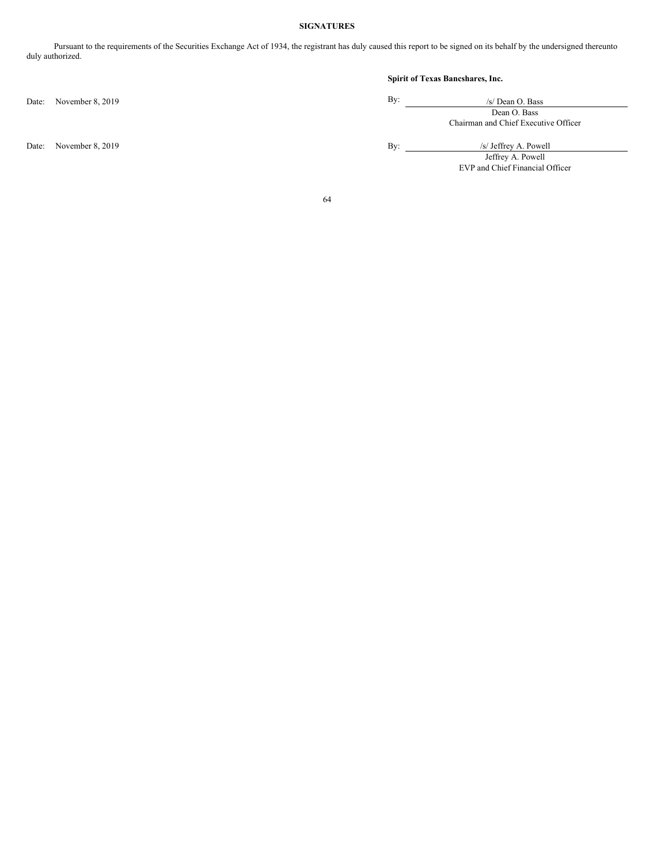## **SIGNATURES**

<span id="page-63-0"></span>Pursuant to the requirements of the Securities Exchange Act of 1934, the registrant has duly caused this report to be signed on its behalf by the undersigned thereunto duly authorized.

Date: November 8, 2019 By:

## **Spirit of Texas Bancshares, Inc.**

| /s/ Dean O. Bass                     |
|--------------------------------------|
| Dean O. Bass                         |
| Chairman and Chief Executive Officer |

Date: November 8, 2019 By: /s/ Jeffrey A. Powell Jeffrey A. Powell

EVP and Chief Financial Officer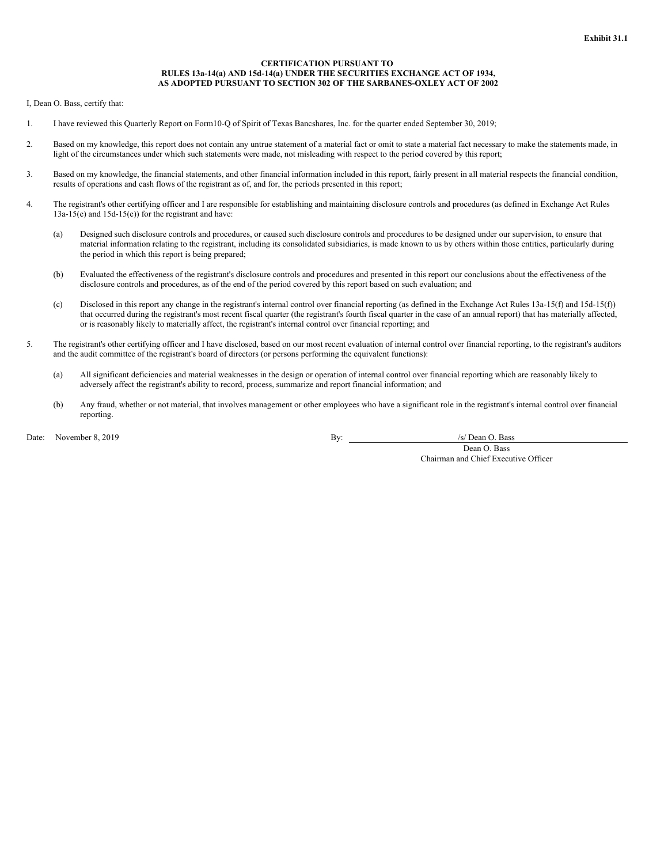#### **CERTIFICATION PURSUANT TO RULES 13a-14(a) AND 15d-14(a) UNDER THE SECURITIES EXCHANGE ACT OF 1934, AS ADOPTED PURSUANT TO SECTION 302 OF THE SARBANES-OXLEY ACT OF 2002**

<span id="page-64-0"></span>I, Dean O. Bass, certify that:

- 1. I have reviewed this Quarterly Report on Form10-Q of Spirit of Texas Bancshares, Inc. for the quarter ended September 30, 2019;
- 2. Based on my knowledge, this report does not contain any untrue statement of a material fact or omit to state a material fact necessary to make the statements made, in light of the circumstances under which such statements were made, not misleading with respect to the period covered by this report;
- 3. Based on my knowledge, the financial statements, and other financial information included in this report, fairly present in all material respects the financial condition, results of operations and cash flows of the registrant as of, and for, the periods presented in this report;
- 4. The registrant's other certifying officer and I are responsible for establishing and maintaining disclosure controls and procedures (as defined in Exchange Act Rules 13a-15(e) and 15d-15(e)) for the registrant and have:
	- (a) Designed such disclosure controls and procedures, or caused such disclosure controls and procedures to be designed under our supervision, to ensure that material information relating to the registrant, including its consolidated subsidiaries, is made known to us by others within those entities, particularly during the period in which this report is being prepared;
	- (b) Evaluated the effectiveness of the registrant's disclosure controls and procedures and presented in this report our conclusions about the effectiveness of the disclosure controls and procedures, as of the end of the period covered by this report based on such evaluation; and
	- (c) Disclosed in this report any change in the registrant's internal control over financial reporting (as defined in the Exchange Act Rules 13a-15(f) and 15d-15(f)) that occurred during the registrant's most recent fiscal quarter (the registrant's fourth fiscal quarter in the case of an annual report) that has materially affected, or is reasonably likely to materially affect, the registrant's internal control over financial reporting; and
- 5. The registrant's other certifying officer and I have disclosed, based on our most recent evaluation of internal control over financial reporting, to the registrant's auditors and the audit committee of the registrant's board of directors (or persons performing the equivalent functions):
	- (a) All significant deficiencies and material weaknesses in the design or operation of internal control over financial reporting which are reasonably likely to adversely affect the registrant's ability to record, process, summarize and report financial information; and
	- (b) Any fraud, whether or not material, that involves management or other employees who have a significant role in the registrant's internal control over financial reporting.

Date: November 8, 2019 **By:** /s/ Dean O. Bass

Dean O. Bass Chairman and Chief Executive Officer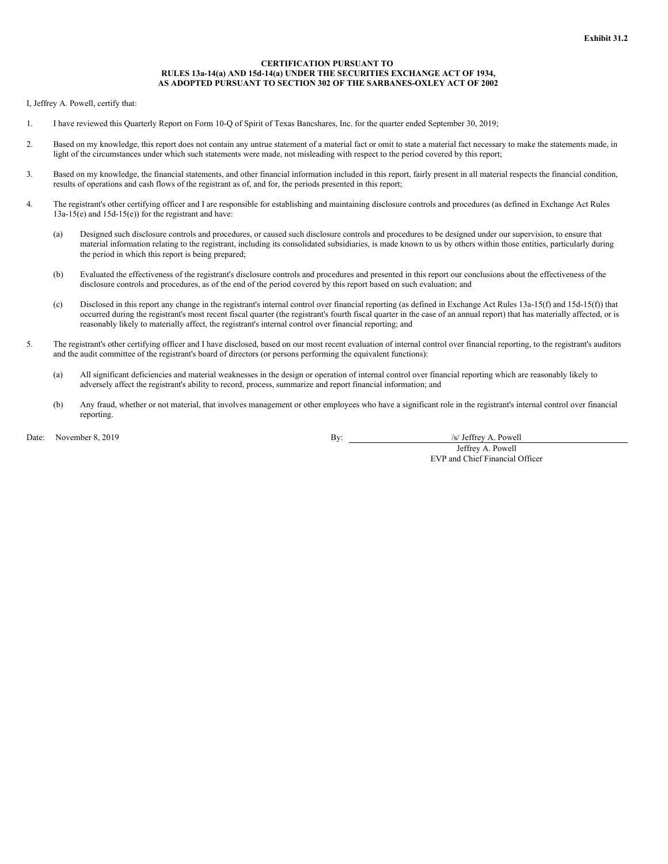#### **CERTIFICATION PURSUANT TO RULES 13a-14(a) AND 15d-14(a) UNDER THE SECURITIES EXCHANGE ACT OF 1934, AS ADOPTED PURSUANT TO SECTION 302 OF THE SARBANES-OXLEY ACT OF 2002**

<span id="page-65-0"></span>I, Jeffrey A. Powell, certify that:

- 1. I have reviewed this Quarterly Report on Form 10-Q of Spirit of Texas Bancshares, Inc. for the quarter ended September 30, 2019;
- 2. Based on my knowledge, this report does not contain any untrue statement of a material fact or omit to state a material fact necessary to make the statements made, in light of the circumstances under which such statements were made, not misleading with respect to the period covered by this report;
- 3. Based on my knowledge, the financial statements, and other financial information included in this report, fairly present in all material respects the financial condition, results of operations and cash flows of the registrant as of, and for, the periods presented in this report;
- 4. The registrant's other certifying officer and I are responsible for establishing and maintaining disclosure controls and procedures (as defined in Exchange Act Rules 13a-15(e) and 15d-15(e)) for the registrant and have:
	- (a) Designed such disclosure controls and procedures, or caused such disclosure controls and procedures to be designed under our supervision, to ensure that material information relating to the registrant, including its consolidated subsidiaries, is made known to us by others within those entities, particularly during the period in which this report is being prepared;
	- (b) Evaluated the effectiveness of the registrant's disclosure controls and procedures and presented in this report our conclusions about the effectiveness of the disclosure controls and procedures, as of the end of the period covered by this report based on such evaluation; and
	- (c) Disclosed in this report any change in the registrant's internal control over financial reporting (as defined in Exchange Act Rules 13a-15(f) and 15d-15(f)) that occurred during the registrant's most recent fiscal quarter (the registrant's fourth fiscal quarter in the case of an annual report) that has materially affected, or is reasonably likely to materially affect, the registrant's internal control over financial reporting; and
- 5. The registrant's other certifying officer and I have disclosed, based on our most recent evaluation of internal control over financial reporting, to the registrant's auditors and the audit committee of the registrant's board of directors (or persons performing the equivalent functions):
	- (a) All significant deficiencies and material weaknesses in the design or operation of internal control over financial reporting which are reasonably likely to adversely affect the registrant's ability to record, process, summarize and report financial information; and
	- (b) Any fraud, whether or not material, that involves management or other employees who have a significant role in the registrant's internal control over financial reporting.

Date: November 8, 2019 **By:** /s/ Jeffrey A. Powell

Jeffrey A. Powell EVP and Chief Financial Officer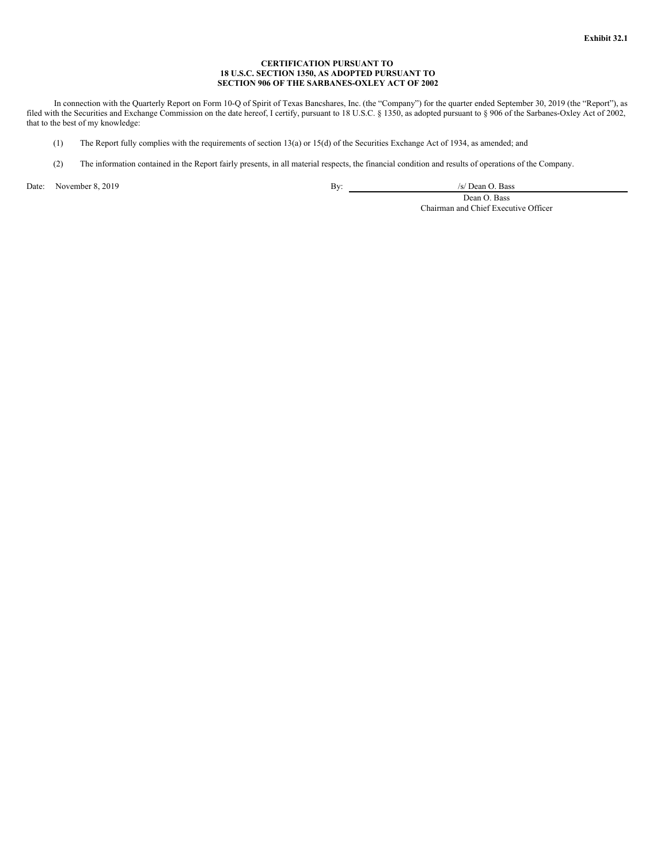## **CERTIFICATION PURSUANT TO 18 U.S.C. SECTION 1350, AS ADOPTED PURSUANT TO SECTION 906 OF THE SARBANES-OXLEY ACT OF 2002**

<span id="page-66-0"></span>In connection with the Quarterly Report on Form 10-Q of Spirit of Texas Bancshares, Inc. (the "Company") for the quarter ended September 30, 2019 (the "Report"), as filed with the Securities and Exchange Commission on the date hereof, I certify, pursuant to 18 U.S.C. § 1350, as adopted pursuant to § 906 of the Sarbanes-Oxley Act of 2002, that to the best of my knowledge:

- (1) The Report fully complies with the requirements of section 13(a) or 15(d) of the Securities Exchange Act of 1934, as amended; and
- (2) The information contained in the Report fairly presents, in all material respects, the financial condition and results of operations of the Company.

Date: November 8, 2019 **By:** /s/ Dean O. Bass **By:** /s/ Dean O. Bass **By:** /s/ Dean O. Bass **By:** /s/ Dean O. Bass **By:** /s/ Dean O. Bass **By:** /s/ Dean O. Bass **By:** /s/ Dean O. Bass **By:** /s/ Dean O. Bass **By:** /s/ Dean

Dean O. Bass Chairman and Chief Executive Officer